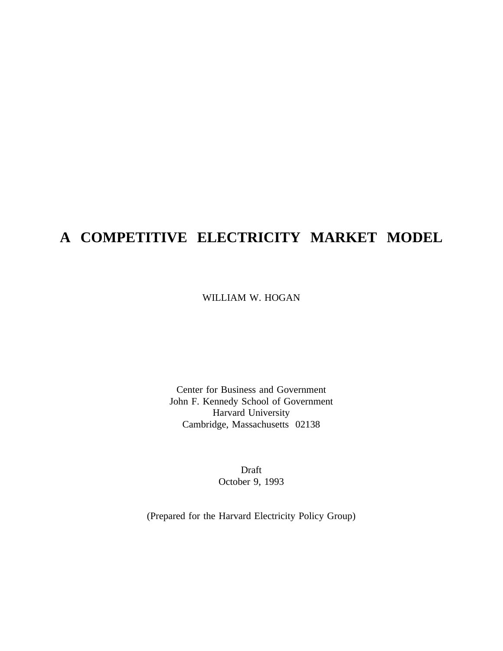# **A COMPETITIVE ELECTRICITY MARKET MODEL**

WILLIAM W. HOGAN

Center for Business and Government John F. Kennedy School of Government Harvard University Cambridge, Massachusetts 02138

> Draft October 9, 1993

(Prepared for the Harvard Electricity Policy Group)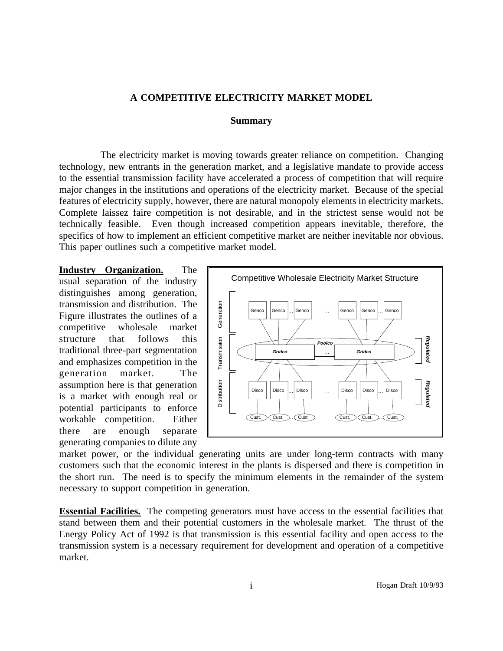#### **A COMPETITIVE ELECTRICITY MARKET MODEL**

#### **Summary**

The electricity market is moving towards greater reliance on competition. Changing technology, new entrants in the generation market, and a legislative mandate to provide access to the essential transmission facility have accelerated a process of competition that will require major changes in the institutions and operations of the electricity market. Because of the special features of electricity supply, however, there are natural monopoly elements in electricity markets. Complete laissez faire competition is not desirable, and in the strictest sense would not be technically feasible. Even though increased competition appears inevitable, therefore, the specifics of how to implement an efficient competitive market are neither inevitable nor obvious. This paper outlines such a competitive market model.

**Industry Organization.** The usual separation of the industry distinguishes among generation, transmission and distribution. The Figure illustrates the outlines of a competitive wholesale market structure that follows this traditional three-part segmentation and emphasizes competition in the generation market. The assumption here is that generation is a market with enough real or potential participants to enforce workable competition. Either there are enough separate generating companies to dilute any



market power, or the individual generating units are under long-term contracts with many customers such that the economic interest in the plants is dispersed and there is competition in the short run. The need is to specify the minimum elements in the remainder of the system necessary to support competition in generation.

**Essential Facilities.** The competing generators must have access to the essential facilities that stand between them and their potential customers in the wholesale market. The thrust of the Energy Policy Act of 1992 is that transmission is this essential facility and open access to the transmission system is a necessary requirement for development and operation of a competitive market.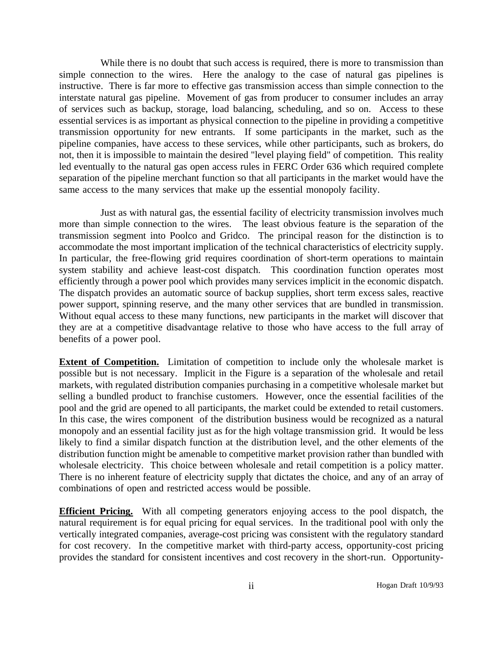While there is no doubt that such access is required, there is more to transmission than simple connection to the wires. Here the analogy to the case of natural gas pipelines is instructive. There is far more to effective gas transmission access than simple connection to the interstate natural gas pipeline. Movement of gas from producer to consumer includes an array of services such as backup, storage, load balancing, scheduling, and so on. Access to these essential services is as important as physical connection to the pipeline in providing a competitive transmission opportunity for new entrants. If some participants in the market, such as the pipeline companies, have access to these services, while other participants, such as brokers, do not, then it is impossible to maintain the desired "level playing field" of competition. This reality led eventually to the natural gas open access rules in FERC Order 636 which required complete separation of the pipeline merchant function so that all participants in the market would have the same access to the many services that make up the essential monopoly facility.

Just as with natural gas, the essential facility of electricity transmission involves much more than simple connection to the wires. The least obvious feature is the separation of the transmission segment into Poolco and Gridco. The principal reason for the distinction is to accommodate the most important implication of the technical characteristics of electricity supply. In particular, the free-flowing grid requires coordination of short-term operations to maintain system stability and achieve least-cost dispatch. This coordination function operates most efficiently through a power pool which provides many services implicit in the economic dispatch. The dispatch provides an automatic source of backup supplies, short term excess sales, reactive power support, spinning reserve, and the many other services that are bundled in transmission. Without equal access to these many functions, new participants in the market will discover that they are at a competitive disadvantage relative to those who have access to the full array of benefits of a power pool.

**Extent of Competition.** Limitation of competition to include only the wholesale market is possible but is not necessary. Implicit in the Figure is a separation of the wholesale and retail markets, with regulated distribution companies purchasing in a competitive wholesale market but selling a bundled product to franchise customers. However, once the essential facilities of the pool and the grid are opened to all participants, the market could be extended to retail customers. In this case, the wires component of the distribution business would be recognized as a natural monopoly and an essential facility just as for the high voltage transmission grid. It would be less likely to find a similar dispatch function at the distribution level, and the other elements of the distribution function might be amenable to competitive market provision rather than bundled with wholesale electricity. This choice between wholesale and retail competition is a policy matter. There is no inherent feature of electricity supply that dictates the choice, and any of an array of combinations of open and restricted access would be possible.

**Efficient Pricing.** With all competing generators enjoying access to the pool dispatch, the natural requirement is for equal pricing for equal services. In the traditional pool with only the vertically integrated companies, average-cost pricing was consistent with the regulatory standard for cost recovery. In the competitive market with third-party access, opportunity-cost pricing provides the standard for consistent incentives and cost recovery in the short-run. Opportunity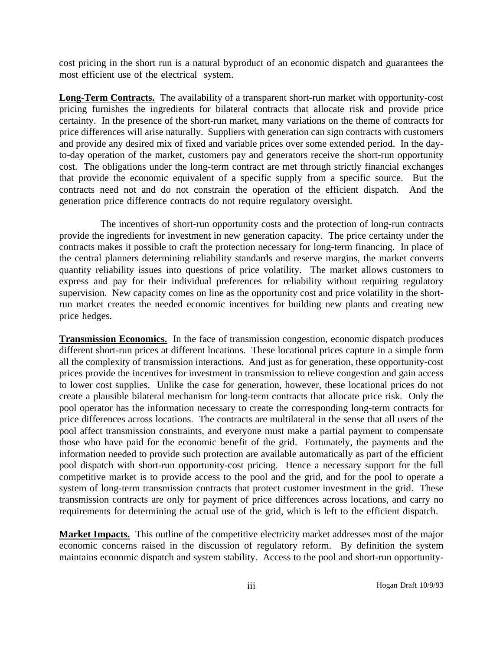cost pricing in the short run is a natural byproduct of an economic dispatch and guarantees the most efficient use of the electrical system.

**Long-Term Contracts.** The availability of a transparent short-run market with opportunity-cost pricing furnishes the ingredients for bilateral contracts that allocate risk and provide price certainty. In the presence of the short-run market, many variations on the theme of contracts for price differences will arise naturally. Suppliers with generation can sign contracts with customers and provide any desired mix of fixed and variable prices over some extended period. In the dayto-day operation of the market, customers pay and generators receive the short-run opportunity cost. The obligations under the long-term contract are met through strictly financial exchanges that provide the economic equivalent of a specific supply from a specific source. But the contracts need not and do not constrain the operation of the efficient dispatch. And the generation price difference contracts do not require regulatory oversight.

The incentives of short-run opportunity costs and the protection of long-run contracts provide the ingredients for investment in new generation capacity. The price certainty under the contracts makes it possible to craft the protection necessary for long-term financing. In place of the central planners determining reliability standards and reserve margins, the market converts quantity reliability issues into questions of price volatility. The market allows customers to express and pay for their individual preferences for reliability without requiring regulatory supervision. New capacity comes on line as the opportunity cost and price volatility in the shortrun market creates the needed economic incentives for building new plants and creating new price hedges.

**Transmission Economics.** In the face of transmission congestion, economic dispatch produces different short-run prices at different locations. These locational prices capture in a simple form all the complexity of transmission interactions. And just as for generation, these opportunity-cost prices provide the incentives for investment in transmission to relieve congestion and gain access to lower cost supplies. Unlike the case for generation, however, these locational prices do not create a plausible bilateral mechanism for long-term contracts that allocate price risk. Only the pool operator has the information necessary to create the corresponding long-term contracts for price differences across locations. The contracts are multilateral in the sense that all users of the pool affect transmission constraints, and everyone must make a partial payment to compensate those who have paid for the economic benefit of the grid. Fortunately, the payments and the information needed to provide such protection are available automatically as part of the efficient pool dispatch with short-run opportunity-cost pricing. Hence a necessary support for the full competitive market is to provide access to the pool and the grid, and for the pool to operate a system of long-term transmission contracts that protect customer investment in the grid. These transmission contracts are only for payment of price differences across locations, and carry no requirements for determining the actual use of the grid, which is left to the efficient dispatch.

**Market Impacts.** This outline of the competitive electricity market addresses most of the major economic concerns raised in the discussion of regulatory reform. By definition the system maintains economic dispatch and system stability. Access to the pool and short-run opportunity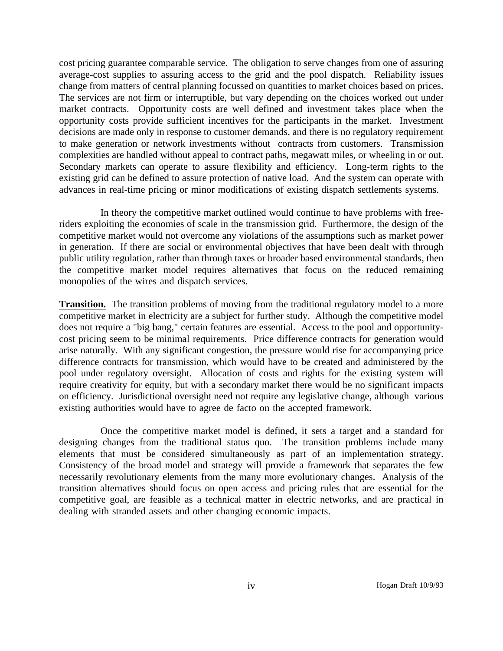cost pricing guarantee comparable service. The obligation to serve changes from one of assuring average-cost supplies to assuring access to the grid and the pool dispatch. Reliability issues change from matters of central planning focussed on quantities to market choices based on prices. The services are not firm or interruptible, but vary depending on the choices worked out under market contracts. Opportunity costs are well defined and investment takes place when the opportunity costs provide sufficient incentives for the participants in the market. Investment decisions are made only in response to customer demands, and there is no regulatory requirement to make generation or network investments without contracts from customers. Transmission complexities are handled without appeal to contract paths, megawatt miles, or wheeling in or out. Secondary markets can operate to assure flexibility and efficiency. Long-term rights to the existing grid can be defined to assure protection of native load. And the system can operate with advances in real-time pricing or minor modifications of existing dispatch settlements systems.

In theory the competitive market outlined would continue to have problems with freeriders exploiting the economies of scale in the transmission grid. Furthermore, the design of the competitive market would not overcome any violations of the assumptions such as market power in generation. If there are social or environmental objectives that have been dealt with through public utility regulation, rather than through taxes or broader based environmental standards, then the competitive market model requires alternatives that focus on the reduced remaining monopolies of the wires and dispatch services.

**Transition.** The transition problems of moving from the traditional regulatory model to a more competitive market in electricity are a subject for further study. Although the competitive model does not require a "big bang," certain features are essential. Access to the pool and opportunitycost pricing seem to be minimal requirements. Price difference contracts for generation would arise naturally. With any significant congestion, the pressure would rise for accompanying price difference contracts for transmission, which would have to be created and administered by the pool under regulatory oversight. Allocation of costs and rights for the existing system will require creativity for equity, but with a secondary market there would be no significant impacts on efficiency. Jurisdictional oversight need not require any legislative change, although various existing authorities would have to agree de facto on the accepted framework.

Once the competitive market model is defined, it sets a target and a standard for designing changes from the traditional status quo. The transition problems include many elements that must be considered simultaneously as part of an implementation strategy. Consistency of the broad model and strategy will provide a framework that separates the few necessarily revolutionary elements from the many more evolutionary changes. Analysis of the transition alternatives should focus on open access and pricing rules that are essential for the competitive goal, are feasible as a technical matter in electric networks, and are practical in dealing with stranded assets and other changing economic impacts.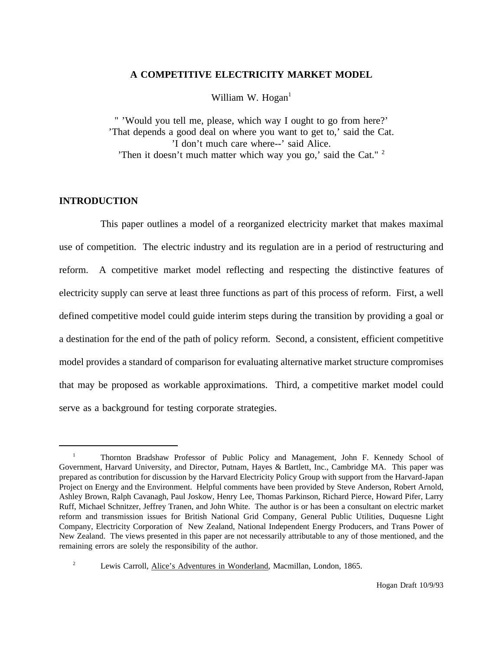#### **A COMPETITIVE ELECTRICITY MARKET MODEL**

William W. Hogan $<sup>1</sup>$ </sup>

" 'Would you tell me, please, which way I ought to go from here?' 'That depends a good deal on where you want to get to,' said the Cat. 'I don't much care where--' said Alice. 'Then it doesn't much matter which way you go,' said the Cat." <sup>2</sup>

### **INTRODUCTION**

This paper outlines a model of a reorganized electricity market that makes maximal use of competition. The electric industry and its regulation are in a period of restructuring and reform. A competitive market model reflecting and respecting the distinctive features of electricity supply can serve at least three functions as part of this process of reform. First, a well defined competitive model could guide interim steps during the transition by providing a goal or a destination for the end of the path of policy reform. Second, a consistent, efficient competitive model provides a standard of comparison for evaluating alternative market structure compromises that may be proposed as workable approximations. Third, a competitive market model could serve as a background for testing corporate strategies.

<sup>&</sup>lt;sup>1</sup> Thornton Bradshaw Professor of Public Policy and Management, John F. Kennedy School of Government, Harvard University, and Director, Putnam, Hayes & Bartlett, Inc., Cambridge MA. This paper was prepared as contribution for discussion by the Harvard Electricity Policy Group with support from the Harvard-Japan Project on Energy and the Environment. Helpful comments have been provided by Steve Anderson, Robert Arnold, Ashley Brown, Ralph Cavanagh, Paul Joskow, Henry Lee, Thomas Parkinson, Richard Pierce, Howard Pifer, Larry Ruff, Michael Schnitzer, Jeffrey Tranen, and John White. The author is or has been a consultant on electric market reform and transmission issues for British National Grid Company, General Public Utilities, Duquesne Light Company, Electricity Corporation of New Zealand, National Independent Energy Producers, and Trans Power of New Zealand. The views presented in this paper are not necessarily attributable to any of those mentioned, and the remaining errors are solely the responsibility of the author.

<sup>&</sup>lt;sup>2</sup> Lewis Carroll, Alice's Adventures in Wonderland, Macmillan, London, 1865.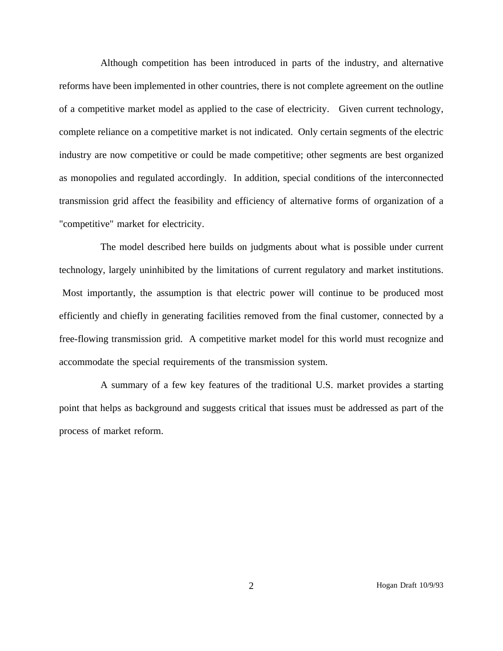Although competition has been introduced in parts of the industry, and alternative reforms have been implemented in other countries, there is not complete agreement on the outline of a competitive market model as applied to the case of electricity. Given current technology, complete reliance on a competitive market is not indicated. Only certain segments of the electric industry are now competitive or could be made competitive; other segments are best organized as monopolies and regulated accordingly. In addition, special conditions of the interconnected transmission grid affect the feasibility and efficiency of alternative forms of organization of a "competitive" market for electricity.

The model described here builds on judgments about what is possible under current technology, largely uninhibited by the limitations of current regulatory and market institutions. Most importantly, the assumption is that electric power will continue to be produced most efficiently and chiefly in generating facilities removed from the final customer, connected by a free-flowing transmission grid. A competitive market model for this world must recognize and accommodate the special requirements of the transmission system.

A summary of a few key features of the traditional U.S. market provides a starting point that helps as background and suggests critical that issues must be addressed as part of the process of market reform.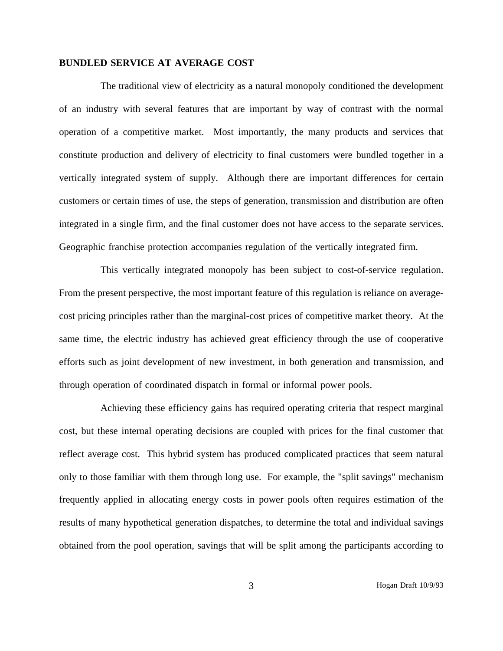#### **BUNDLED SERVICE AT AVERAGE COST**

The traditional view of electricity as a natural monopoly conditioned the development of an industry with several features that are important by way of contrast with the normal operation of a competitive market. Most importantly, the many products and services that constitute production and delivery of electricity to final customers were bundled together in a vertically integrated system of supply. Although there are important differences for certain customers or certain times of use, the steps of generation, transmission and distribution are often integrated in a single firm, and the final customer does not have access to the separate services. Geographic franchise protection accompanies regulation of the vertically integrated firm.

This vertically integrated monopoly has been subject to cost-of-service regulation. From the present perspective, the most important feature of this regulation is reliance on averagecost pricing principles rather than the marginal-cost prices of competitive market theory. At the same time, the electric industry has achieved great efficiency through the use of cooperative efforts such as joint development of new investment, in both generation and transmission, and through operation of coordinated dispatch in formal or informal power pools.

Achieving these efficiency gains has required operating criteria that respect marginal cost, but these internal operating decisions are coupled with prices for the final customer that reflect average cost. This hybrid system has produced complicated practices that seem natural only to those familiar with them through long use. For example, the "split savings" mechanism frequently applied in allocating energy costs in power pools often requires estimation of the results of many hypothetical generation dispatches, to determine the total and individual savings obtained from the pool operation, savings that will be split among the participants according to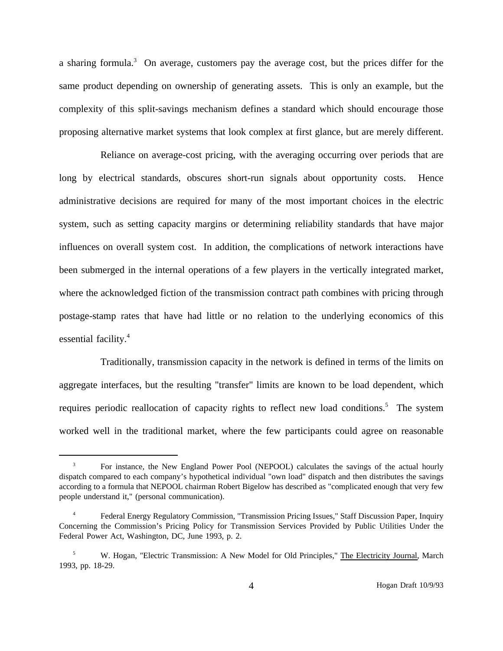a sharing formula.<sup>3</sup> On average, customers pay the average cost, but the prices differ for the same product depending on ownership of generating assets. This is only an example, but the complexity of this split-savings mechanism defines a standard which should encourage those proposing alternative market systems that look complex at first glance, but are merely different.

Reliance on average-cost pricing, with the averaging occurring over periods that are long by electrical standards, obscures short-run signals about opportunity costs. Hence administrative decisions are required for many of the most important choices in the electric system, such as setting capacity margins or determining reliability standards that have major influences on overall system cost. In addition, the complications of network interactions have been submerged in the internal operations of a few players in the vertically integrated market, where the acknowledged fiction of the transmission contract path combines with pricing through postage-stamp rates that have had little or no relation to the underlying economics of this essential facility.<sup>4</sup>

Traditionally, transmission capacity in the network is defined in terms of the limits on aggregate interfaces, but the resulting "transfer" limits are known to be load dependent, which requires periodic reallocation of capacity rights to reflect new load conditions.<sup>5</sup> The system worked well in the traditional market, where the few participants could agree on reasonable

<sup>3</sup> For instance, the New England Power Pool (NEPOOL) calculates the savings of the actual hourly dispatch compared to each company's hypothetical individual "own load" dispatch and then distributes the savings according to a formula that NEPOOL chairman Robert Bigelow has described as "complicated enough that very few people understand it," (personal communication).

<sup>4</sup> Federal Energy Regulatory Commission, "Transmission Pricing Issues," Staff Discussion Paper, Inquiry Concerning the Commission's Pricing Policy for Transmission Services Provided by Public Utilities Under the Federal Power Act, Washington, DC, June 1993, p. 2.

<sup>5</sup> W. Hogan, "Electric Transmission: A New Model for Old Principles," The Electricity Journal, March 1993, pp. 18-29.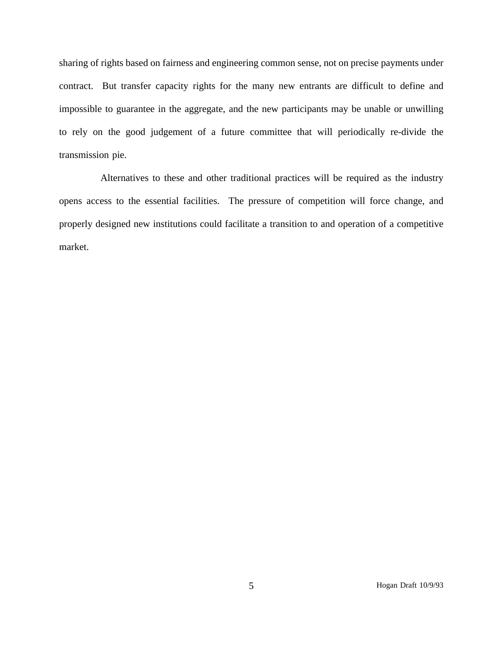sharing of rights based on fairness and engineering common sense, not on precise payments under contract. But transfer capacity rights for the many new entrants are difficult to define and impossible to guarantee in the aggregate, and the new participants may be unable or unwilling to rely on the good judgement of a future committee that will periodically re-divide the transmission pie.

Alternatives to these and other traditional practices will be required as the industry opens access to the essential facilities. The pressure of competition will force change, and properly designed new institutions could facilitate a transition to and operation of a competitive market.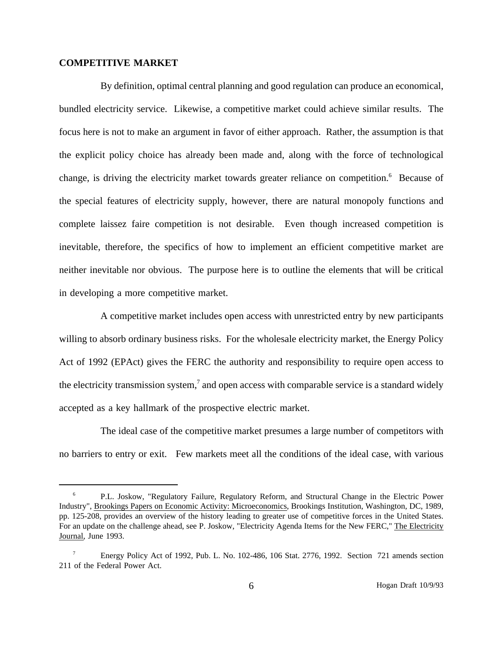#### **COMPETITIVE MARKET**

By definition, optimal central planning and good regulation can produce an economical, bundled electricity service. Likewise, a competitive market could achieve similar results. The focus here is not to make an argument in favor of either approach. Rather, the assumption is that the explicit policy choice has already been made and, along with the force of technological change, is driving the electricity market towards greater reliance on competition.<sup>6</sup> Because of the special features of electricity supply, however, there are natural monopoly functions and complete laissez faire competition is not desirable. Even though increased competition is inevitable, therefore, the specifics of how to implement an efficient competitive market are neither inevitable nor obvious. The purpose here is to outline the elements that will be critical in developing a more competitive market.

A competitive market includes open access with unrestricted entry by new participants willing to absorb ordinary business risks. For the wholesale electricity market, the Energy Policy Act of 1992 (EPAct) gives the FERC the authority and responsibility to require open access to the electricity transmission system, $<sup>7</sup>$  and open access with comparable service is a standard widely</sup> accepted as a key hallmark of the prospective electric market.

The ideal case of the competitive market presumes a large number of competitors with no barriers to entry or exit. Few markets meet all the conditions of the ideal case, with various

<sup>&</sup>lt;sup>6</sup> P.L. Joskow, "Regulatory Failure, Regulatory Reform, and Structural Change in the Electric Power Industry", Brookings Papers on Economic Activity: Microeconomics, Brookings Institution, Washington, DC, 1989, pp. 125-208, provides an overview of the history leading to greater use of competitive forces in the United States. For an update on the challenge ahead, see P. Joskow, "Electricity Agenda Items for the New FERC," The Electricity Journal, June 1993.

<sup>7</sup> Energy Policy Act of 1992, Pub. L. No. 102-486, 106 Stat. 2776, 1992. Section 721 amends section 211 of the Federal Power Act.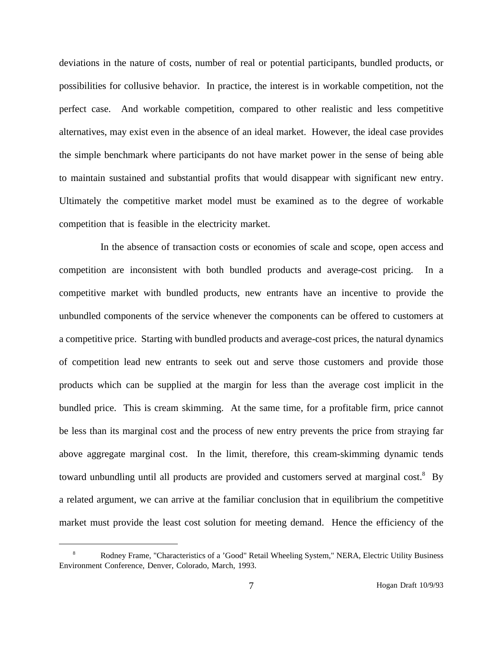deviations in the nature of costs, number of real or potential participants, bundled products, or possibilities for collusive behavior. In practice, the interest is in workable competition, not the perfect case. And workable competition, compared to other realistic and less competitive alternatives, may exist even in the absence of an ideal market. However, the ideal case provides the simple benchmark where participants do not have market power in the sense of being able to maintain sustained and substantial profits that would disappear with significant new entry. Ultimately the competitive market model must be examined as to the degree of workable competition that is feasible in the electricity market.

In the absence of transaction costs or economies of scale and scope, open access and competition are inconsistent with both bundled products and average-cost pricing. In a competitive market with bundled products, new entrants have an incentive to provide the unbundled components of the service whenever the components can be offered to customers at a competitive price. Starting with bundled products and average-cost prices, the natural dynamics of competition lead new entrants to seek out and serve those customers and provide those products which can be supplied at the margin for less than the average cost implicit in the bundled price. This is cream skimming. At the same time, for a profitable firm, price cannot be less than its marginal cost and the process of new entry prevents the price from straying far above aggregate marginal cost. In the limit, therefore, this cream-skimming dynamic tends toward unbundling until all products are provided and customers served at marginal cost.<sup>8</sup> By a related argument, we can arrive at the familiar conclusion that in equilibrium the competitive market must provide the least cost solution for meeting demand. Hence the efficiency of the

<sup>8</sup> Rodney Frame, "Characteristics of a 'Good" Retail Wheeling System," NERA, Electric Utility Business Environment Conference, Denver, Colorado, March, 1993.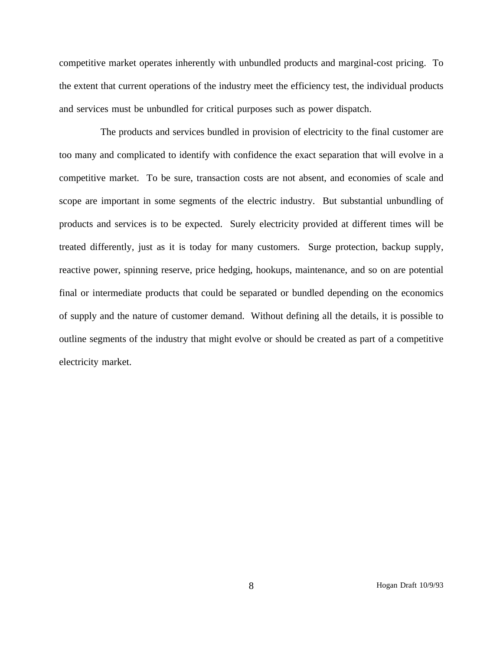competitive market operates inherently with unbundled products and marginal-cost pricing. To the extent that current operations of the industry meet the efficiency test, the individual products and services must be unbundled for critical purposes such as power dispatch.

The products and services bundled in provision of electricity to the final customer are too many and complicated to identify with confidence the exact separation that will evolve in a competitive market. To be sure, transaction costs are not absent, and economies of scale and scope are important in some segments of the electric industry. But substantial unbundling of products and services is to be expected. Surely electricity provided at different times will be treated differently, just as it is today for many customers. Surge protection, backup supply, reactive power, spinning reserve, price hedging, hookups, maintenance, and so on are potential final or intermediate products that could be separated or bundled depending on the economics of supply and the nature of customer demand. Without defining all the details, it is possible to outline segments of the industry that might evolve or should be created as part of a competitive electricity market.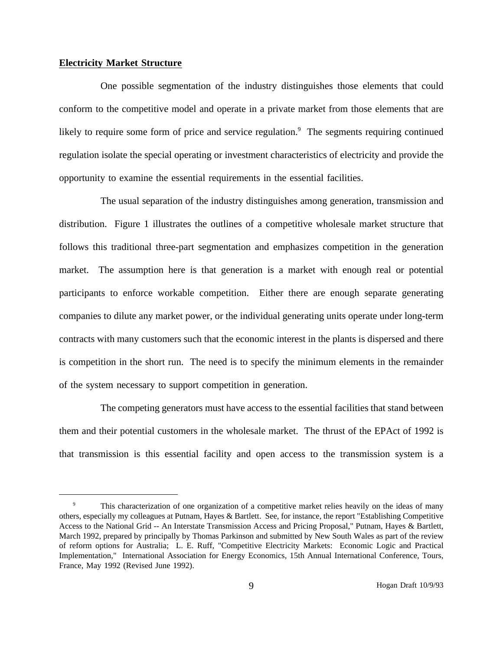#### **Electricity Market Structure**

One possible segmentation of the industry distinguishes those elements that could conform to the competitive model and operate in a private market from those elements that are likely to require some form of price and service regulation.<sup>9</sup> The segments requiring continued regulation isolate the special operating or investment characteristics of electricity and provide the opportunity to examine the essential requirements in the essential facilities.

The usual separation of the industry distinguishes among generation, transmission and distribution. Figure 1 illustrates the outlines of a competitive wholesale market structure that follows this traditional three-part segmentation and emphasizes competition in the generation market. The assumption here is that generation is a market with enough real or potential participants to enforce workable competition. Either there are enough separate generating companies to dilute any market power, or the individual generating units operate under long-term contracts with many customers such that the economic interest in the plants is dispersed and there is competition in the short run. The need is to specify the minimum elements in the remainder of the system necessary to support competition in generation.

The competing generators must have access to the essential facilities that stand between them and their potential customers in the wholesale market. The thrust of the EPAct of 1992 is that transmission is this essential facility and open access to the transmission system is a

This characterization of one organization of a competitive market relies heavily on the ideas of many others, especially my colleagues at Putnam, Hayes & Bartlett. See, for instance, the report "Establishing Competitive Access to the National Grid -- An Interstate Transmission Access and Pricing Proposal," Putnam, Hayes & Bartlett, March 1992, prepared by principally by Thomas Parkinson and submitted by New South Wales as part of the review of reform options for Australia; L. E. Ruff, "Competitive Electricity Markets: Economic Logic and Practical Implementation," International Association for Energy Economics, 15th Annual International Conference, Tours, France, May 1992 (Revised June 1992).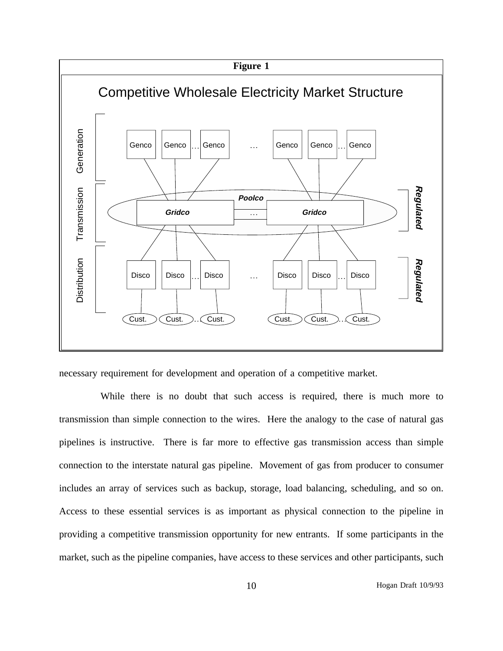

necessary requirement for development and operation of a competitive market.

While there is no doubt that such access is required, there is much more to transmission than simple connection to the wires. Here the analogy to the case of natural gas pipelines is instructive. There is far more to effective gas transmission access than simple connection to the interstate natural gas pipeline. Movement of gas from producer to consumer includes an array of services such as backup, storage, load balancing, scheduling, and so on. Access to these essential services is as important as physical connection to the pipeline in providing a competitive transmission opportunity for new entrants. If some participants in the market, such as the pipeline companies, have access to these services and other participants, such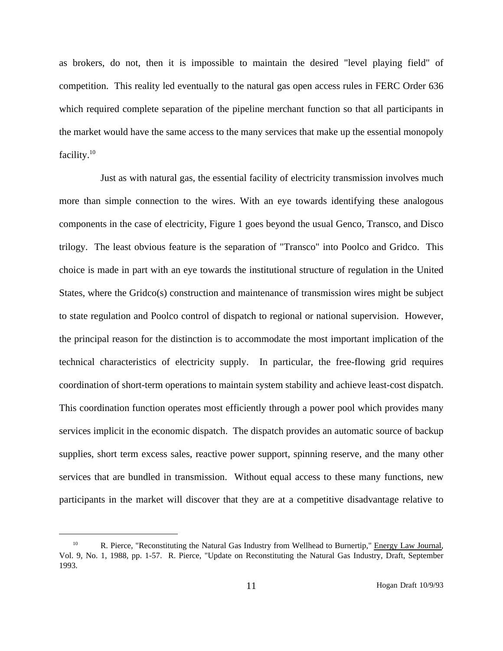as brokers, do not, then it is impossible to maintain the desired "level playing field" of competition. This reality led eventually to the natural gas open access rules in FERC Order 636 which required complete separation of the pipeline merchant function so that all participants in the market would have the same access to the many services that make up the essential monopoly facility. $10$ 

Just as with natural gas, the essential facility of electricity transmission involves much more than simple connection to the wires. With an eye towards identifying these analogous components in the case of electricity, Figure 1 goes beyond the usual Genco, Transco, and Disco trilogy. The least obvious feature is the separation of "Transco" into Poolco and Gridco. This choice is made in part with an eye towards the institutional structure of regulation in the United States, where the Gridco(s) construction and maintenance of transmission wires might be subject to state regulation and Poolco control of dispatch to regional or national supervision. However, the principal reason for the distinction is to accommodate the most important implication of the technical characteristics of electricity supply. In particular, the free-flowing grid requires coordination of short-term operations to maintain system stability and achieve least-cost dispatch. This coordination function operates most efficiently through a power pool which provides many services implicit in the economic dispatch. The dispatch provides an automatic source of backup supplies, short term excess sales, reactive power support, spinning reserve, and the many other services that are bundled in transmission. Without equal access to these many functions, new participants in the market will discover that they are at a competitive disadvantage relative to

<sup>&</sup>lt;sup>10</sup> R. Pierce, "Reconstituting the Natural Gas Industry from Wellhead to Burnertip," Energy Law Journal, Vol. 9, No. 1, 1988, pp. 1-57. R. Pierce, "Update on Reconstituting the Natural Gas Industry, Draft, September 1993.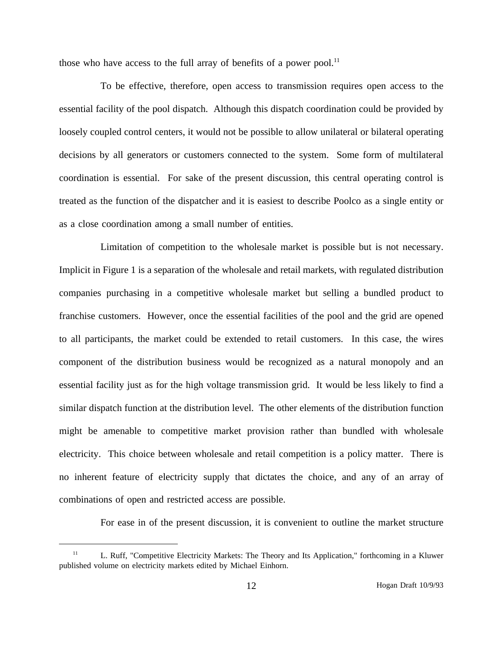those who have access to the full array of benefits of a power pool. $^{11}$ 

To be effective, therefore, open access to transmission requires open access to the essential facility of the pool dispatch. Although this dispatch coordination could be provided by loosely coupled control centers, it would not be possible to allow unilateral or bilateral operating decisions by all generators or customers connected to the system. Some form of multilateral coordination is essential. For sake of the present discussion, this central operating control is treated as the function of the dispatcher and it is easiest to describe Poolco as a single entity or as a close coordination among a small number of entities.

Limitation of competition to the wholesale market is possible but is not necessary. Implicit in Figure 1 is a separation of the wholesale and retail markets, with regulated distribution companies purchasing in a competitive wholesale market but selling a bundled product to franchise customers. However, once the essential facilities of the pool and the grid are opened to all participants, the market could be extended to retail customers. In this case, the wires component of the distribution business would be recognized as a natural monopoly and an essential facility just as for the high voltage transmission grid. It would be less likely to find a similar dispatch function at the distribution level. The other elements of the distribution function might be amenable to competitive market provision rather than bundled with wholesale electricity. This choice between wholesale and retail competition is a policy matter. There is no inherent feature of electricity supply that dictates the choice, and any of an array of combinations of open and restricted access are possible.

For ease in of the present discussion, it is convenient to outline the market structure

<sup>&</sup>lt;sup>11</sup> L. Ruff, "Competitive Electricity Markets: The Theory and Its Application," forthcoming in a Kluwer published volume on electricity markets edited by Michael Einhorn.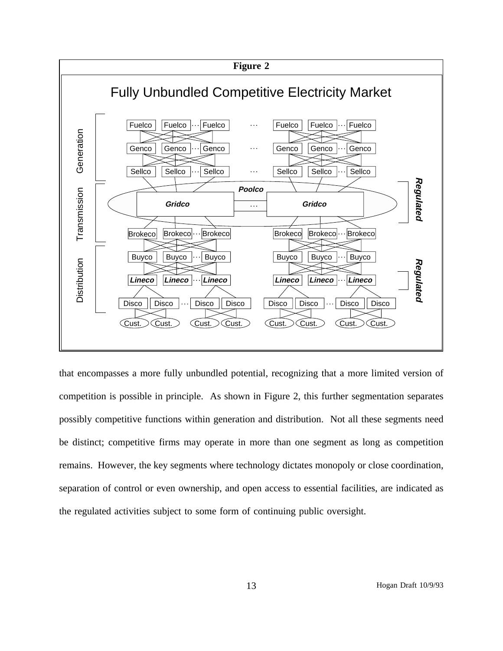

that encompasses a more fully unbundled potential, recognizing that a more limited version of competition is possible in principle. As shown in Figure 2, this further segmentation separates possibly competitive functions within generation and distribution. Not all these segments need be distinct; competitive firms may operate in more than one segment as long as competition remains. However, the key segments where technology dictates monopoly or close coordination, separation of control or even ownership, and open access to essential facilities, are indicated as the regulated activities subject to some form of continuing public oversight.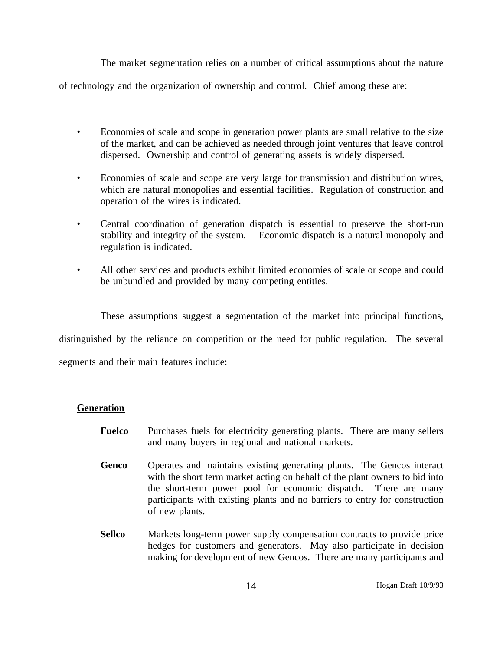The market segmentation relies on a number of critical assumptions about the nature

of technology and the organization of ownership and control. Chief among these are:

- Economies of scale and scope in generation power plants are small relative to the size of the market, and can be achieved as needed through joint ventures that leave control dispersed. Ownership and control of generating assets is widely dispersed.
- Economies of scale and scope are very large for transmission and distribution wires, which are natural monopolies and essential facilities. Regulation of construction and operation of the wires is indicated.
- Central coordination of generation dispatch is essential to preserve the short-run stability and integrity of the system. Economic dispatch is a natural monopoly and regulation is indicated.
- All other services and products exhibit limited economies of scale or scope and could be unbundled and provided by many competing entities.

These assumptions suggest a segmentation of the market into principal functions, distinguished by the reliance on competition or the need for public regulation. The several segments and their main features include:

# **Generation**

- **Fuelco** Purchases fuels for electricity generating plants. There are many sellers and many buyers in regional and national markets.
- **Genco** Operates and maintains existing generating plants. The Gencos interact with the short term market acting on behalf of the plant owners to bid into the short-term power pool for economic dispatch. There are many participants with existing plants and no barriers to entry for construction of new plants.
- **Sellco** Markets long-term power supply compensation contracts to provide price hedges for customers and generators. May also participate in decision making for development of new Gencos. There are many participants and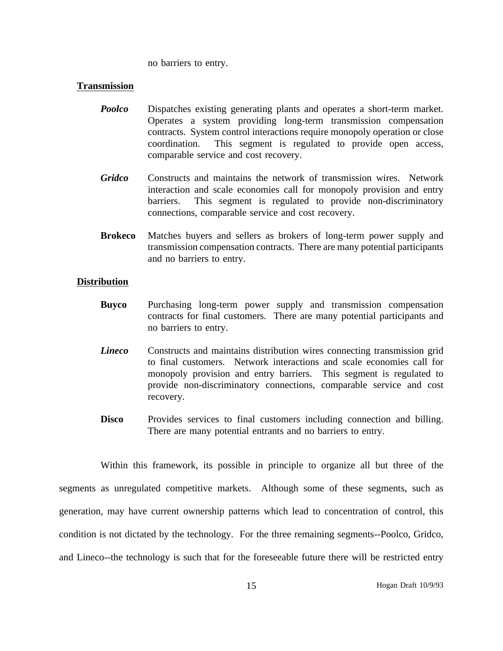no barriers to entry.

## **Transmission**

- *Poolco* Dispatches existing generating plants and operates a short-term market. Operates a system providing long-term transmission compensation contracts. System control interactions require monopoly operation or close coordination. This segment is regulated to provide open access, comparable service and cost recovery.
- *Gridco* Constructs and maintains the network of transmission wires. Network interaction and scale economies call for monopoly provision and entry barriers. This segment is regulated to provide non-discriminatory connections, comparable service and cost recovery.
- **Brokeco** Matches buyers and sellers as brokers of long-term power supply and transmission compensation contracts. There are many potential participants and no barriers to entry.

## **Distribution**

- **Buyco** Purchasing long-term power supply and transmission compensation contracts for final customers. There are many potential participants and no barriers to entry.
- *Lineco* Constructs and maintains distribution wires connecting transmission grid to final customers. Network interactions and scale economies call for monopoly provision and entry barriers. This segment is regulated to provide non-discriminatory connections, comparable service and cost recovery.
- **Disco** Provides services to final customers including connection and billing. There are many potential entrants and no barriers to entry.

Within this framework, its possible in principle to organize all but three of the segments as unregulated competitive markets. Although some of these segments, such as generation, may have current ownership patterns which lead to concentration of control, this condition is not dictated by the technology. For the three remaining segments--Poolco, Gridco, and Lineco--the technology is such that for the foreseeable future there will be restricted entry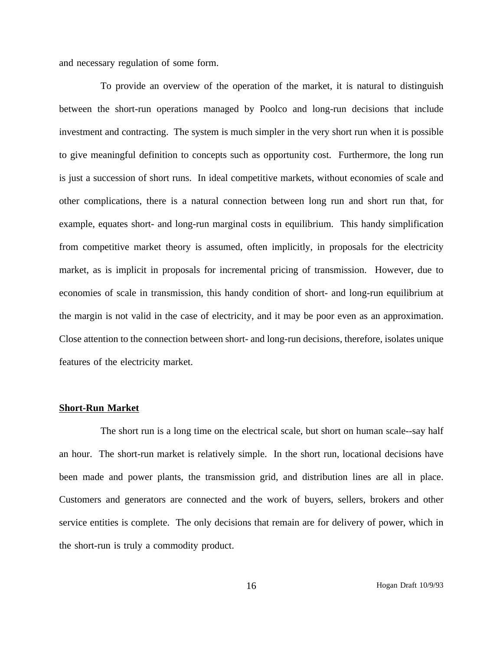and necessary regulation of some form.

To provide an overview of the operation of the market, it is natural to distinguish between the short-run operations managed by Poolco and long-run decisions that include investment and contracting. The system is much simpler in the very short run when it is possible to give meaningful definition to concepts such as opportunity cost. Furthermore, the long run is just a succession of short runs. In ideal competitive markets, without economies of scale and other complications, there is a natural connection between long run and short run that, for example, equates short- and long-run marginal costs in equilibrium. This handy simplification from competitive market theory is assumed, often implicitly, in proposals for the electricity market, as is implicit in proposals for incremental pricing of transmission. However, due to economies of scale in transmission, this handy condition of short- and long-run equilibrium at the margin is not valid in the case of electricity, and it may be poor even as an approximation. Close attention to the connection between short- and long-run decisions, therefore, isolates unique features of the electricity market.

#### **Short-Run Market**

The short run is a long time on the electrical scale, but short on human scale--say half an hour. The short-run market is relatively simple. In the short run, locational decisions have been made and power plants, the transmission grid, and distribution lines are all in place. Customers and generators are connected and the work of buyers, sellers, brokers and other service entities is complete. The only decisions that remain are for delivery of power, which in the short-run is truly a commodity product.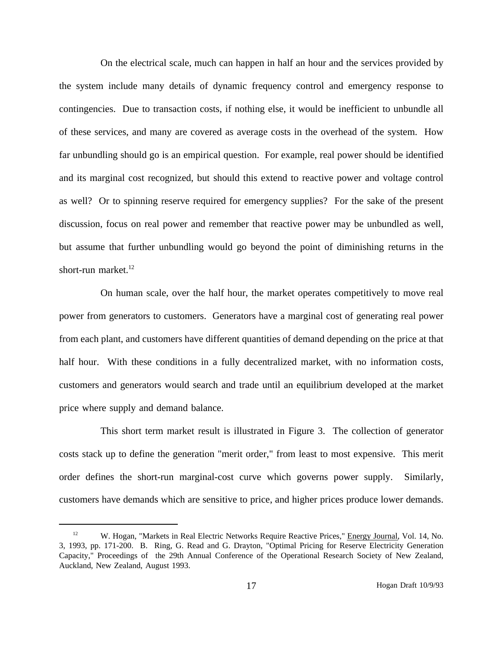On the electrical scale, much can happen in half an hour and the services provided by the system include many details of dynamic frequency control and emergency response to contingencies. Due to transaction costs, if nothing else, it would be inefficient to unbundle all of these services, and many are covered as average costs in the overhead of the system. How far unbundling should go is an empirical question. For example, real power should be identified and its marginal cost recognized, but should this extend to reactive power and voltage control as well? Or to spinning reserve required for emergency supplies? For the sake of the present discussion, focus on real power and remember that reactive power may be unbundled as well, but assume that further unbundling would go beyond the point of diminishing returns in the short-run market. $^{12}$ 

On human scale, over the half hour, the market operates competitively to move real power from generators to customers. Generators have a marginal cost of generating real power from each plant, and customers have different quantities of demand depending on the price at that half hour. With these conditions in a fully decentralized market, with no information costs, customers and generators would search and trade until an equilibrium developed at the market price where supply and demand balance.

This short term market result is illustrated in Figure 3. The collection of generator costs stack up to define the generation "merit order," from least to most expensive. This merit order defines the short-run marginal-cost curve which governs power supply. Similarly, customers have demands which are sensitive to price, and higher prices produce lower demands.

<sup>&</sup>lt;sup>12</sup> W. Hogan, "Markets in Real Electric Networks Require Reactive Prices," Energy Journal, Vol. 14, No. 3, 1993, pp. 171-200. B. Ring, G. Read and G. Drayton, "Optimal Pricing for Reserve Electricity Generation Capacity," Proceedings of the 29th Annual Conference of the Operational Research Society of New Zealand, Auckland, New Zealand, August 1993.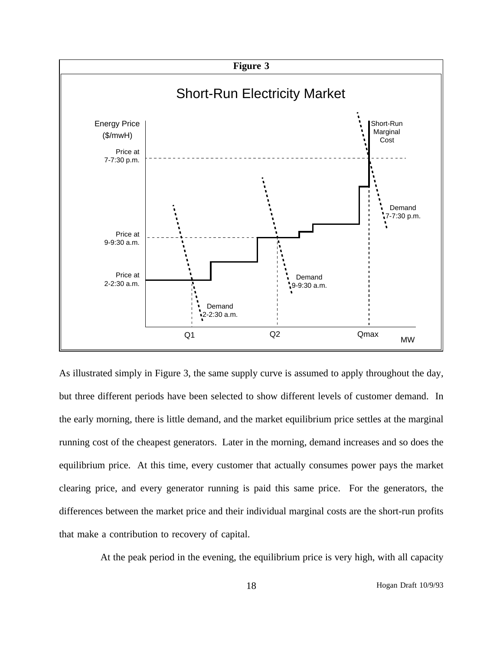

As illustrated simply in Figure 3, the same supply curve is assumed to apply throughout the day, but three different periods have been selected to show different levels of customer demand. In the early morning, there is little demand, and the market equilibrium price settles at the marginal running cost of the cheapest generators. Later in the morning, demand increases and so does the equilibrium price. At this time, every customer that actually consumes power pays the market clearing price, and every generator running is paid this same price. For the generators, the differences between the market price and their individual marginal costs are the short-run profits that make a contribution to recovery of capital.

At the peak period in the evening, the equilibrium price is very high, with all capacity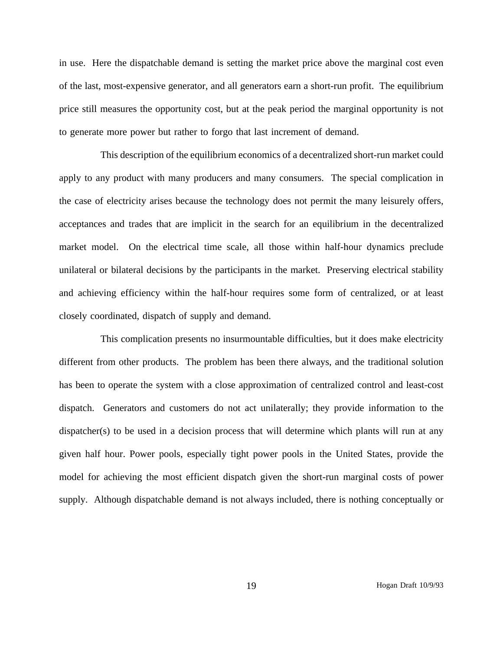in use. Here the dispatchable demand is setting the market price above the marginal cost even of the last, most-expensive generator, and all generators earn a short-run profit. The equilibrium price still measures the opportunity cost, but at the peak period the marginal opportunity is not to generate more power but rather to forgo that last increment of demand.

This description of the equilibrium economics of a decentralized short-run market could apply to any product with many producers and many consumers. The special complication in the case of electricity arises because the technology does not permit the many leisurely offers, acceptances and trades that are implicit in the search for an equilibrium in the decentralized market model. On the electrical time scale, all those within half-hour dynamics preclude unilateral or bilateral decisions by the participants in the market. Preserving electrical stability and achieving efficiency within the half-hour requires some form of centralized, or at least closely coordinated, dispatch of supply and demand.

This complication presents no insurmountable difficulties, but it does make electricity different from other products. The problem has been there always, and the traditional solution has been to operate the system with a close approximation of centralized control and least-cost dispatch. Generators and customers do not act unilaterally; they provide information to the dispatcher(s) to be used in a decision process that will determine which plants will run at any given half hour. Power pools, especially tight power pools in the United States, provide the model for achieving the most efficient dispatch given the short-run marginal costs of power supply. Although dispatchable demand is not always included, there is nothing conceptually or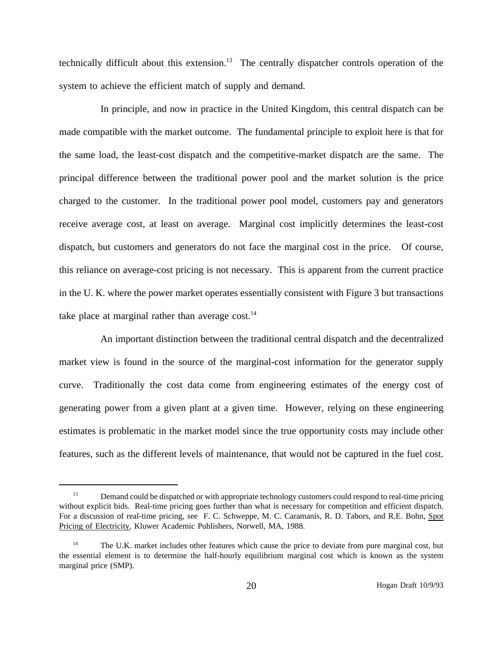technically difficult about this extension.<sup>13</sup> The centrally dispatcher controls operation of the system to achieve the efficient match of supply and demand.

In principle, and now in practice in the United Kingdom, this central dispatch can be made compatible with the market outcome. The fundamental principle to exploit here is that for the same load, the least-cost dispatch and the competitive-market dispatch are the same. The principal difference between the traditional power pool and the market solution is the price charged to the customer. In the traditional power pool model, customers pay and generators receive average cost, at least on average. Marginal cost implicitly determines the least-cost dispatch, but customers and generators do not face the marginal cost in the price. Of course, this reliance on average-cost pricing is not necessary. This is apparent from the current practice in the U. K. where the power market operates essentially consistent with Figure 3 but transactions take place at marginal rather than average  $cost.^{14}$ 

An important distinction between the traditional central dispatch and the decentralized market view is found in the source of the marginal-cost information for the generator supply curve. Traditionally the cost data come from engineering estimates of the energy cost of generating power from a given plant at a given time. However, relying on these engineering estimates is problematic in the market model since the true opportunity costs may include other features, such as the different levels of maintenance, that would not be captured in the fuel cost.

<sup>&</sup>lt;sup>13</sup> Demand could be dispatched or with appropriate technology customers could respond to real-time pricing without explicit bids. Real-time pricing goes further than what is necessary for competition and efficient dispatch. For a discussion of real-time pricing, see F. C. Schweppe, M. C. Caramanis, R. D. Tabors, and R.E. Bohn, Spot Pricing of Electricity, Kluwer Academic Publishers, Norwell, MA, 1988.

<sup>&</sup>lt;sup>14</sup> The U.K. market includes other features which cause the price to deviate from pure marginal cost, but the essential element is to determine the half-hourly equilibrium marginal cost which is known as the system marginal price (SMP).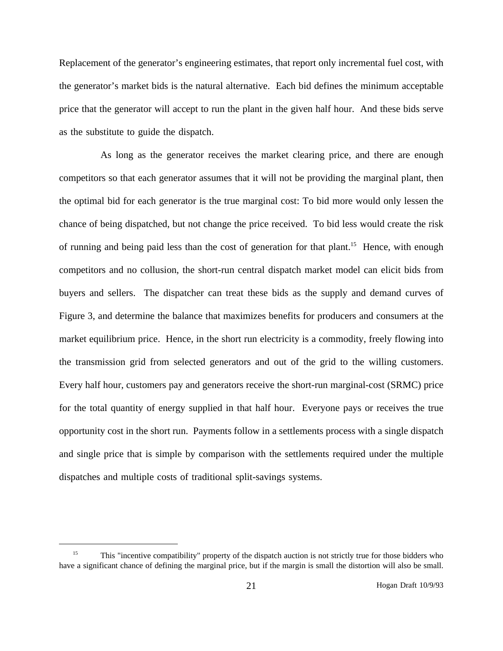Replacement of the generator's engineering estimates, that report only incremental fuel cost, with the generator's market bids is the natural alternative. Each bid defines the minimum acceptable price that the generator will accept to run the plant in the given half hour. And these bids serve as the substitute to guide the dispatch.

As long as the generator receives the market clearing price, and there are enough competitors so that each generator assumes that it will not be providing the marginal plant, then the optimal bid for each generator is the true marginal cost: To bid more would only lessen the chance of being dispatched, but not change the price received. To bid less would create the risk of running and being paid less than the cost of generation for that plant.<sup>15</sup> Hence, with enough competitors and no collusion, the short-run central dispatch market model can elicit bids from buyers and sellers. The dispatcher can treat these bids as the supply and demand curves of Figure 3, and determine the balance that maximizes benefits for producers and consumers at the market equilibrium price. Hence, in the short run electricity is a commodity, freely flowing into the transmission grid from selected generators and out of the grid to the willing customers. Every half hour, customers pay and generators receive the short-run marginal-cost (SRMC) price for the total quantity of energy supplied in that half hour. Everyone pays or receives the true opportunity cost in the short run. Payments follow in a settlements process with a single dispatch and single price that is simple by comparison with the settlements required under the multiple dispatches and multiple costs of traditional split-savings systems.

<sup>&</sup>lt;sup>15</sup> This "incentive compatibility" property of the dispatch auction is not strictly true for those bidders who have a significant chance of defining the marginal price, but if the margin is small the distortion will also be small.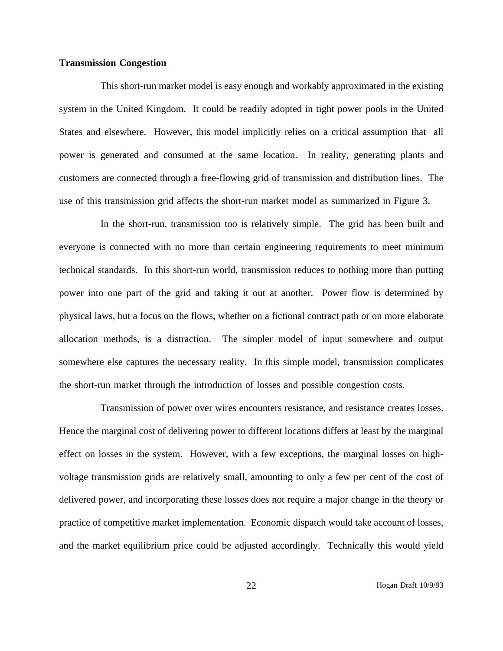#### **Transmission Congestion**

This short-run market model is easy enough and workably approximated in the existing system in the United Kingdom. It could be readily adopted in tight power pools in the United States and elsewhere. However, this model implicitly relies on a critical assumption that all power is generated and consumed at the same location. In reality, generating plants and customers are connected through a free-flowing grid of transmission and distribution lines. The use of this transmission grid affects the short-run market model as summarized in Figure 3.

In the short-run, transmission too is relatively simple. The grid has been built and everyone is connected with no more than certain engineering requirements to meet minimum technical standards. In this short-run world, transmission reduces to nothing more than putting power into one part of the grid and taking it out at another. Power flow is determined by physical laws, but a focus on the flows, whether on a fictional contract path or on more elaborate allocation methods, is a distraction. The simpler model of input somewhere and output somewhere else captures the necessary reality. In this simple model, transmission complicates the short-run market through the introduction of losses and possible congestion costs.

Transmission of power over wires encounters resistance, and resistance creates losses. Hence the marginal cost of delivering power to different locations differs at least by the marginal effect on losses in the system. However, with a few exceptions, the marginal losses on highvoltage transmission grids are relatively small, amounting to only a few per cent of the cost of delivered power, and incorporating these losses does not require a major change in the theory or practice of competitive market implementation. Economic dispatch would take account of losses, and the market equilibrium price could be adjusted accordingly. Technically this would yield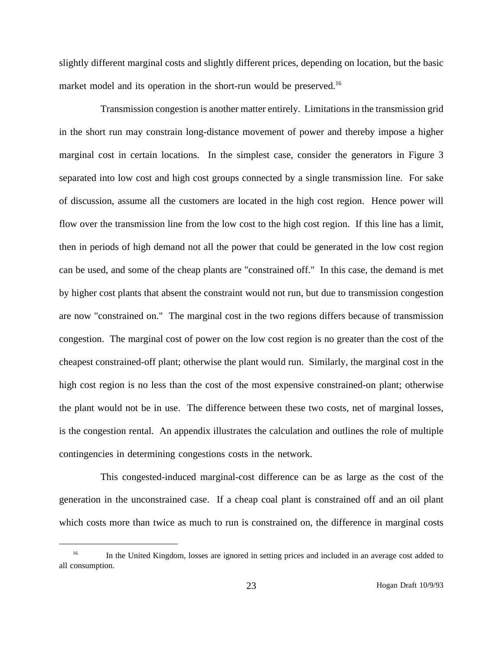slightly different marginal costs and slightly different prices, depending on location, but the basic market model and its operation in the short-run would be preserved.<sup>16</sup>

Transmission congestion is another matter entirely. Limitations in the transmission grid in the short run may constrain long-distance movement of power and thereby impose a higher marginal cost in certain locations. In the simplest case, consider the generators in Figure 3 separated into low cost and high cost groups connected by a single transmission line. For sake of discussion, assume all the customers are located in the high cost region. Hence power will flow over the transmission line from the low cost to the high cost region. If this line has a limit, then in periods of high demand not all the power that could be generated in the low cost region can be used, and some of the cheap plants are "constrained off." In this case, the demand is met by higher cost plants that absent the constraint would not run, but due to transmission congestion are now "constrained on." The marginal cost in the two regions differs because of transmission congestion. The marginal cost of power on the low cost region is no greater than the cost of the cheapest constrained-off plant; otherwise the plant would run. Similarly, the marginal cost in the high cost region is no less than the cost of the most expensive constrained-on plant; otherwise the plant would not be in use. The difference between these two costs, net of marginal losses, is the congestion rental. An appendix illustrates the calculation and outlines the role of multiple contingencies in determining congestions costs in the network.

This congested-induced marginal-cost difference can be as large as the cost of the generation in the unconstrained case. If a cheap coal plant is constrained off and an oil plant which costs more than twice as much to run is constrained on, the difference in marginal costs

<sup>&</sup>lt;sup>16</sup> In the United Kingdom, losses are ignored in setting prices and included in an average cost added to all consumption.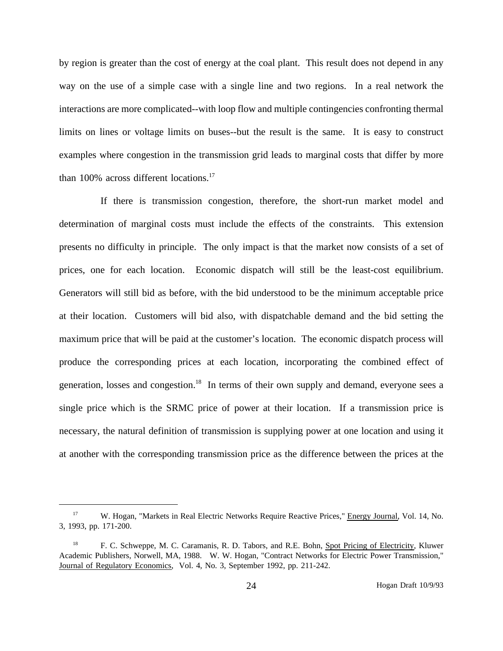by region is greater than the cost of energy at the coal plant. This result does not depend in any way on the use of a simple case with a single line and two regions. In a real network the interactions are more complicated--with loop flow and multiple contingencies confronting thermal limits on lines or voltage limits on buses--but the result is the same. It is easy to construct examples where congestion in the transmission grid leads to marginal costs that differ by more than 100% across different locations.<sup>17</sup>

If there is transmission congestion, therefore, the short-run market model and determination of marginal costs must include the effects of the constraints. This extension presents no difficulty in principle. The only impact is that the market now consists of a set of prices, one for each location. Economic dispatch will still be the least-cost equilibrium. Generators will still bid as before, with the bid understood to be the minimum acceptable price at their location. Customers will bid also, with dispatchable demand and the bid setting the maximum price that will be paid at the customer's location. The economic dispatch process will produce the corresponding prices at each location, incorporating the combined effect of generation, losses and congestion.<sup>18</sup> In terms of their own supply and demand, everyone sees a single price which is the SRMC price of power at their location. If a transmission price is necessary, the natural definition of transmission is supplying power at one location and using it at another with the corresponding transmission price as the difference between the prices at the

<sup>&</sup>lt;sup>17</sup> W. Hogan, "Markets in Real Electric Networks Require Reactive Prices," Energy Journal, Vol. 14, No. 3, 1993, pp. 171-200.

<sup>&</sup>lt;sup>18</sup> F. C. Schweppe, M. C. Caramanis, R. D. Tabors, and R.E. Bohn, Spot Pricing of Electricity, Kluwer Academic Publishers, Norwell, MA, 1988. W. W. Hogan, "Contract Networks for Electric Power Transmission," Journal of Regulatory Economics, Vol. 4, No. 3, September 1992, pp. 211-242.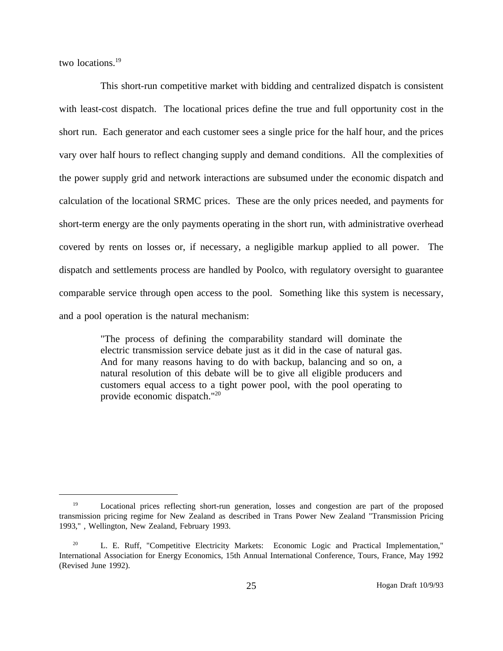two locations.<sup>19</sup>

This short-run competitive market with bidding and centralized dispatch is consistent with least-cost dispatch. The locational prices define the true and full opportunity cost in the short run. Each generator and each customer sees a single price for the half hour, and the prices vary over half hours to reflect changing supply and demand conditions. All the complexities of the power supply grid and network interactions are subsumed under the economic dispatch and calculation of the locational SRMC prices. These are the only prices needed, and payments for short-term energy are the only payments operating in the short run, with administrative overhead covered by rents on losses or, if necessary, a negligible markup applied to all power. The dispatch and settlements process are handled by Poolco, with regulatory oversight to guarantee comparable service through open access to the pool. Something like this system is necessary, and a pool operation is the natural mechanism:

> "The process of defining the comparability standard will dominate the electric transmission service debate just as it did in the case of natural gas. And for many reasons having to do with backup, balancing and so on, a natural resolution of this debate will be to give all eligible producers and customers equal access to a tight power pool, with the pool operating to provide economic dispatch."20

<sup>&</sup>lt;sup>19</sup> Locational prices reflecting short-run generation, losses and congestion are part of the proposed transmission pricing regime for New Zealand as described in Trans Power New Zealand "Transmission Pricing 1993," , Wellington, New Zealand, February 1993.

<sup>&</sup>lt;sup>20</sup> L. E. Ruff, "Competitive Electricity Markets: Economic Logic and Practical Implementation," International Association for Energy Economics, 15th Annual International Conference, Tours, France, May 1992 (Revised June 1992).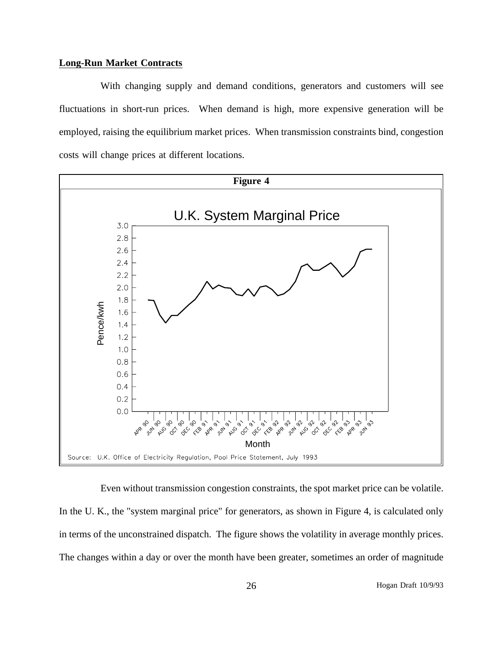#### **Long-Run Market Contracts**

With changing supply and demand conditions, generators and customers will see fluctuations in short-run prices. When demand is high, more expensive generation will be employed, raising the equilibrium market prices. When transmission constraints bind, congestion costs will change prices at different locations.



Even without transmission congestion constraints, the spot market price can be volatile. In the U. K., the "system marginal price" for generators, as shown in Figure 4, is calculated only in terms of the unconstrained dispatch. The figure shows the volatility in average monthly prices. The changes within a day or over the month have been greater, sometimes an order of magnitude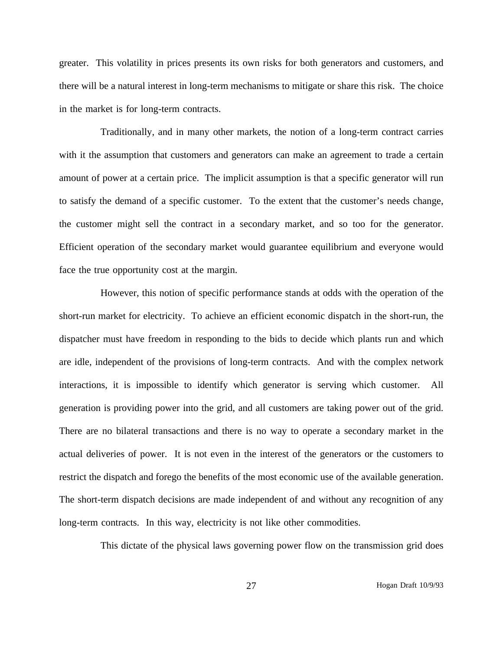greater. This volatility in prices presents its own risks for both generators and customers, and there will be a natural interest in long-term mechanisms to mitigate or share this risk. The choice in the market is for long-term contracts.

Traditionally, and in many other markets, the notion of a long-term contract carries with it the assumption that customers and generators can make an agreement to trade a certain amount of power at a certain price. The implicit assumption is that a specific generator will run to satisfy the demand of a specific customer. To the extent that the customer's needs change, the customer might sell the contract in a secondary market, and so too for the generator. Efficient operation of the secondary market would guarantee equilibrium and everyone would face the true opportunity cost at the margin.

However, this notion of specific performance stands at odds with the operation of the short-run market for electricity. To achieve an efficient economic dispatch in the short-run, the dispatcher must have freedom in responding to the bids to decide which plants run and which are idle, independent of the provisions of long-term contracts. And with the complex network interactions, it is impossible to identify which generator is serving which customer. All generation is providing power into the grid, and all customers are taking power out of the grid. There are no bilateral transactions and there is no way to operate a secondary market in the actual deliveries of power. It is not even in the interest of the generators or the customers to restrict the dispatch and forego the benefits of the most economic use of the available generation. The short-term dispatch decisions are made independent of and without any recognition of any long-term contracts. In this way, electricity is not like other commodities.

This dictate of the physical laws governing power flow on the transmission grid does

27 Hogan Draft 10/9/93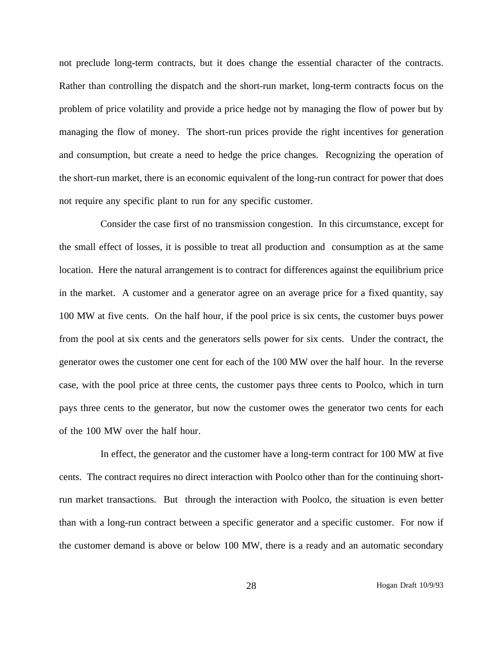not preclude long-term contracts, but it does change the essential character of the contracts. Rather than controlling the dispatch and the short-run market, long-term contracts focus on the problem of price volatility and provide a price hedge not by managing the flow of power but by managing the flow of money. The short-run prices provide the right incentives for generation and consumption, but create a need to hedge the price changes. Recognizing the operation of the short-run market, there is an economic equivalent of the long-run contract for power that does not require any specific plant to run for any specific customer.

Consider the case first of no transmission congestion. In this circumstance, except for the small effect of losses, it is possible to treat all production and consumption as at the same location. Here the natural arrangement is to contract for differences against the equilibrium price in the market. A customer and a generator agree on an average price for a fixed quantity, say 100 MW at five cents. On the half hour, if the pool price is six cents, the customer buys power from the pool at six cents and the generators sells power for six cents. Under the contract, the generator owes the customer one cent for each of the 100 MW over the half hour. In the reverse case, with the pool price at three cents, the customer pays three cents to Poolco, which in turn pays three cents to the generator, but now the customer owes the generator two cents for each of the 100 MW over the half hour.

In effect, the generator and the customer have a long-term contract for 100 MW at five cents. The contract requires no direct interaction with Poolco other than for the continuing shortrun market transactions. But through the interaction with Poolco, the situation is even better than with a long-run contract between a specific generator and a specific customer. For now if the customer demand is above or below 100 MW, there is a ready and an automatic secondary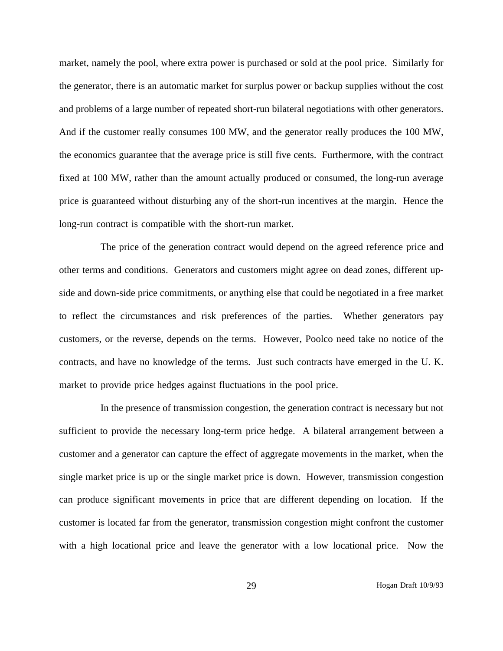market, namely the pool, where extra power is purchased or sold at the pool price. Similarly for the generator, there is an automatic market for surplus power or backup supplies without the cost and problems of a large number of repeated short-run bilateral negotiations with other generators. And if the customer really consumes 100 MW, and the generator really produces the 100 MW, the economics guarantee that the average price is still five cents. Furthermore, with the contract fixed at 100 MW, rather than the amount actually produced or consumed, the long-run average price is guaranteed without disturbing any of the short-run incentives at the margin. Hence the long-run contract is compatible with the short-run market.

The price of the generation contract would depend on the agreed reference price and other terms and conditions. Generators and customers might agree on dead zones, different upside and down-side price commitments, or anything else that could be negotiated in a free market to reflect the circumstances and risk preferences of the parties. Whether generators pay customers, or the reverse, depends on the terms. However, Poolco need take no notice of the contracts, and have no knowledge of the terms. Just such contracts have emerged in the U. K. market to provide price hedges against fluctuations in the pool price.

In the presence of transmission congestion, the generation contract is necessary but not sufficient to provide the necessary long-term price hedge. A bilateral arrangement between a customer and a generator can capture the effect of aggregate movements in the market, when the single market price is up or the single market price is down. However, transmission congestion can produce significant movements in price that are different depending on location. If the customer is located far from the generator, transmission congestion might confront the customer with a high locational price and leave the generator with a low locational price. Now the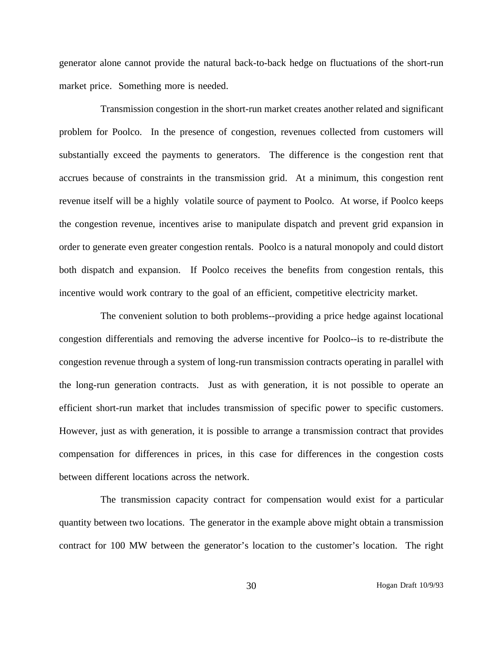generator alone cannot provide the natural back-to-back hedge on fluctuations of the short-run market price. Something more is needed.

Transmission congestion in the short-run market creates another related and significant problem for Poolco. In the presence of congestion, revenues collected from customers will substantially exceed the payments to generators. The difference is the congestion rent that accrues because of constraints in the transmission grid. At a minimum, this congestion rent revenue itself will be a highly volatile source of payment to Poolco. At worse, if Poolco keeps the congestion revenue, incentives arise to manipulate dispatch and prevent grid expansion in order to generate even greater congestion rentals. Poolco is a natural monopoly and could distort both dispatch and expansion. If Poolco receives the benefits from congestion rentals, this incentive would work contrary to the goal of an efficient, competitive electricity market.

The convenient solution to both problems--providing a price hedge against locational congestion differentials and removing the adverse incentive for Poolco--is to re-distribute the congestion revenue through a system of long-run transmission contracts operating in parallel with the long-run generation contracts. Just as with generation, it is not possible to operate an efficient short-run market that includes transmission of specific power to specific customers. However, just as with generation, it is possible to arrange a transmission contract that provides compensation for differences in prices, in this case for differences in the congestion costs between different locations across the network.

The transmission capacity contract for compensation would exist for a particular quantity between two locations. The generator in the example above might obtain a transmission contract for 100 MW between the generator's location to the customer's location. The right

30 Hogan Draft 10/9/93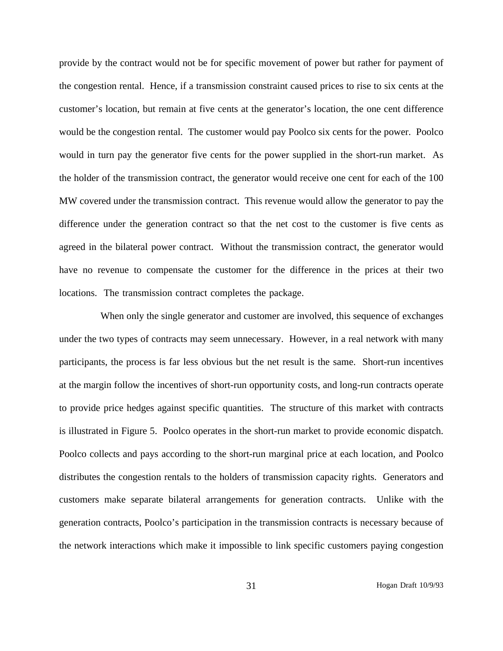provide by the contract would not be for specific movement of power but rather for payment of the congestion rental. Hence, if a transmission constraint caused prices to rise to six cents at the customer's location, but remain at five cents at the generator's location, the one cent difference would be the congestion rental. The customer would pay Poolco six cents for the power. Poolco would in turn pay the generator five cents for the power supplied in the short-run market. As the holder of the transmission contract, the generator would receive one cent for each of the 100 MW covered under the transmission contract. This revenue would allow the generator to pay the difference under the generation contract so that the net cost to the customer is five cents as agreed in the bilateral power contract. Without the transmission contract, the generator would have no revenue to compensate the customer for the difference in the prices at their two locations. The transmission contract completes the package.

When only the single generator and customer are involved, this sequence of exchanges under the two types of contracts may seem unnecessary. However, in a real network with many participants, the process is far less obvious but the net result is the same. Short-run incentives at the margin follow the incentives of short-run opportunity costs, and long-run contracts operate to provide price hedges against specific quantities. The structure of this market with contracts is illustrated in Figure 5. Poolco operates in the short-run market to provide economic dispatch. Poolco collects and pays according to the short-run marginal price at each location, and Poolco distributes the congestion rentals to the holders of transmission capacity rights. Generators and customers make separate bilateral arrangements for generation contracts. Unlike with the generation contracts, Poolco's participation in the transmission contracts is necessary because of the network interactions which make it impossible to link specific customers paying congestion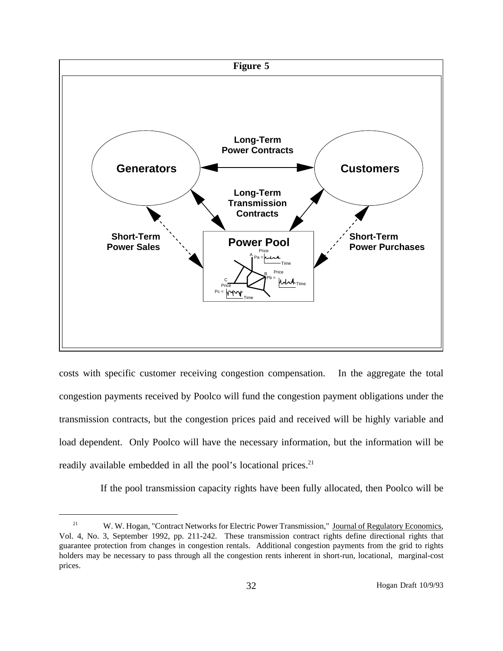

costs with specific customer receiving congestion compensation. In the aggregate the total congestion payments received by Poolco will fund the congestion payment obligations under the transmission contracts, but the congestion prices paid and received will be highly variable and load dependent. Only Poolco will have the necessary information, but the information will be readily available embedded in all the pool's locational prices.<sup>21</sup>

If the pool transmission capacity rights have been fully allocated, then Poolco will be

<sup>&</sup>lt;sup>21</sup> W. W. Hogan, "Contract Networks for Electric Power Transmission," Journal of Regulatory Economics, Vol. 4, No. 3, September 1992, pp. 211-242. These transmission contract rights define directional rights that guarantee protection from changes in congestion rentals. Additional congestion payments from the grid to rights holders may be necessary to pass through all the congestion rents inherent in short-run, locational, marginal-cost prices.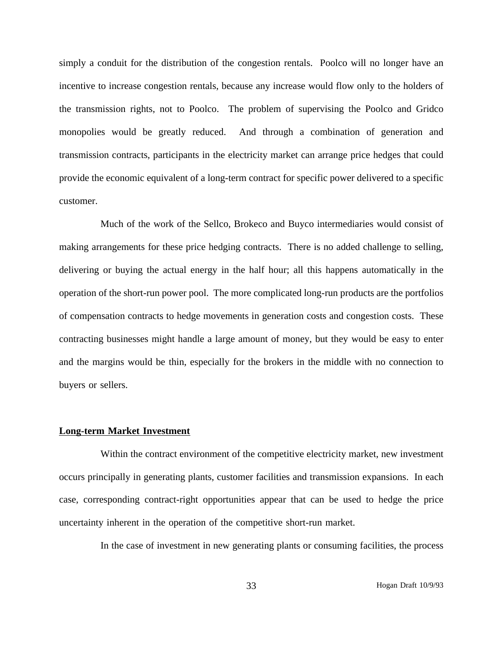simply a conduit for the distribution of the congestion rentals. Poolco will no longer have an incentive to increase congestion rentals, because any increase would flow only to the holders of the transmission rights, not to Poolco. The problem of supervising the Poolco and Gridco monopolies would be greatly reduced. And through a combination of generation and transmission contracts, participants in the electricity market can arrange price hedges that could provide the economic equivalent of a long-term contract for specific power delivered to a specific customer.

Much of the work of the Sellco, Brokeco and Buyco intermediaries would consist of making arrangements for these price hedging contracts. There is no added challenge to selling, delivering or buying the actual energy in the half hour; all this happens automatically in the operation of the short-run power pool. The more complicated long-run products are the portfolios of compensation contracts to hedge movements in generation costs and congestion costs. These contracting businesses might handle a large amount of money, but they would be easy to enter and the margins would be thin, especially for the brokers in the middle with no connection to buyers or sellers.

### **Long-term Market Investment**

Within the contract environment of the competitive electricity market, new investment occurs principally in generating plants, customer facilities and transmission expansions. In each case, corresponding contract-right opportunities appear that can be used to hedge the price uncertainty inherent in the operation of the competitive short-run market.

In the case of investment in new generating plants or consuming facilities, the process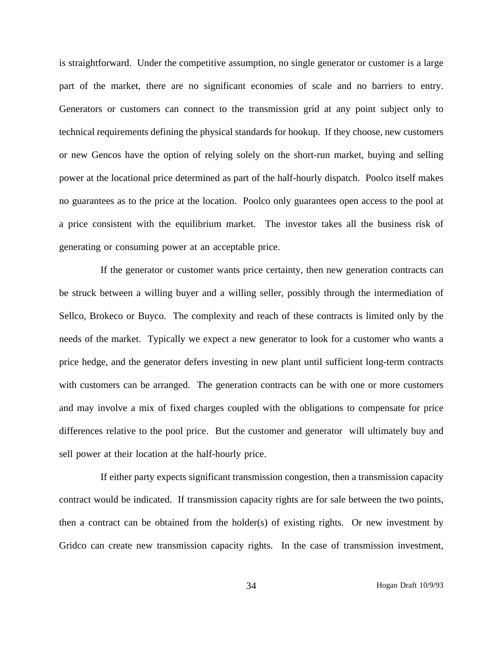is straightforward. Under the competitive assumption, no single generator or customer is a large part of the market, there are no significant economies of scale and no barriers to entry. Generators or customers can connect to the transmission grid at any point subject only to technical requirements defining the physical standards for hookup. If they choose, new customers or new Gencos have the option of relying solely on the short-run market, buying and selling power at the locational price determined as part of the half-hourly dispatch. Poolco itself makes no guarantees as to the price at the location. Poolco only guarantees open access to the pool at a price consistent with the equilibrium market. The investor takes all the business risk of generating or consuming power at an acceptable price.

If the generator or customer wants price certainty, then new generation contracts can be struck between a willing buyer and a willing seller, possibly through the intermediation of Sellco, Brokeco or Buyco. The complexity and reach of these contracts is limited only by the needs of the market. Typically we expect a new generator to look for a customer who wants a price hedge, and the generator defers investing in new plant until sufficient long-term contracts with customers can be arranged. The generation contracts can be with one or more customers and may involve a mix of fixed charges coupled with the obligations to compensate for price differences relative to the pool price. But the customer and generator will ultimately buy and sell power at their location at the half-hourly price.

If either party expects significant transmission congestion, then a transmission capacity contract would be indicated. If transmission capacity rights are for sale between the two points, then a contract can be obtained from the holder(s) of existing rights. Or new investment by Gridco can create new transmission capacity rights. In the case of transmission investment,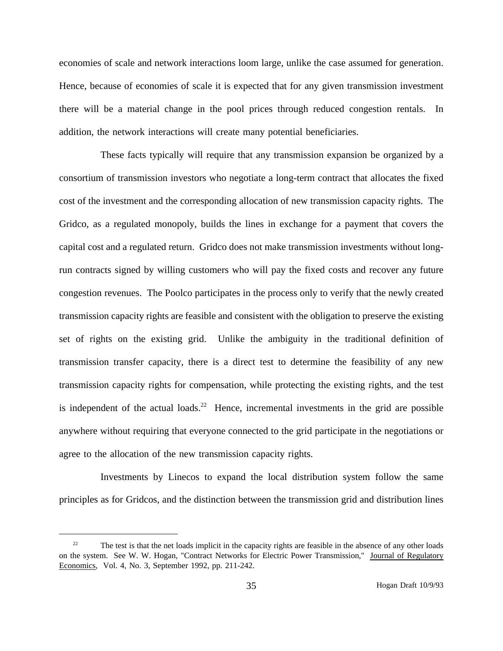economies of scale and network interactions loom large, unlike the case assumed for generation. Hence, because of economies of scale it is expected that for any given transmission investment there will be a material change in the pool prices through reduced congestion rentals. In addition, the network interactions will create many potential beneficiaries.

These facts typically will require that any transmission expansion be organized by a consortium of transmission investors who negotiate a long-term contract that allocates the fixed cost of the investment and the corresponding allocation of new transmission capacity rights. The Gridco, as a regulated monopoly, builds the lines in exchange for a payment that covers the capital cost and a regulated return. Gridco does not make transmission investments without longrun contracts signed by willing customers who will pay the fixed costs and recover any future congestion revenues. The Poolco participates in the process only to verify that the newly created transmission capacity rights are feasible and consistent with the obligation to preserve the existing set of rights on the existing grid. Unlike the ambiguity in the traditional definition of transmission transfer capacity, there is a direct test to determine the feasibility of any new transmission capacity rights for compensation, while protecting the existing rights, and the test is independent of the actual loads.<sup>22</sup> Hence, incremental investments in the grid are possible anywhere without requiring that everyone connected to the grid participate in the negotiations or agree to the allocation of the new transmission capacity rights.

Investments by Linecos to expand the local distribution system follow the same principles as for Gridcos, and the distinction between the transmission grid and distribution lines

<sup>&</sup>lt;sup>22</sup> The test is that the net loads implicit in the capacity rights are feasible in the absence of any other loads on the system. See W. W. Hogan, "Contract Networks for Electric Power Transmission," Journal of Regulatory Economics, Vol. 4, No. 3, September 1992, pp. 211-242.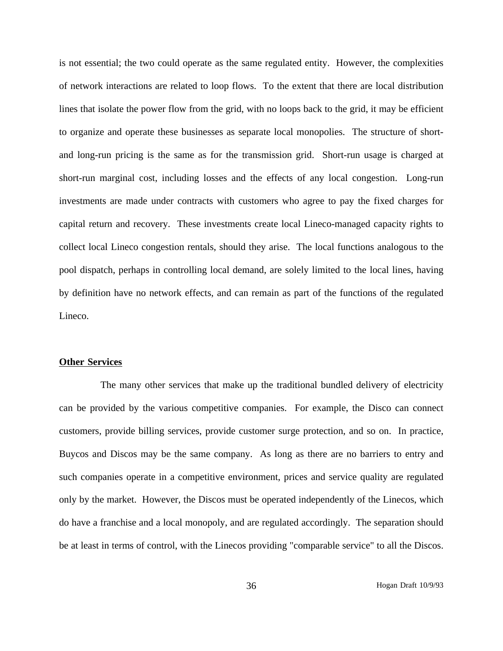is not essential; the two could operate as the same regulated entity. However, the complexities of network interactions are related to loop flows. To the extent that there are local distribution lines that isolate the power flow from the grid, with no loops back to the grid, it may be efficient to organize and operate these businesses as separate local monopolies. The structure of shortand long-run pricing is the same as for the transmission grid. Short-run usage is charged at short-run marginal cost, including losses and the effects of any local congestion. Long-run investments are made under contracts with customers who agree to pay the fixed charges for capital return and recovery. These investments create local Lineco-managed capacity rights to collect local Lineco congestion rentals, should they arise. The local functions analogous to the pool dispatch, perhaps in controlling local demand, are solely limited to the local lines, having by definition have no network effects, and can remain as part of the functions of the regulated Lineco.

# **Other Services**

The many other services that make up the traditional bundled delivery of electricity can be provided by the various competitive companies. For example, the Disco can connect customers, provide billing services, provide customer surge protection, and so on. In practice, Buycos and Discos may be the same company. As long as there are no barriers to entry and such companies operate in a competitive environment, prices and service quality are regulated only by the market. However, the Discos must be operated independently of the Linecos, which do have a franchise and a local monopoly, and are regulated accordingly. The separation should be at least in terms of control, with the Linecos providing "comparable service" to all the Discos.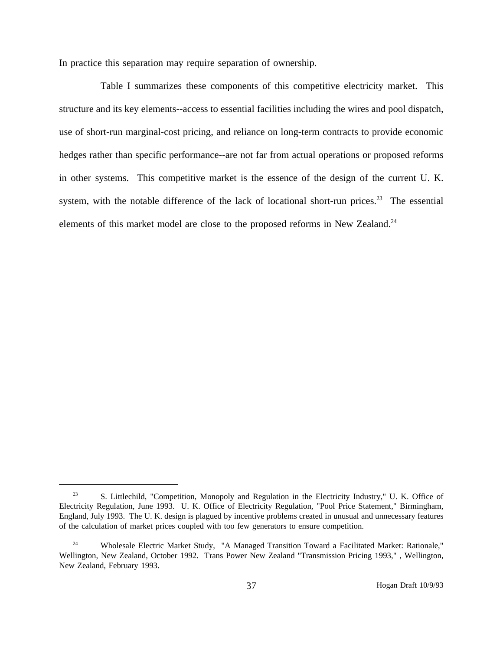In practice this separation may require separation of ownership.

Table I summarizes these components of this competitive electricity market. This structure and its key elements--access to essential facilities including the wires and pool dispatch, use of short-run marginal-cost pricing, and reliance on long-term contracts to provide economic hedges rather than specific performance--are not far from actual operations or proposed reforms in other systems. This competitive market is the essence of the design of the current U. K. system, with the notable difference of the lack of locational short-run prices.<sup>23</sup> The essential elements of this market model are close to the proposed reforms in New Zealand.<sup>24</sup>

<sup>&</sup>lt;sup>23</sup> S. Littlechild, "Competition, Monopoly and Regulation in the Electricity Industry," U. K. Office of Electricity Regulation, June 1993. U. K. Office of Electricity Regulation, "Pool Price Statement," Birmingham, England, July 1993. The U. K. design is plagued by incentive problems created in unusual and unnecessary features of the calculation of market prices coupled with too few generators to ensure competition.

<sup>&</sup>lt;sup>24</sup> Wholesale Electric Market Study, "A Managed Transition Toward a Facilitated Market: Rationale," Wellington, New Zealand, October 1992. Trans Power New Zealand "Transmission Pricing 1993," , Wellington, New Zealand, February 1993.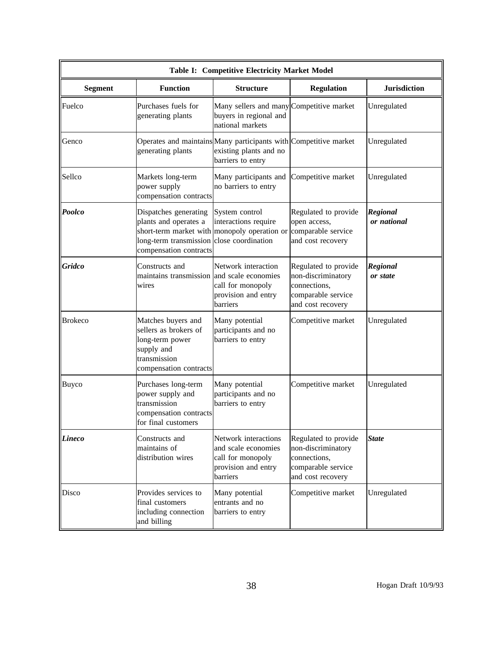| Table I: Competitive Electricity Market Model |                                                                                                                        |                                                                                                                 |                                                                                                       |                                |
|-----------------------------------------------|------------------------------------------------------------------------------------------------------------------------|-----------------------------------------------------------------------------------------------------------------|-------------------------------------------------------------------------------------------------------|--------------------------------|
| <b>Segment</b>                                | <b>Function</b>                                                                                                        | <b>Structure</b>                                                                                                | <b>Regulation</b>                                                                                     | <b>Jurisdiction</b>            |
| Fuelco                                        | Purchases fuels for<br>generating plants                                                                               | Many sellers and many Competitive market<br>buyers in regional and<br>national markets                          |                                                                                                       | Unregulated                    |
| Genco                                         | generating plants                                                                                                      | Operates and maintains Many participants with Competitive market<br>existing plants and no<br>barriers to entry |                                                                                                       | Unregulated                    |
| Sellco                                        | Markets long-term<br>power supply<br>compensation contracts                                                            | Many participants and<br>no barriers to entry                                                                   | Competitive market                                                                                    | Unregulated                    |
| Poolco                                        | Dispatches generating<br>plants and operates a<br>long-term transmission close coordination<br>compensation contracts  | System control<br>interactions require<br>short-term market with monopoly operation or comparable service       | Regulated to provide<br>open access,<br>and cost recovery                                             | <b>Regional</b><br>or national |
| Gridco                                        | Constructs and<br>maintains transmission and scale economies<br>wires                                                  | Network interaction<br>call for monopoly<br>provision and entry<br>barriers                                     | Regulated to provide<br>non-discriminatory<br>connections,<br>comparable service<br>and cost recovery | Regional<br>or state           |
| <b>Brokeco</b>                                | Matches buyers and<br>sellers as brokers of<br>long-term power<br>supply and<br>transmission<br>compensation contracts | Many potential<br>participants and no<br>barriers to entry                                                      | Competitive market                                                                                    | Unregulated                    |
| <b>Buyco</b>                                  | Purchases long-term<br>power supply and<br>transmission<br>compensation contracts<br>for final customers               | Many potential<br>participants and no<br>barriers to entry                                                      | Competitive market                                                                                    | Unregulated                    |
| Lineco                                        | Constructs and<br>maintains of<br>distribution wires                                                                   | Network interactions<br>and scale economies<br>call for monopoly<br>provision and entry<br>barriers             | Regulated to provide<br>non-discriminatory<br>connections,<br>comparable service<br>and cost recovery | <b>State</b>                   |
| Disco                                         | Provides services to<br>final customers<br>including connection<br>and billing                                         | Many potential<br>entrants and no<br>barriers to entry                                                          | Competitive market                                                                                    | Unregulated                    |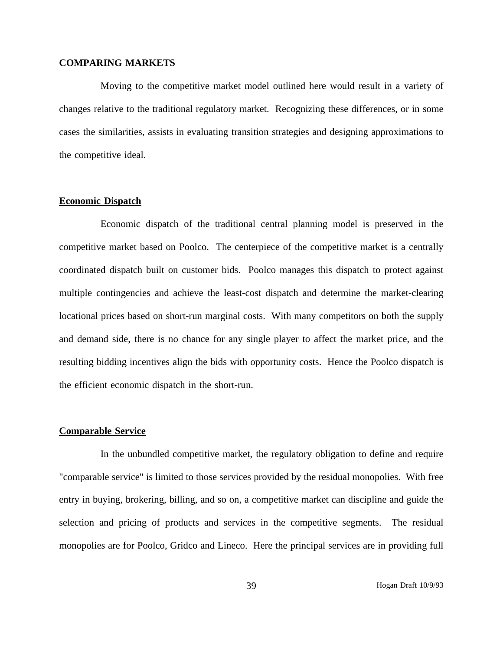## **COMPARING MARKETS**

Moving to the competitive market model outlined here would result in a variety of changes relative to the traditional regulatory market. Recognizing these differences, or in some cases the similarities, assists in evaluating transition strategies and designing approximations to the competitive ideal.

# **Economic Dispatch**

Economic dispatch of the traditional central planning model is preserved in the competitive market based on Poolco. The centerpiece of the competitive market is a centrally coordinated dispatch built on customer bids. Poolco manages this dispatch to protect against multiple contingencies and achieve the least-cost dispatch and determine the market-clearing locational prices based on short-run marginal costs. With many competitors on both the supply and demand side, there is no chance for any single player to affect the market price, and the resulting bidding incentives align the bids with opportunity costs. Hence the Poolco dispatch is the efficient economic dispatch in the short-run.

### **Comparable Service**

In the unbundled competitive market, the regulatory obligation to define and require "comparable service" is limited to those services provided by the residual monopolies. With free entry in buying, brokering, billing, and so on, a competitive market can discipline and guide the selection and pricing of products and services in the competitive segments. The residual monopolies are for Poolco, Gridco and Lineco. Here the principal services are in providing full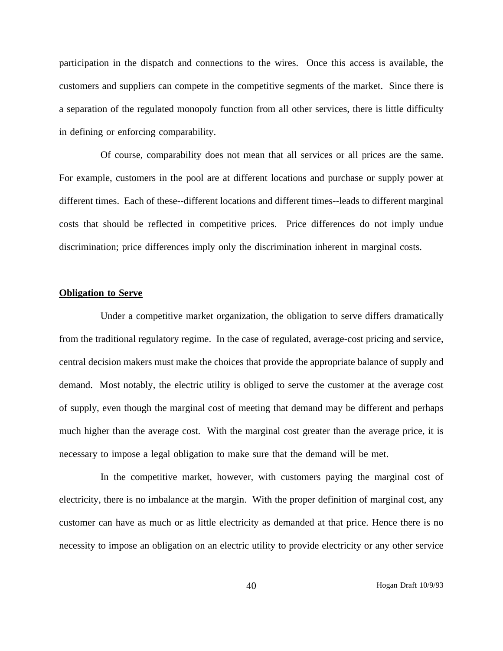participation in the dispatch and connections to the wires. Once this access is available, the customers and suppliers can compete in the competitive segments of the market. Since there is a separation of the regulated monopoly function from all other services, there is little difficulty in defining or enforcing comparability.

Of course, comparability does not mean that all services or all prices are the same. For example, customers in the pool are at different locations and purchase or supply power at different times. Each of these--different locations and different times--leads to different marginal costs that should be reflected in competitive prices. Price differences do not imply undue discrimination; price differences imply only the discrimination inherent in marginal costs.

#### **Obligation to Serve**

Under a competitive market organization, the obligation to serve differs dramatically from the traditional regulatory regime. In the case of regulated, average-cost pricing and service, central decision makers must make the choices that provide the appropriate balance of supply and demand. Most notably, the electric utility is obliged to serve the customer at the average cost of supply, even though the marginal cost of meeting that demand may be different and perhaps much higher than the average cost. With the marginal cost greater than the average price, it is necessary to impose a legal obligation to make sure that the demand will be met.

In the competitive market, however, with customers paying the marginal cost of electricity, there is no imbalance at the margin. With the proper definition of marginal cost, any customer can have as much or as little electricity as demanded at that price. Hence there is no necessity to impose an obligation on an electric utility to provide electricity or any other service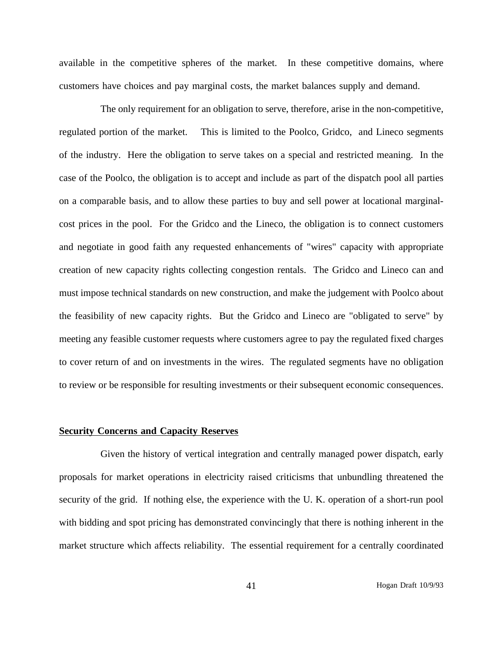available in the competitive spheres of the market. In these competitive domains, where customers have choices and pay marginal costs, the market balances supply and demand.

The only requirement for an obligation to serve, therefore, arise in the non-competitive, regulated portion of the market. This is limited to the Poolco, Gridco, and Lineco segments of the industry. Here the obligation to serve takes on a special and restricted meaning. In the case of the Poolco, the obligation is to accept and include as part of the dispatch pool all parties on a comparable basis, and to allow these parties to buy and sell power at locational marginalcost prices in the pool. For the Gridco and the Lineco, the obligation is to connect customers and negotiate in good faith any requested enhancements of "wires" capacity with appropriate creation of new capacity rights collecting congestion rentals. The Gridco and Lineco can and must impose technical standards on new construction, and make the judgement with Poolco about the feasibility of new capacity rights. But the Gridco and Lineco are "obligated to serve" by meeting any feasible customer requests where customers agree to pay the regulated fixed charges to cover return of and on investments in the wires. The regulated segments have no obligation to review or be responsible for resulting investments or their subsequent economic consequences.

# **Security Concerns and Capacity Reserves**

Given the history of vertical integration and centrally managed power dispatch, early proposals for market operations in electricity raised criticisms that unbundling threatened the security of the grid. If nothing else, the experience with the U. K. operation of a short-run pool with bidding and spot pricing has demonstrated convincingly that there is nothing inherent in the market structure which affects reliability. The essential requirement for a centrally coordinated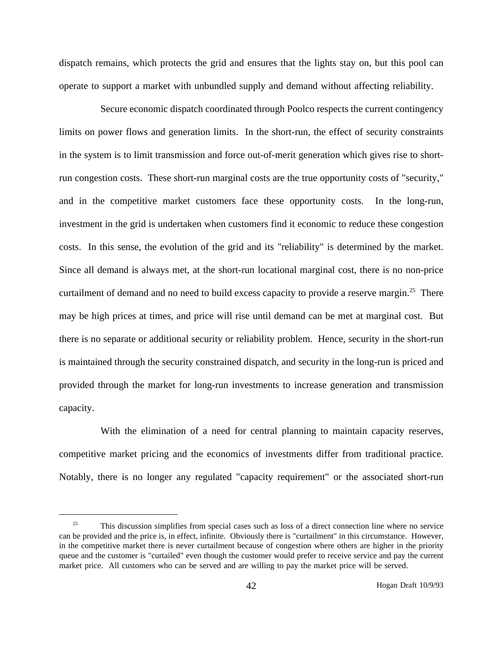dispatch remains, which protects the grid and ensures that the lights stay on, but this pool can operate to support a market with unbundled supply and demand without affecting reliability.

Secure economic dispatch coordinated through Poolco respects the current contingency limits on power flows and generation limits. In the short-run, the effect of security constraints in the system is to limit transmission and force out-of-merit generation which gives rise to shortrun congestion costs. These short-run marginal costs are the true opportunity costs of "security," and in the competitive market customers face these opportunity costs. In the long-run, investment in the grid is undertaken when customers find it economic to reduce these congestion costs. In this sense, the evolution of the grid and its "reliability" is determined by the market. Since all demand is always met, at the short-run locational marginal cost, there is no non-price curtailment of demand and no need to build excess capacity to provide a reserve margin.<sup>25</sup> There may be high prices at times, and price will rise until demand can be met at marginal cost. But there is no separate or additional security or reliability problem. Hence, security in the short-run is maintained through the security constrained dispatch, and security in the long-run is priced and provided through the market for long-run investments to increase generation and transmission capacity.

With the elimination of a need for central planning to maintain capacity reserves, competitive market pricing and the economics of investments differ from traditional practice. Notably, there is no longer any regulated "capacity requirement" or the associated short-run

<sup>&</sup>lt;sup>25</sup> This discussion simplifies from special cases such as loss of a direct connection line where no service can be provided and the price is, in effect, infinite. Obviously there is "curtailment" in this circumstance. However, in the competitive market there is never curtailment because of congestion where others are higher in the priority queue and the customer is "curtailed" even though the customer would prefer to receive service and pay the current market price. All customers who can be served and are willing to pay the market price will be served.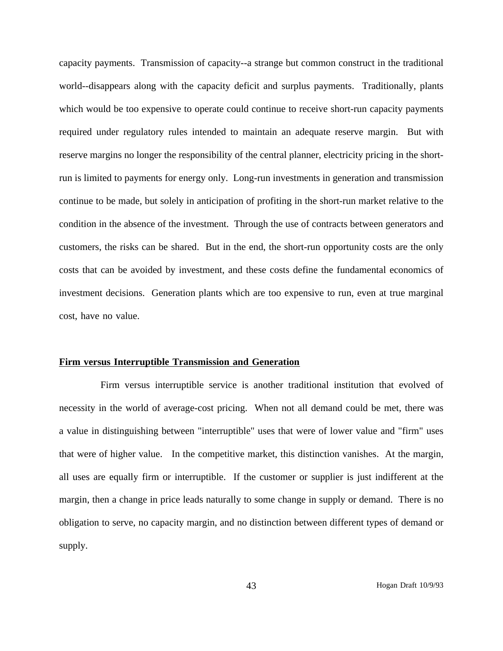capacity payments. Transmission of capacity--a strange but common construct in the traditional world--disappears along with the capacity deficit and surplus payments. Traditionally, plants which would be too expensive to operate could continue to receive short-run capacity payments required under regulatory rules intended to maintain an adequate reserve margin. But with reserve margins no longer the responsibility of the central planner, electricity pricing in the shortrun is limited to payments for energy only. Long-run investments in generation and transmission continue to be made, but solely in anticipation of profiting in the short-run market relative to the condition in the absence of the investment. Through the use of contracts between generators and customers, the risks can be shared. But in the end, the short-run opportunity costs are the only costs that can be avoided by investment, and these costs define the fundamental economics of investment decisions. Generation plants which are too expensive to run, even at true marginal cost, have no value.

### **Firm versus Interruptible Transmission and Generation**

Firm versus interruptible service is another traditional institution that evolved of necessity in the world of average-cost pricing. When not all demand could be met, there was a value in distinguishing between "interruptible" uses that were of lower value and "firm" uses that were of higher value. In the competitive market, this distinction vanishes. At the margin, all uses are equally firm or interruptible. If the customer or supplier is just indifferent at the margin, then a change in price leads naturally to some change in supply or demand. There is no obligation to serve, no capacity margin, and no distinction between different types of demand or supply.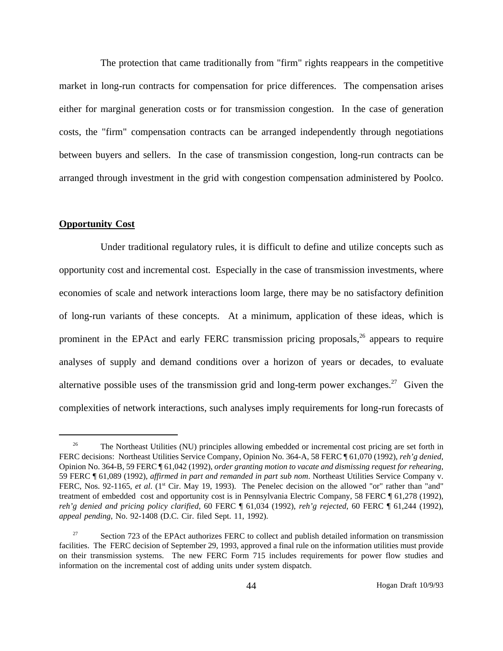The protection that came traditionally from "firm" rights reappears in the competitive market in long-run contracts for compensation for price differences. The compensation arises either for marginal generation costs or for transmission congestion. In the case of generation costs, the "firm" compensation contracts can be arranged independently through negotiations between buyers and sellers. In the case of transmission congestion, long-run contracts can be arranged through investment in the grid with congestion compensation administered by Poolco.

# **Opportunity Cost**

Under traditional regulatory rules, it is difficult to define and utilize concepts such as opportunity cost and incremental cost. Especially in the case of transmission investments, where economies of scale and network interactions loom large, there may be no satisfactory definition of long-run variants of these concepts. At a minimum, application of these ideas, which is prominent in the EPAct and early FERC transmission pricing proposals,<sup>26</sup> appears to require analyses of supply and demand conditions over a horizon of years or decades, to evaluate alternative possible uses of the transmission grid and long-term power exchanges.<sup>27</sup> Given the complexities of network interactions, such analyses imply requirements for long-run forecasts of

<sup>&</sup>lt;sup>26</sup> The Northeast Utilities (NU) principles allowing embedded or incremental cost pricing are set forth in FERC decisions: Northeast Utilities Service Company, Opinion No. 364-A, 58 FERC ¶ 61,070 (1992), *reh'g denied*, Opinion No. 364-B, 59 FERC ¶ 61,042 (1992), *order granting motion to vacate and dismissing request for rehearing*, 59 FERC ¶ 61,089 (1992), *affirmed in part and remanded in part sub nom*. Northeast Utilities Service Company v. FERC, Nos. 92-1165, *et al.* (1<sup>st</sup> Cir. May 19, 1993). The Penelec decision on the allowed "or" rather than "and" treatment of embedded cost and opportunity cost is in Pennsylvania Electric Company, 58 FERC ¶ 61,278 (1992), *reh'g denied and pricing policy clarified*, 60 FERC ¶ 61,034 (1992), *reh'g rejected*, 60 FERC ¶ 61,244 (1992), *appeal pending*, No. 92-1408 (D.C. Cir. filed Sept. 11, 1992).

<sup>27</sup> Section 723 of the EPAct authorizes FERC to collect and publish detailed information on transmission facilities. The FERC decision of September 29, 1993, approved a final rule on the information utilities must provide on their transmission systems. The new FERC Form 715 includes requirements for power flow studies and information on the incremental cost of adding units under system dispatch.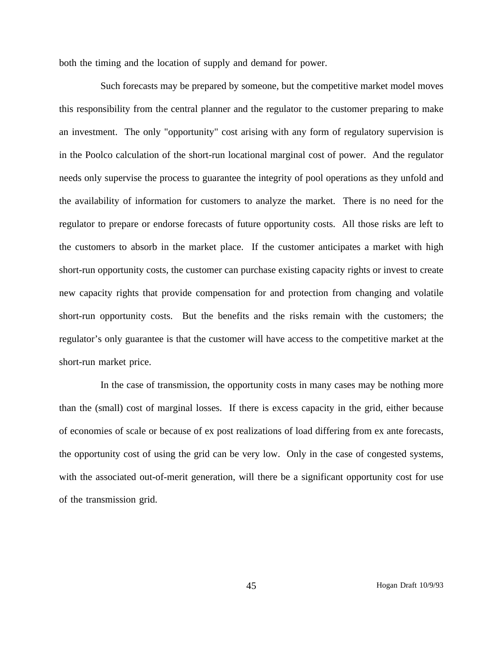both the timing and the location of supply and demand for power.

Such forecasts may be prepared by someone, but the competitive market model moves this responsibility from the central planner and the regulator to the customer preparing to make an investment. The only "opportunity" cost arising with any form of regulatory supervision is in the Poolco calculation of the short-run locational marginal cost of power. And the regulator needs only supervise the process to guarantee the integrity of pool operations as they unfold and the availability of information for customers to analyze the market. There is no need for the regulator to prepare or endorse forecasts of future opportunity costs. All those risks are left to the customers to absorb in the market place. If the customer anticipates a market with high short-run opportunity costs, the customer can purchase existing capacity rights or invest to create new capacity rights that provide compensation for and protection from changing and volatile short-run opportunity costs. But the benefits and the risks remain with the customers; the regulator's only guarantee is that the customer will have access to the competitive market at the short-run market price.

In the case of transmission, the opportunity costs in many cases may be nothing more than the (small) cost of marginal losses. If there is excess capacity in the grid, either because of economies of scale or because of ex post realizations of load differing from ex ante forecasts, the opportunity cost of using the grid can be very low. Only in the case of congested systems, with the associated out-of-merit generation, will there be a significant opportunity cost for use of the transmission grid.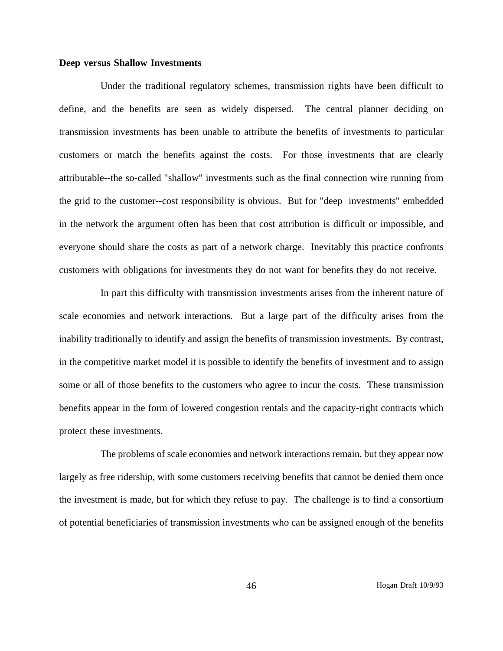# **Deep versus Shallow Investments**

Under the traditional regulatory schemes, transmission rights have been difficult to define, and the benefits are seen as widely dispersed. The central planner deciding on transmission investments has been unable to attribute the benefits of investments to particular customers or match the benefits against the costs. For those investments that are clearly attributable--the so-called "shallow" investments such as the final connection wire running from the grid to the customer--cost responsibility is obvious. But for "deep investments" embedded in the network the argument often has been that cost attribution is difficult or impossible, and everyone should share the costs as part of a network charge. Inevitably this practice confronts customers with obligations for investments they do not want for benefits they do not receive.

In part this difficulty with transmission investments arises from the inherent nature of scale economies and network interactions. But a large part of the difficulty arises from the inability traditionally to identify and assign the benefits of transmission investments. By contrast, in the competitive market model it is possible to identify the benefits of investment and to assign some or all of those benefits to the customers who agree to incur the costs. These transmission benefits appear in the form of lowered congestion rentals and the capacity-right contracts which protect these investments.

The problems of scale economies and network interactions remain, but they appear now largely as free ridership, with some customers receiving benefits that cannot be denied them once the investment is made, but for which they refuse to pay. The challenge is to find a consortium of potential beneficiaries of transmission investments who can be assigned enough of the benefits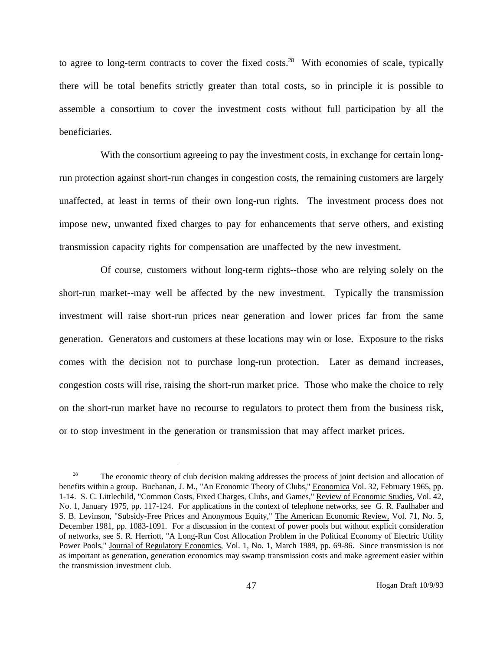to agree to long-term contracts to cover the fixed costs.<sup>28</sup> With economies of scale, typically there will be total benefits strictly greater than total costs, so in principle it is possible to assemble a consortium to cover the investment costs without full participation by all the beneficiaries.

With the consortium agreeing to pay the investment costs, in exchange for certain longrun protection against short-run changes in congestion costs, the remaining customers are largely unaffected, at least in terms of their own long-run rights. The investment process does not impose new, unwanted fixed charges to pay for enhancements that serve others, and existing transmission capacity rights for compensation are unaffected by the new investment.

Of course, customers without long-term rights--those who are relying solely on the short-run market--may well be affected by the new investment. Typically the transmission investment will raise short-run prices near generation and lower prices far from the same generation. Generators and customers at these locations may win or lose. Exposure to the risks comes with the decision not to purchase long-run protection. Later as demand increases, congestion costs will rise, raising the short-run market price. Those who make the choice to rely on the short-run market have no recourse to regulators to protect them from the business risk, or to stop investment in the generation or transmission that may affect market prices.

<sup>&</sup>lt;sup>28</sup> The economic theory of club decision making addresses the process of joint decision and allocation of benefits within a group. Buchanan, J. M., "An Economic Theory of Clubs," Economica Vol. 32, February 1965, pp. 1-14. S. C. Littlechild, "Common Costs, Fixed Charges, Clubs, and Games," Review of Economic Studies, Vol. 42, No. 1, January 1975, pp. 117-124. For applications in the context of telephone networks, see G. R. Faulhaber and S. B. Levinson, "Subsidy-Free Prices and Anonymous Equity," The American Economic Review, Vol. 71, No. 5, December 1981, pp. 1083-1091. For a discussion in the context of power pools but without explicit consideration of networks, see S. R. Herriott, "A Long-Run Cost Allocation Problem in the Political Economy of Electric Utility Power Pools," Journal of Regulatory Economics, Vol. 1, No. 1, March 1989, pp. 69-86. Since transmission is not as important as generation, generation economics may swamp transmission costs and make agreement easier within the transmission investment club.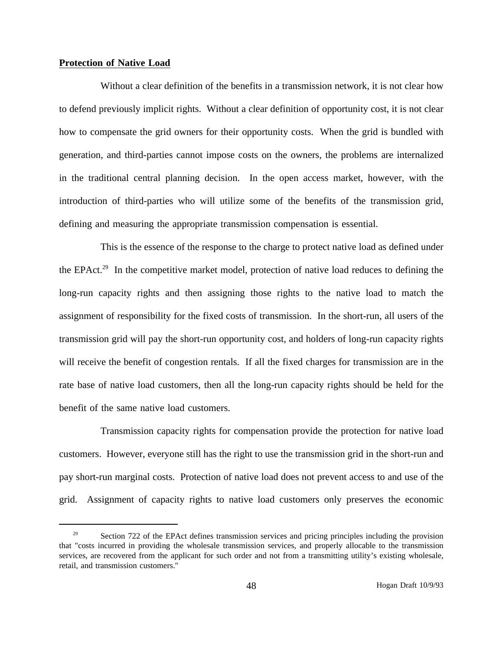# **Protection of Native Load**

Without a clear definition of the benefits in a transmission network, it is not clear how to defend previously implicit rights. Without a clear definition of opportunity cost, it is not clear how to compensate the grid owners for their opportunity costs. When the grid is bundled with generation, and third-parties cannot impose costs on the owners, the problems are internalized in the traditional central planning decision. In the open access market, however, with the introduction of third-parties who will utilize some of the benefits of the transmission grid, defining and measuring the appropriate transmission compensation is essential.

This is the essence of the response to the charge to protect native load as defined under the EPAct.<sup>29</sup> In the competitive market model, protection of native load reduces to defining the long-run capacity rights and then assigning those rights to the native load to match the assignment of responsibility for the fixed costs of transmission. In the short-run, all users of the transmission grid will pay the short-run opportunity cost, and holders of long-run capacity rights will receive the benefit of congestion rentals. If all the fixed charges for transmission are in the rate base of native load customers, then all the long-run capacity rights should be held for the benefit of the same native load customers.

Transmission capacity rights for compensation provide the protection for native load customers. However, everyone still has the right to use the transmission grid in the short-run and pay short-run marginal costs. Protection of native load does not prevent access to and use of the grid. Assignment of capacity rights to native load customers only preserves the economic

<sup>&</sup>lt;sup>29</sup> Section 722 of the EPAct defines transmission services and pricing principles including the provision that "costs incurred in providing the wholesale transmission services, and properly allocable to the transmission services, are recovered from the applicant for such order and not from a transmitting utility's existing wholesale, retail, and transmission customers."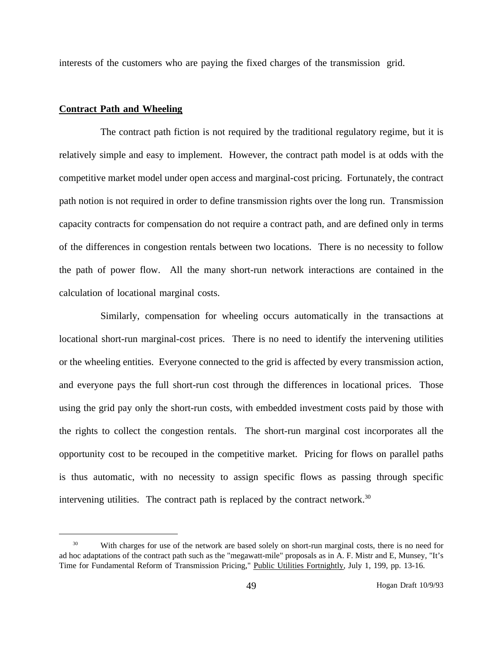interests of the customers who are paying the fixed charges of the transmission grid.

# **Contract Path and Wheeling**

The contract path fiction is not required by the traditional regulatory regime, but it is relatively simple and easy to implement. However, the contract path model is at odds with the competitive market model under open access and marginal-cost pricing. Fortunately, the contract path notion is not required in order to define transmission rights over the long run. Transmission capacity contracts for compensation do not require a contract path, and are defined only in terms of the differences in congestion rentals between two locations. There is no necessity to follow the path of power flow. All the many short-run network interactions are contained in the calculation of locational marginal costs.

Similarly, compensation for wheeling occurs automatically in the transactions at locational short-run marginal-cost prices. There is no need to identify the intervening utilities or the wheeling entities. Everyone connected to the grid is affected by every transmission action, and everyone pays the full short-run cost through the differences in locational prices. Those using the grid pay only the short-run costs, with embedded investment costs paid by those with the rights to collect the congestion rentals. The short-run marginal cost incorporates all the opportunity cost to be recouped in the competitive market. Pricing for flows on parallel paths is thus automatic, with no necessity to assign specific flows as passing through specific intervening utilities. The contract path is replaced by the contract network.<sup>30</sup>

<sup>&</sup>lt;sup>30</sup> With charges for use of the network are based solely on short-run marginal costs, there is no need for ad hoc adaptations of the contract path such as the "megawatt-mile" proposals as in A. F. Mistr and E, Munsey, "It's Time for Fundamental Reform of Transmission Pricing," Public Utilities Fortnightly, July 1, 199, pp. 13-16.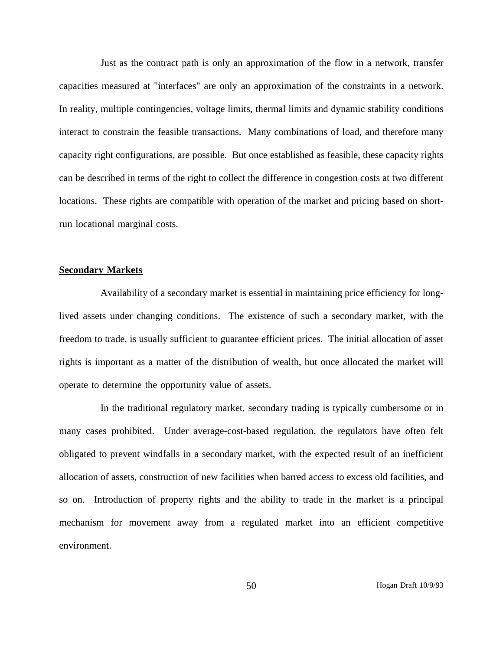Just as the contract path is only an approximation of the flow in a network, transfer capacities measured at "interfaces" are only an approximation of the constraints in a network. In reality, multiple contingencies, voltage limits, thermal limits and dynamic stability conditions interact to constrain the feasible transactions. Many combinations of load, and therefore many capacity right configurations, are possible. But once established as feasible, these capacity rights can be described in terms of the right to collect the difference in congestion costs at two different locations. These rights are compatible with operation of the market and pricing based on shortrun locational marginal costs.

# **Secondary Markets**

Availability of a secondary market is essential in maintaining price efficiency for longlived assets under changing conditions. The existence of such a secondary market, with the freedom to trade, is usually sufficient to guarantee efficient prices. The initial allocation of asset rights is important as a matter of the distribution of wealth, but once allocated the market will operate to determine the opportunity value of assets.

In the traditional regulatory market, secondary trading is typically cumbersome or in many cases prohibited. Under average-cost-based regulation, the regulators have often felt obligated to prevent windfalls in a secondary market, with the expected result of an inefficient allocation of assets, construction of new facilities when barred access to excess old facilities, and so on. Introduction of property rights and the ability to trade in the market is a principal mechanism for movement away from a regulated market into an efficient competitive environment.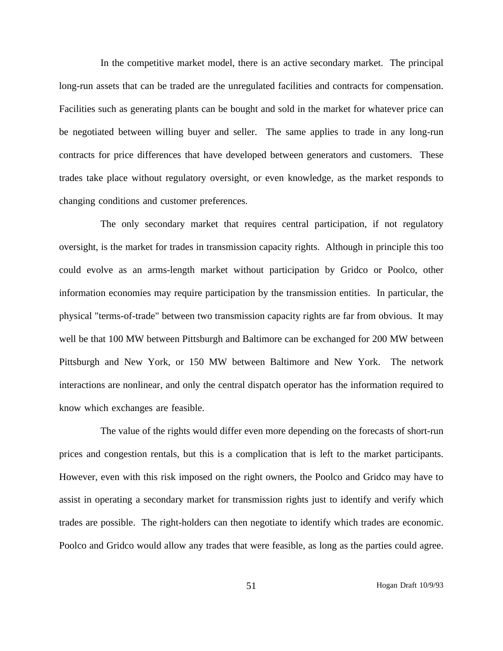In the competitive market model, there is an active secondary market. The principal long-run assets that can be traded are the unregulated facilities and contracts for compensation. Facilities such as generating plants can be bought and sold in the market for whatever price can be negotiated between willing buyer and seller. The same applies to trade in any long-run contracts for price differences that have developed between generators and customers. These trades take place without regulatory oversight, or even knowledge, as the market responds to changing conditions and customer preferences.

The only secondary market that requires central participation, if not regulatory oversight, is the market for trades in transmission capacity rights. Although in principle this too could evolve as an arms-length market without participation by Gridco or Poolco, other information economies may require participation by the transmission entities. In particular, the physical "terms-of-trade" between two transmission capacity rights are far from obvious. It may well be that 100 MW between Pittsburgh and Baltimore can be exchanged for 200 MW between Pittsburgh and New York, or 150 MW between Baltimore and New York. The network interactions are nonlinear, and only the central dispatch operator has the information required to know which exchanges are feasible.

The value of the rights would differ even more depending on the forecasts of short-run prices and congestion rentals, but this is a complication that is left to the market participants. However, even with this risk imposed on the right owners, the Poolco and Gridco may have to assist in operating a secondary market for transmission rights just to identify and verify which trades are possible. The right-holders can then negotiate to identify which trades are economic. Poolco and Gridco would allow any trades that were feasible, as long as the parties could agree.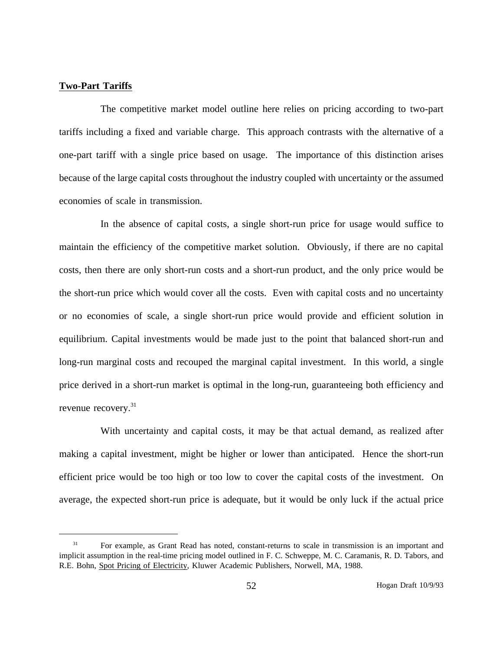# **Two-Part Tariffs**

The competitive market model outline here relies on pricing according to two-part tariffs including a fixed and variable charge. This approach contrasts with the alternative of a one-part tariff with a single price based on usage. The importance of this distinction arises because of the large capital costs throughout the industry coupled with uncertainty or the assumed economies of scale in transmission.

In the absence of capital costs, a single short-run price for usage would suffice to maintain the efficiency of the competitive market solution. Obviously, if there are no capital costs, then there are only short-run costs and a short-run product, and the only price would be the short-run price which would cover all the costs. Even with capital costs and no uncertainty or no economies of scale, a single short-run price would provide and efficient solution in equilibrium. Capital investments would be made just to the point that balanced short-run and long-run marginal costs and recouped the marginal capital investment. In this world, a single price derived in a short-run market is optimal in the long-run, guaranteeing both efficiency and revenue recovery.<sup>31</sup>

With uncertainty and capital costs, it may be that actual demand, as realized after making a capital investment, might be higher or lower than anticipated. Hence the short-run efficient price would be too high or too low to cover the capital costs of the investment. On average, the expected short-run price is adequate, but it would be only luck if the actual price

<sup>&</sup>lt;sup>31</sup> For example, as Grant Read has noted, constant-returns to scale in transmission is an important and implicit assumption in the real-time pricing model outlined in F. C. Schweppe, M. C. Caramanis, R. D. Tabors, and R.E. Bohn, Spot Pricing of Electricity, Kluwer Academic Publishers, Norwell, MA, 1988.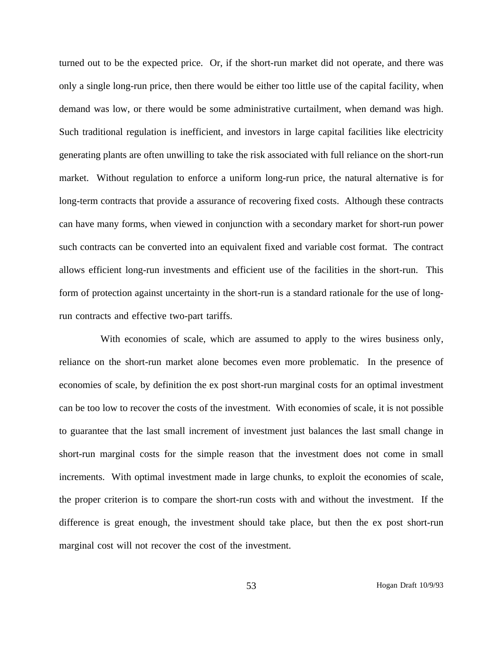turned out to be the expected price. Or, if the short-run market did not operate, and there was only a single long-run price, then there would be either too little use of the capital facility, when demand was low, or there would be some administrative curtailment, when demand was high. Such traditional regulation is inefficient, and investors in large capital facilities like electricity generating plants are often unwilling to take the risk associated with full reliance on the short-run market. Without regulation to enforce a uniform long-run price, the natural alternative is for long-term contracts that provide a assurance of recovering fixed costs. Although these contracts can have many forms, when viewed in conjunction with a secondary market for short-run power such contracts can be converted into an equivalent fixed and variable cost format. The contract allows efficient long-run investments and efficient use of the facilities in the short-run. This form of protection against uncertainty in the short-run is a standard rationale for the use of longrun contracts and effective two-part tariffs.

With economies of scale, which are assumed to apply to the wires business only, reliance on the short-run market alone becomes even more problematic. In the presence of economies of scale, by definition the ex post short-run marginal costs for an optimal investment can be too low to recover the costs of the investment. With economies of scale, it is not possible to guarantee that the last small increment of investment just balances the last small change in short-run marginal costs for the simple reason that the investment does not come in small increments. With optimal investment made in large chunks, to exploit the economies of scale, the proper criterion is to compare the short-run costs with and without the investment. If the difference is great enough, the investment should take place, but then the ex post short-run marginal cost will not recover the cost of the investment.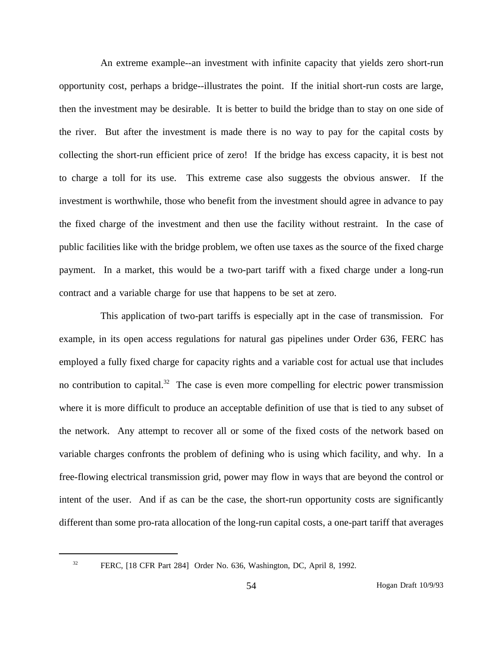An extreme example--an investment with infinite capacity that yields zero short-run opportunity cost, perhaps a bridge--illustrates the point. If the initial short-run costs are large, then the investment may be desirable. It is better to build the bridge than to stay on one side of the river. But after the investment is made there is no way to pay for the capital costs by collecting the short-run efficient price of zero! If the bridge has excess capacity, it is best not to charge a toll for its use. This extreme case also suggests the obvious answer. If the investment is worthwhile, those who benefit from the investment should agree in advance to pay the fixed charge of the investment and then use the facility without restraint. In the case of public facilities like with the bridge problem, we often use taxes as the source of the fixed charge payment. In a market, this would be a two-part tariff with a fixed charge under a long-run contract and a variable charge for use that happens to be set at zero.

This application of two-part tariffs is especially apt in the case of transmission. For example, in its open access regulations for natural gas pipelines under Order 636, FERC has employed a fully fixed charge for capacity rights and a variable cost for actual use that includes no contribution to capital.<sup>32</sup> The case is even more compelling for electric power transmission where it is more difficult to produce an acceptable definition of use that is tied to any subset of the network. Any attempt to recover all or some of the fixed costs of the network based on variable charges confronts the problem of defining who is using which facility, and why. In a free-flowing electrical transmission grid, power may flow in ways that are beyond the control or intent of the user. And if as can be the case, the short-run opportunity costs are significantly different than some pro-rata allocation of the long-run capital costs, a one-part tariff that averages

<sup>&</sup>lt;sup>32</sup> FERC, [18 CFR Part 284] Order No. 636, Washington, DC, April 8, 1992.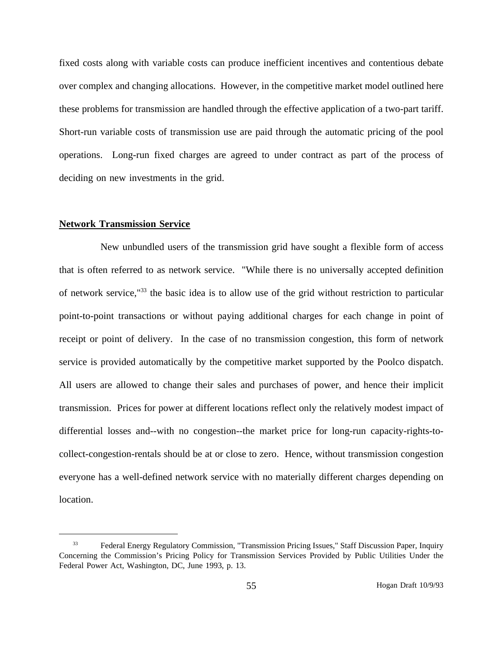fixed costs along with variable costs can produce inefficient incentives and contentious debate over complex and changing allocations. However, in the competitive market model outlined here these problems for transmission are handled through the effective application of a two-part tariff. Short-run variable costs of transmission use are paid through the automatic pricing of the pool operations. Long-run fixed charges are agreed to under contract as part of the process of deciding on new investments in the grid.

### **Network Transmission Service**

New unbundled users of the transmission grid have sought a flexible form of access that is often referred to as network service. "While there is no universally accepted definition of network service,"33 the basic idea is to allow use of the grid without restriction to particular point-to-point transactions or without paying additional charges for each change in point of receipt or point of delivery. In the case of no transmission congestion, this form of network service is provided automatically by the competitive market supported by the Poolco dispatch. All users are allowed to change their sales and purchases of power, and hence their implicit transmission. Prices for power at different locations reflect only the relatively modest impact of differential losses and--with no congestion--the market price for long-run capacity-rights-tocollect-congestion-rentals should be at or close to zero. Hence, without transmission congestion everyone has a well-defined network service with no materially different charges depending on location.

<sup>33</sup> Federal Energy Regulatory Commission, "Transmission Pricing Issues," Staff Discussion Paper, Inquiry Concerning the Commission's Pricing Policy for Transmission Services Provided by Public Utilities Under the Federal Power Act, Washington, DC, June 1993, p. 13.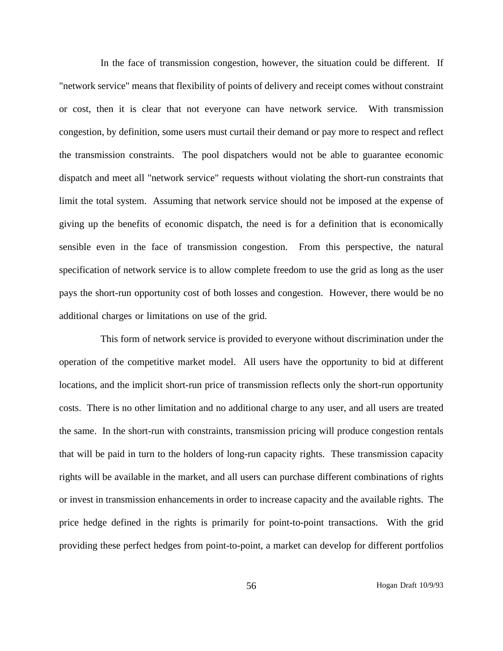In the face of transmission congestion, however, the situation could be different. If "network service" means that flexibility of points of delivery and receipt comes without constraint or cost, then it is clear that not everyone can have network service. With transmission congestion, by definition, some users must curtail their demand or pay more to respect and reflect the transmission constraints. The pool dispatchers would not be able to guarantee economic dispatch and meet all "network service" requests without violating the short-run constraints that limit the total system. Assuming that network service should not be imposed at the expense of giving up the benefits of economic dispatch, the need is for a definition that is economically sensible even in the face of transmission congestion. From this perspective, the natural specification of network service is to allow complete freedom to use the grid as long as the user pays the short-run opportunity cost of both losses and congestion. However, there would be no additional charges or limitations on use of the grid.

This form of network service is provided to everyone without discrimination under the operation of the competitive market model. All users have the opportunity to bid at different locations, and the implicit short-run price of transmission reflects only the short-run opportunity costs. There is no other limitation and no additional charge to any user, and all users are treated the same. In the short-run with constraints, transmission pricing will produce congestion rentals that will be paid in turn to the holders of long-run capacity rights. These transmission capacity rights will be available in the market, and all users can purchase different combinations of rights or invest in transmission enhancements in order to increase capacity and the available rights. The price hedge defined in the rights is primarily for point-to-point transactions. With the grid providing these perfect hedges from point-to-point, a market can develop for different portfolios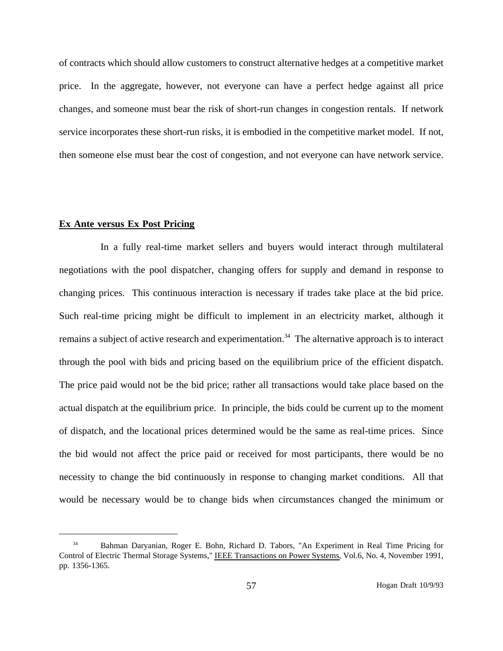of contracts which should allow customers to construct alternative hedges at a competitive market price. In the aggregate, however, not everyone can have a perfect hedge against all price changes, and someone must bear the risk of short-run changes in congestion rentals. If network service incorporates these short-run risks, it is embodied in the competitive market model. If not, then someone else must bear the cost of congestion, and not everyone can have network service.

### **Ex Ante versus Ex Post Pricing**

In a fully real-time market sellers and buyers would interact through multilateral negotiations with the pool dispatcher, changing offers for supply and demand in response to changing prices. This continuous interaction is necessary if trades take place at the bid price. Such real-time pricing might be difficult to implement in an electricity market, although it remains a subject of active research and experimentation.<sup>34</sup> The alternative approach is to interact through the pool with bids and pricing based on the equilibrium price of the efficient dispatch. The price paid would not be the bid price; rather all transactions would take place based on the actual dispatch at the equilibrium price. In principle, the bids could be current up to the moment of dispatch, and the locational prices determined would be the same as real-time prices. Since the bid would not affect the price paid or received for most participants, there would be no necessity to change the bid continuously in response to changing market conditions. All that would be necessary would be to change bids when circumstances changed the minimum or

<sup>&</sup>lt;sup>34</sup> Bahman Daryanian, Roger E. Bohn, Richard D. Tabors, "An Experiment in Real Time Pricing for Control of Electric Thermal Storage Systems," IEEE Transactions on Power Systems, Vol.6, No. 4, November 1991, pp. 1356-1365.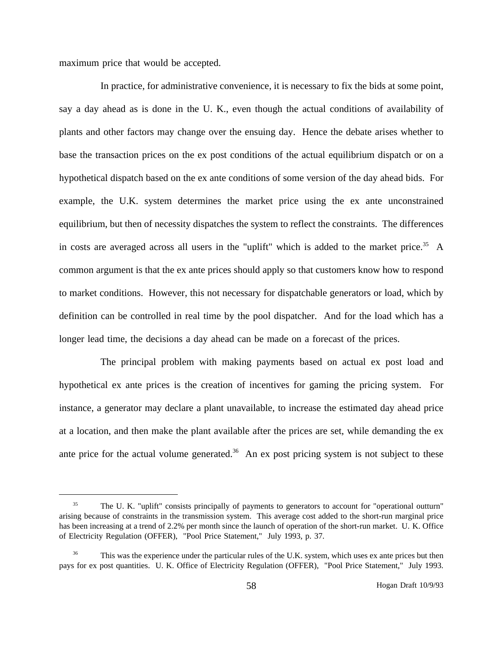maximum price that would be accepted.

In practice, for administrative convenience, it is necessary to fix the bids at some point, say a day ahead as is done in the U. K., even though the actual conditions of availability of plants and other factors may change over the ensuing day. Hence the debate arises whether to base the transaction prices on the ex post conditions of the actual equilibrium dispatch or on a hypothetical dispatch based on the ex ante conditions of some version of the day ahead bids. For example, the U.K. system determines the market price using the ex ante unconstrained equilibrium, but then of necessity dispatches the system to reflect the constraints. The differences in costs are averaged across all users in the "uplift" which is added to the market price.<sup>35</sup> A common argument is that the ex ante prices should apply so that customers know how to respond to market conditions. However, this not necessary for dispatchable generators or load, which by definition can be controlled in real time by the pool dispatcher. And for the load which has a longer lead time, the decisions a day ahead can be made on a forecast of the prices.

The principal problem with making payments based on actual ex post load and hypothetical ex ante prices is the creation of incentives for gaming the pricing system. For instance, a generator may declare a plant unavailable, to increase the estimated day ahead price at a location, and then make the plant available after the prices are set, while demanding the ex ante price for the actual volume generated.<sup>36</sup> An ex post pricing system is not subject to these

<sup>&</sup>lt;sup>35</sup> The U. K. "uplift" consists principally of payments to generators to account for "operational outturn" arising because of constraints in the transmission system. This average cost added to the short-run marginal price has been increasing at a trend of 2.2% per month since the launch of operation of the short-run market. U. K. Office of Electricity Regulation (OFFER), "Pool Price Statement," July 1993, p. 37.

This was the experience under the particular rules of the U.K. system, which uses ex ante prices but then pays for ex post quantities. U. K. Office of Electricity Regulation (OFFER), "Pool Price Statement," July 1993.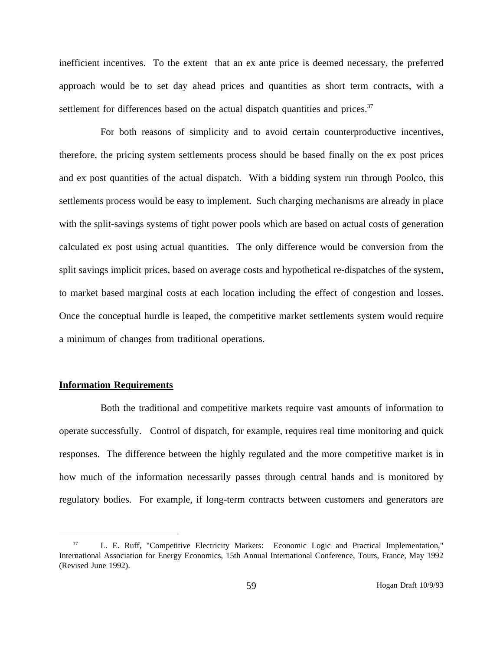inefficient incentives. To the extent that an ex ante price is deemed necessary, the preferred approach would be to set day ahead prices and quantities as short term contracts, with a settlement for differences based on the actual dispatch quantities and prices.<sup>37</sup>

For both reasons of simplicity and to avoid certain counterproductive incentives, therefore, the pricing system settlements process should be based finally on the ex post prices and ex post quantities of the actual dispatch. With a bidding system run through Poolco, this settlements process would be easy to implement. Such charging mechanisms are already in place with the split-savings systems of tight power pools which are based on actual costs of generation calculated ex post using actual quantities. The only difference would be conversion from the split savings implicit prices, based on average costs and hypothetical re-dispatches of the system, to market based marginal costs at each location including the effect of congestion and losses. Once the conceptual hurdle is leaped, the competitive market settlements system would require a minimum of changes from traditional operations.

## **Information Requirements**

Both the traditional and competitive markets require vast amounts of information to operate successfully. Control of dispatch, for example, requires real time monitoring and quick responses. The difference between the highly regulated and the more competitive market is in how much of the information necessarily passes through central hands and is monitored by regulatory bodies. For example, if long-term contracts between customers and generators are

<sup>&</sup>lt;sup>37</sup> L. E. Ruff, "Competitive Electricity Markets: Economic Logic and Practical Implementation," International Association for Energy Economics, 15th Annual International Conference, Tours, France, May 1992 (Revised June 1992).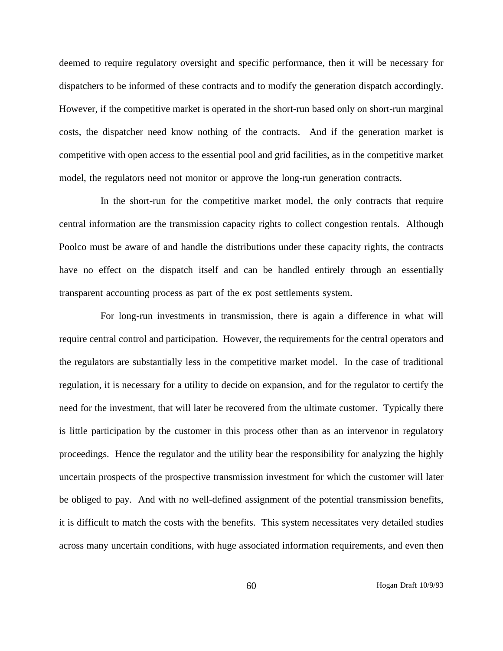deemed to require regulatory oversight and specific performance, then it will be necessary for dispatchers to be informed of these contracts and to modify the generation dispatch accordingly. However, if the competitive market is operated in the short-run based only on short-run marginal costs, the dispatcher need know nothing of the contracts. And if the generation market is competitive with open access to the essential pool and grid facilities, as in the competitive market model, the regulators need not monitor or approve the long-run generation contracts.

In the short-run for the competitive market model, the only contracts that require central information are the transmission capacity rights to collect congestion rentals. Although Poolco must be aware of and handle the distributions under these capacity rights, the contracts have no effect on the dispatch itself and can be handled entirely through an essentially transparent accounting process as part of the ex post settlements system.

For long-run investments in transmission, there is again a difference in what will require central control and participation. However, the requirements for the central operators and the regulators are substantially less in the competitive market model. In the case of traditional regulation, it is necessary for a utility to decide on expansion, and for the regulator to certify the need for the investment, that will later be recovered from the ultimate customer. Typically there is little participation by the customer in this process other than as an intervenor in regulatory proceedings. Hence the regulator and the utility bear the responsibility for analyzing the highly uncertain prospects of the prospective transmission investment for which the customer will later be obliged to pay. And with no well-defined assignment of the potential transmission benefits, it is difficult to match the costs with the benefits. This system necessitates very detailed studies across many uncertain conditions, with huge associated information requirements, and even then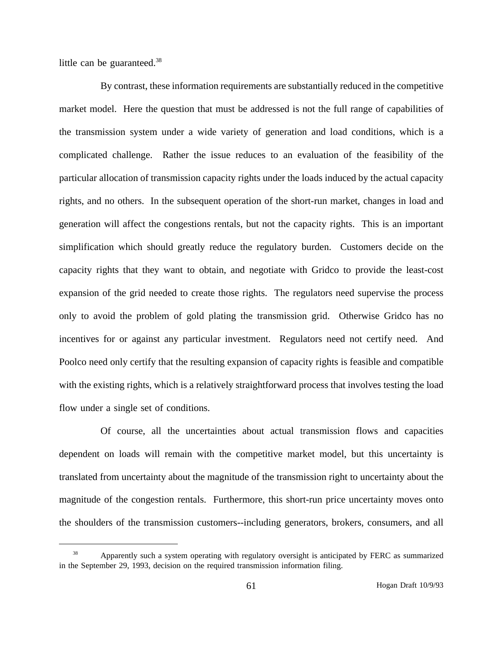little can be guaranteed.<sup>38</sup>

By contrast, these information requirements are substantially reduced in the competitive market model. Here the question that must be addressed is not the full range of capabilities of the transmission system under a wide variety of generation and load conditions, which is a complicated challenge. Rather the issue reduces to an evaluation of the feasibility of the particular allocation of transmission capacity rights under the loads induced by the actual capacity rights, and no others. In the subsequent operation of the short-run market, changes in load and generation will affect the congestions rentals, but not the capacity rights. This is an important simplification which should greatly reduce the regulatory burden. Customers decide on the capacity rights that they want to obtain, and negotiate with Gridco to provide the least-cost expansion of the grid needed to create those rights. The regulators need supervise the process only to avoid the problem of gold plating the transmission grid. Otherwise Gridco has no incentives for or against any particular investment. Regulators need not certify need. And Poolco need only certify that the resulting expansion of capacity rights is feasible and compatible with the existing rights, which is a relatively straightforward process that involves testing the load flow under a single set of conditions.

Of course, all the uncertainties about actual transmission flows and capacities dependent on loads will remain with the competitive market model, but this uncertainty is translated from uncertainty about the magnitude of the transmission right to uncertainty about the magnitude of the congestion rentals. Furthermore, this short-run price uncertainty moves onto the shoulders of the transmission customers--including generators, brokers, consumers, and all

<sup>38</sup> Apparently such a system operating with regulatory oversight is anticipated by FERC as summarized in the September 29, 1993, decision on the required transmission information filing.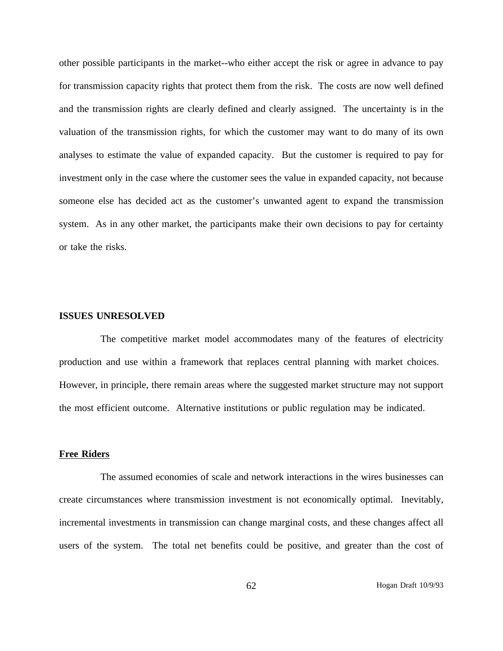other possible participants in the market--who either accept the risk or agree in advance to pay for transmission capacity rights that protect them from the risk. The costs are now well defined and the transmission rights are clearly defined and clearly assigned. The uncertainty is in the valuation of the transmission rights, for which the customer may want to do many of its own analyses to estimate the value of expanded capacity. But the customer is required to pay for investment only in the case where the customer sees the value in expanded capacity, not because someone else has decided act as the customer's unwanted agent to expand the transmission system. As in any other market, the participants make their own decisions to pay for certainty or take the risks.

# **ISSUES UNRESOLVED**

The competitive market model accommodates many of the features of electricity production and use within a framework that replaces central planning with market choices. However, in principle, there remain areas where the suggested market structure may not support the most efficient outcome. Alternative institutions or public regulation may be indicated.

### **Free Riders**

The assumed economies of scale and network interactions in the wires businesses can create circumstances where transmission investment is not economically optimal. Inevitably, incremental investments in transmission can change marginal costs, and these changes affect all users of the system. The total net benefits could be positive, and greater than the cost of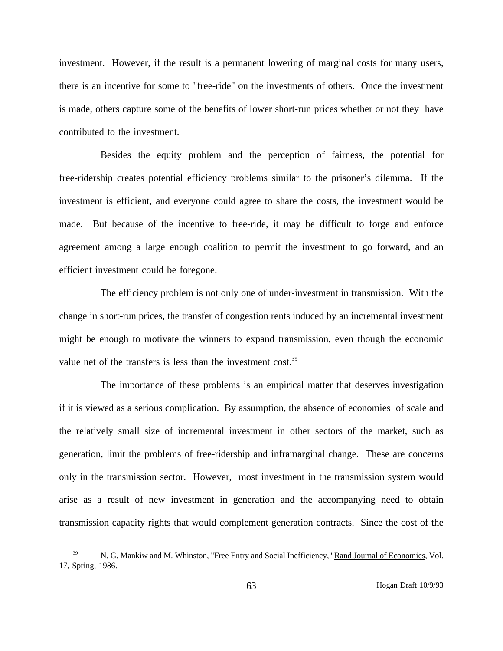investment. However, if the result is a permanent lowering of marginal costs for many users, there is an incentive for some to "free-ride" on the investments of others. Once the investment is made, others capture some of the benefits of lower short-run prices whether or not they have contributed to the investment.

Besides the equity problem and the perception of fairness, the potential for free-ridership creates potential efficiency problems similar to the prisoner's dilemma. If the investment is efficient, and everyone could agree to share the costs, the investment would be made. But because of the incentive to free-ride, it may be difficult to forge and enforce agreement among a large enough coalition to permit the investment to go forward, and an efficient investment could be foregone.

The efficiency problem is not only one of under-investment in transmission. With the change in short-run prices, the transfer of congestion rents induced by an incremental investment might be enough to motivate the winners to expand transmission, even though the economic value net of the transfers is less than the investment cost.<sup>39</sup>

The importance of these problems is an empirical matter that deserves investigation if it is viewed as a serious complication. By assumption, the absence of economies of scale and the relatively small size of incremental investment in other sectors of the market, such as generation, limit the problems of free-ridership and inframarginal change. These are concerns only in the transmission sector. However, most investment in the transmission system would arise as a result of new investment in generation and the accompanying need to obtain transmission capacity rights that would complement generation contracts. Since the cost of the

<sup>39</sup> N. G. Mankiw and M. Whinston, "Free Entry and Social Inefficiency," Rand Journal of Economics, Vol. 17, Spring, 1986.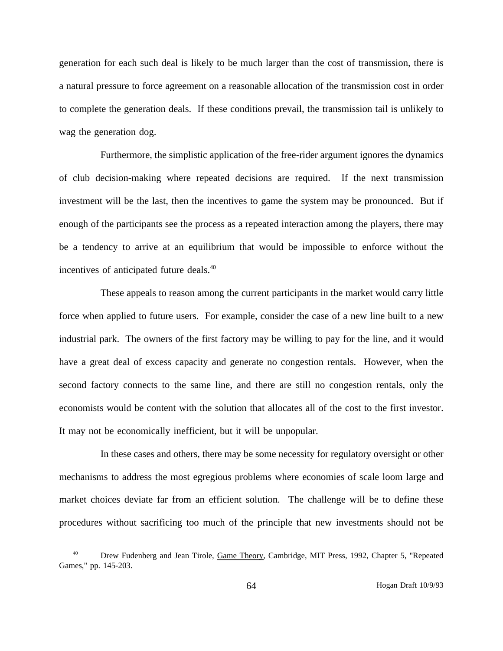generation for each such deal is likely to be much larger than the cost of transmission, there is a natural pressure to force agreement on a reasonable allocation of the transmission cost in order to complete the generation deals. If these conditions prevail, the transmission tail is unlikely to wag the generation dog.

Furthermore, the simplistic application of the free-rider argument ignores the dynamics of club decision-making where repeated decisions are required. If the next transmission investment will be the last, then the incentives to game the system may be pronounced. But if enough of the participants see the process as a repeated interaction among the players, there may be a tendency to arrive at an equilibrium that would be impossible to enforce without the incentives of anticipated future deals.<sup>40</sup>

These appeals to reason among the current participants in the market would carry little force when applied to future users. For example, consider the case of a new line built to a new industrial park. The owners of the first factory may be willing to pay for the line, and it would have a great deal of excess capacity and generate no congestion rentals. However, when the second factory connects to the same line, and there are still no congestion rentals, only the economists would be content with the solution that allocates all of the cost to the first investor. It may not be economically inefficient, but it will be unpopular.

In these cases and others, there may be some necessity for regulatory oversight or other mechanisms to address the most egregious problems where economies of scale loom large and market choices deviate far from an efficient solution. The challenge will be to define these procedures without sacrificing too much of the principle that new investments should not be

<sup>&</sup>lt;sup>40</sup> Drew Fudenberg and Jean Tirole, Game Theory, Cambridge, MIT Press, 1992, Chapter 5, "Repeated Games," pp. 145-203.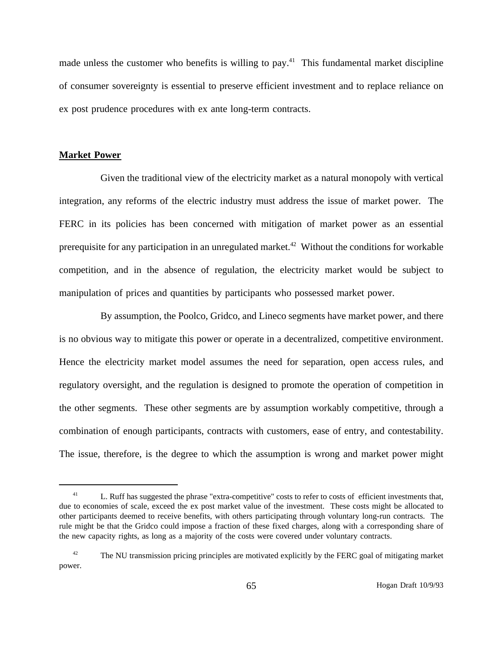made unless the customer who benefits is willing to pay.<sup>41</sup> This fundamental market discipline of consumer sovereignty is essential to preserve efficient investment and to replace reliance on ex post prudence procedures with ex ante long-term contracts.

## **Market Power**

Given the traditional view of the electricity market as a natural monopoly with vertical integration, any reforms of the electric industry must address the issue of market power. The FERC in its policies has been concerned with mitigation of market power as an essential prerequisite for any participation in an unregulated market.<sup>42</sup> Without the conditions for workable competition, and in the absence of regulation, the electricity market would be subject to manipulation of prices and quantities by participants who possessed market power.

By assumption, the Poolco, Gridco, and Lineco segments have market power, and there is no obvious way to mitigate this power or operate in a decentralized, competitive environment. Hence the electricity market model assumes the need for separation, open access rules, and regulatory oversight, and the regulation is designed to promote the operation of competition in the other segments. These other segments are by assumption workably competitive, through a combination of enough participants, contracts with customers, ease of entry, and contestability. The issue, therefore, is the degree to which the assumption is wrong and market power might

<sup>&</sup>lt;sup>41</sup> L. Ruff has suggested the phrase "extra-competitive" costs to refer to costs of efficient investments that, due to economies of scale, exceed the ex post market value of the investment. These costs might be allocated to other participants deemed to receive benefits, with others participating through voluntary long-run contracts. The rule might be that the Gridco could impose a fraction of these fixed charges, along with a corresponding share of the new capacity rights, as long as a majority of the costs were covered under voluntary contracts.

<sup>&</sup>lt;sup>42</sup> The NU transmission pricing principles are motivated explicitly by the FERC goal of mitigating market power.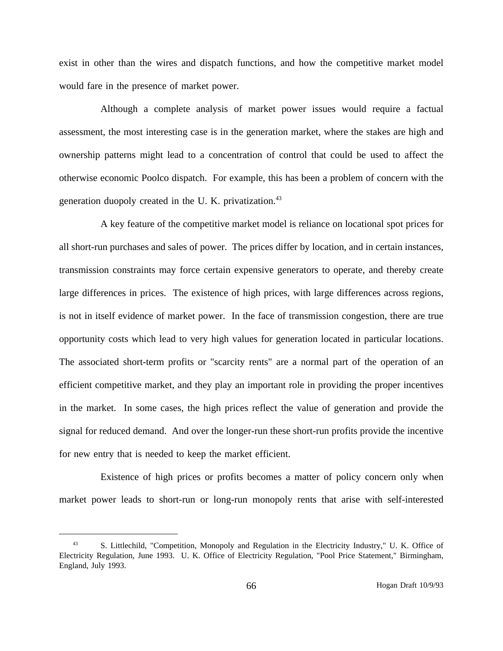exist in other than the wires and dispatch functions, and how the competitive market model would fare in the presence of market power.

Although a complete analysis of market power issues would require a factual assessment, the most interesting case is in the generation market, where the stakes are high and ownership patterns might lead to a concentration of control that could be used to affect the otherwise economic Poolco dispatch. For example, this has been a problem of concern with the generation duopoly created in the U.K. privatization.<sup>43</sup>

A key feature of the competitive market model is reliance on locational spot prices for all short-run purchases and sales of power. The prices differ by location, and in certain instances, transmission constraints may force certain expensive generators to operate, and thereby create large differences in prices. The existence of high prices, with large differences across regions, is not in itself evidence of market power. In the face of transmission congestion, there are true opportunity costs which lead to very high values for generation located in particular locations. The associated short-term profits or "scarcity rents" are a normal part of the operation of an efficient competitive market, and they play an important role in providing the proper incentives in the market. In some cases, the high prices reflect the value of generation and provide the signal for reduced demand. And over the longer-run these short-run profits provide the incentive for new entry that is needed to keep the market efficient.

Existence of high prices or profits becomes a matter of policy concern only when market power leads to short-run or long-run monopoly rents that arise with self-interested

<sup>43</sup> S. Littlechild, "Competition, Monopoly and Regulation in the Electricity Industry," U. K. Office of Electricity Regulation, June 1993. U. K. Office of Electricity Regulation, "Pool Price Statement," Birmingham, England, July 1993.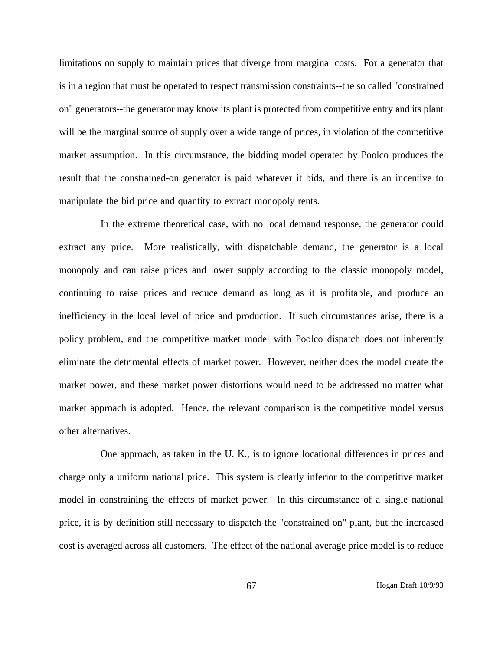limitations on supply to maintain prices that diverge from marginal costs. For a generator that is in a region that must be operated to respect transmission constraints--the so called "constrained on" generators--the generator may know its plant is protected from competitive entry and its plant will be the marginal source of supply over a wide range of prices, in violation of the competitive market assumption. In this circumstance, the bidding model operated by Poolco produces the result that the constrained-on generator is paid whatever it bids, and there is an incentive to manipulate the bid price and quantity to extract monopoly rents.

In the extreme theoretical case, with no local demand response, the generator could extract any price. More realistically, with dispatchable demand, the generator is a local monopoly and can raise prices and lower supply according to the classic monopoly model, continuing to raise prices and reduce demand as long as it is profitable, and produce an inefficiency in the local level of price and production. If such circumstances arise, there is a policy problem, and the competitive market model with Poolco dispatch does not inherently eliminate the detrimental effects of market power. However, neither does the model create the market power, and these market power distortions would need to be addressed no matter what market approach is adopted. Hence, the relevant comparison is the competitive model versus other alternatives.

One approach, as taken in the U. K., is to ignore locational differences in prices and charge only a uniform national price. This system is clearly inferior to the competitive market model in constraining the effects of market power. In this circumstance of a single national price, it is by definition still necessary to dispatch the "constrained on" plant, but the increased cost is averaged across all customers. The effect of the national average price model is to reduce

67 Hogan Draft 10/9/93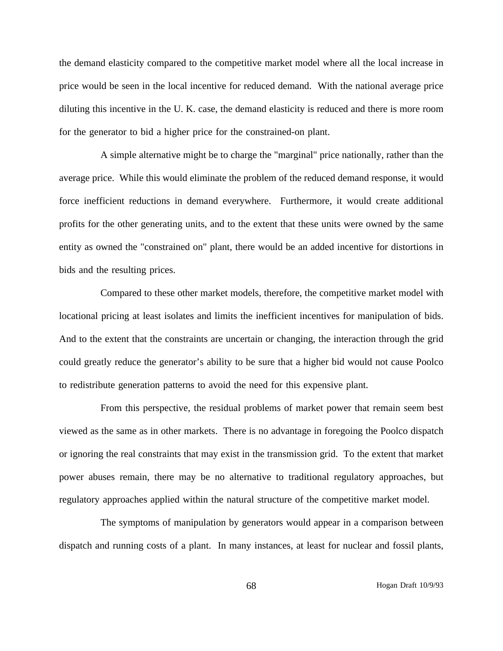the demand elasticity compared to the competitive market model where all the local increase in price would be seen in the local incentive for reduced demand. With the national average price diluting this incentive in the U. K. case, the demand elasticity is reduced and there is more room for the generator to bid a higher price for the constrained-on plant.

A simple alternative might be to charge the "marginal" price nationally, rather than the average price. While this would eliminate the problem of the reduced demand response, it would force inefficient reductions in demand everywhere. Furthermore, it would create additional profits for the other generating units, and to the extent that these units were owned by the same entity as owned the "constrained on" plant, there would be an added incentive for distortions in bids and the resulting prices.

Compared to these other market models, therefore, the competitive market model with locational pricing at least isolates and limits the inefficient incentives for manipulation of bids. And to the extent that the constraints are uncertain or changing, the interaction through the grid could greatly reduce the generator's ability to be sure that a higher bid would not cause Poolco to redistribute generation patterns to avoid the need for this expensive plant.

From this perspective, the residual problems of market power that remain seem best viewed as the same as in other markets. There is no advantage in foregoing the Poolco dispatch or ignoring the real constraints that may exist in the transmission grid. To the extent that market power abuses remain, there may be no alternative to traditional regulatory approaches, but regulatory approaches applied within the natural structure of the competitive market model.

The symptoms of manipulation by generators would appear in a comparison between dispatch and running costs of a plant. In many instances, at least for nuclear and fossil plants,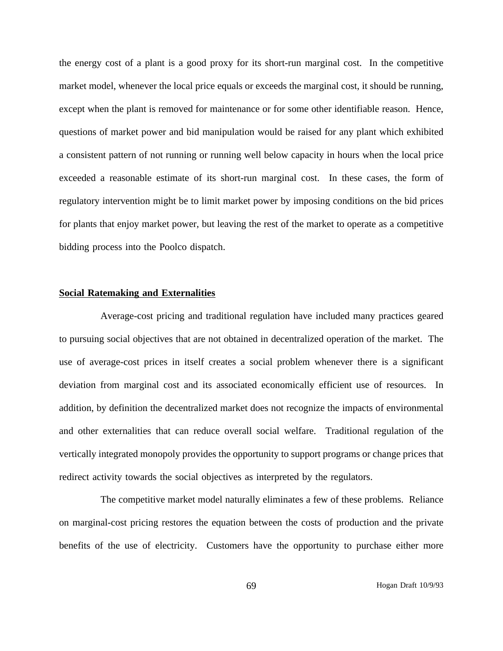the energy cost of a plant is a good proxy for its short-run marginal cost. In the competitive market model, whenever the local price equals or exceeds the marginal cost, it should be running, except when the plant is removed for maintenance or for some other identifiable reason. Hence, questions of market power and bid manipulation would be raised for any plant which exhibited a consistent pattern of not running or running well below capacity in hours when the local price exceeded a reasonable estimate of its short-run marginal cost. In these cases, the form of regulatory intervention might be to limit market power by imposing conditions on the bid prices for plants that enjoy market power, but leaving the rest of the market to operate as a competitive bidding process into the Poolco dispatch.

#### **Social Ratemaking and Externalities**

Average-cost pricing and traditional regulation have included many practices geared to pursuing social objectives that are not obtained in decentralized operation of the market. The use of average-cost prices in itself creates a social problem whenever there is a significant deviation from marginal cost and its associated economically efficient use of resources. In addition, by definition the decentralized market does not recognize the impacts of environmental and other externalities that can reduce overall social welfare. Traditional regulation of the vertically integrated monopoly provides the opportunity to support programs or change prices that redirect activity towards the social objectives as interpreted by the regulators.

The competitive market model naturally eliminates a few of these problems. Reliance on marginal-cost pricing restores the equation between the costs of production and the private benefits of the use of electricity. Customers have the opportunity to purchase either more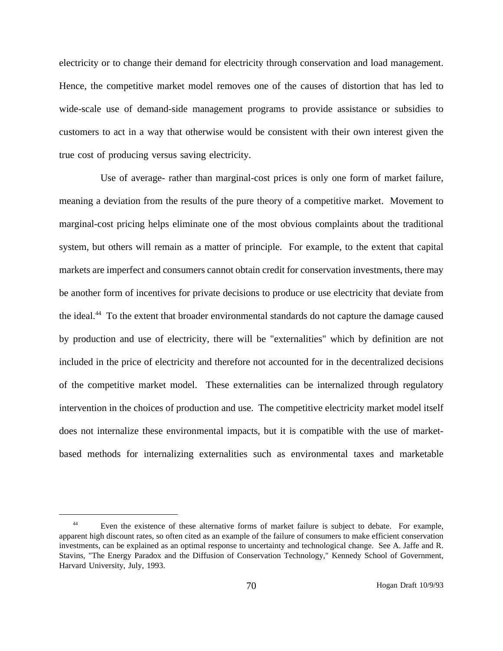electricity or to change their demand for electricity through conservation and load management. Hence, the competitive market model removes one of the causes of distortion that has led to wide-scale use of demand-side management programs to provide assistance or subsidies to customers to act in a way that otherwise would be consistent with their own interest given the true cost of producing versus saving electricity.

Use of average- rather than marginal-cost prices is only one form of market failure, meaning a deviation from the results of the pure theory of a competitive market. Movement to marginal-cost pricing helps eliminate one of the most obvious complaints about the traditional system, but others will remain as a matter of principle. For example, to the extent that capital markets are imperfect and consumers cannot obtain credit for conservation investments, there may be another form of incentives for private decisions to produce or use electricity that deviate from the ideal.<sup>44</sup> To the extent that broader environmental standards do not capture the damage caused by production and use of electricity, there will be "externalities" which by definition are not included in the price of electricity and therefore not accounted for in the decentralized decisions of the competitive market model. These externalities can be internalized through regulatory intervention in the choices of production and use. The competitive electricity market model itself does not internalize these environmental impacts, but it is compatible with the use of marketbased methods for internalizing externalities such as environmental taxes and marketable

<sup>&</sup>lt;sup>44</sup> Even the existence of these alternative forms of market failure is subject to debate. For example, apparent high discount rates, so often cited as an example of the failure of consumers to make efficient conservation investments, can be explained as an optimal response to uncertainty and technological change. See A. Jaffe and R. Stavins, "The Energy Paradox and the Diffusion of Conservation Technology," Kennedy School of Government, Harvard University, July, 1993.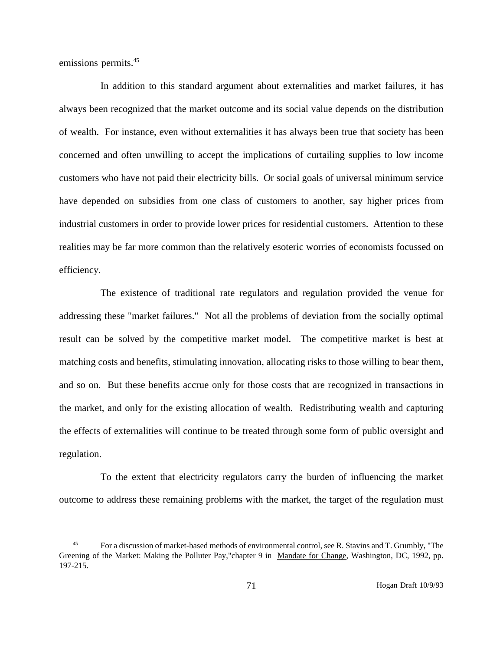emissions permits.<sup>45</sup>

In addition to this standard argument about externalities and market failures, it has always been recognized that the market outcome and its social value depends on the distribution of wealth. For instance, even without externalities it has always been true that society has been concerned and often unwilling to accept the implications of curtailing supplies to low income customers who have not paid their electricity bills. Or social goals of universal minimum service have depended on subsidies from one class of customers to another, say higher prices from industrial customers in order to provide lower prices for residential customers. Attention to these realities may be far more common than the relatively esoteric worries of economists focussed on efficiency.

The existence of traditional rate regulators and regulation provided the venue for addressing these "market failures." Not all the problems of deviation from the socially optimal result can be solved by the competitive market model. The competitive market is best at matching costs and benefits, stimulating innovation, allocating risks to those willing to bear them, and so on. But these benefits accrue only for those costs that are recognized in transactions in the market, and only for the existing allocation of wealth. Redistributing wealth and capturing the effects of externalities will continue to be treated through some form of public oversight and regulation.

To the extent that electricity regulators carry the burden of influencing the market outcome to address these remaining problems with the market, the target of the regulation must

<sup>&</sup>lt;sup>45</sup> For a discussion of market-based methods of environmental control, see R. Stavins and T. Grumbly, "The Greening of the Market: Making the Polluter Pay,"chapter 9 in Mandate for Change, Washington, DC, 1992, pp. 197-215.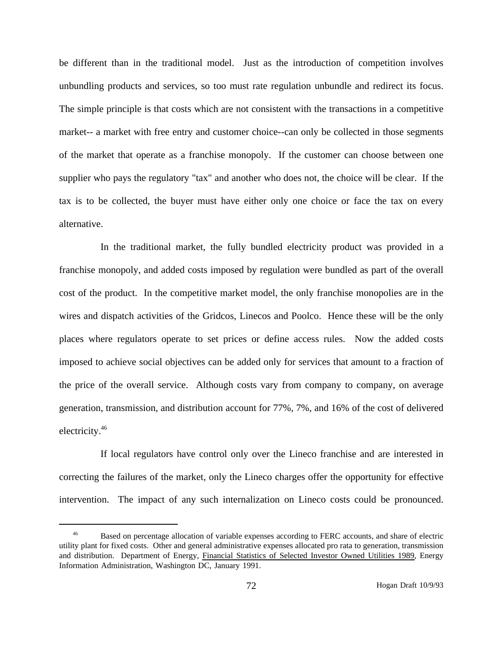be different than in the traditional model. Just as the introduction of competition involves unbundling products and services, so too must rate regulation unbundle and redirect its focus. The simple principle is that costs which are not consistent with the transactions in a competitive market-- a market with free entry and customer choice--can only be collected in those segments of the market that operate as a franchise monopoly. If the customer can choose between one supplier who pays the regulatory "tax" and another who does not, the choice will be clear. If the tax is to be collected, the buyer must have either only one choice or face the tax on every alternative.

In the traditional market, the fully bundled electricity product was provided in a franchise monopoly, and added costs imposed by regulation were bundled as part of the overall cost of the product. In the competitive market model, the only franchise monopolies are in the wires and dispatch activities of the Gridcos, Linecos and Poolco. Hence these will be the only places where regulators operate to set prices or define access rules. Now the added costs imposed to achieve social objectives can be added only for services that amount to a fraction of the price of the overall service. Although costs vary from company to company, on average generation, transmission, and distribution account for 77%, 7%, and 16% of the cost of delivered electricity.46

If local regulators have control only over the Lineco franchise and are interested in correcting the failures of the market, only the Lineco charges offer the opportunity for effective intervention. The impact of any such internalization on Lineco costs could be pronounced.

<sup>&</sup>lt;sup>46</sup> Based on percentage allocation of variable expenses according to FERC accounts, and share of electric utility plant for fixed costs. Other and general administrative expenses allocated pro rata to generation, transmission and distribution. Department of Energy, Financial Statistics of Selected Investor Owned Utilities 1989, Energy Information Administration, Washington DC, January 1991.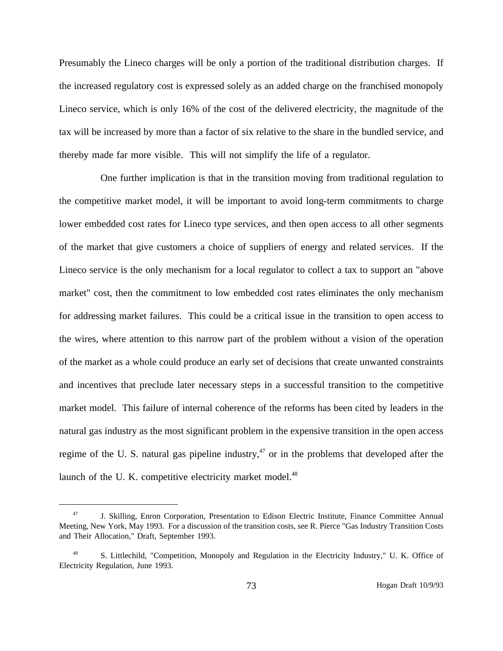Presumably the Lineco charges will be only a portion of the traditional distribution charges. If the increased regulatory cost is expressed solely as an added charge on the franchised monopoly Lineco service, which is only 16% of the cost of the delivered electricity, the magnitude of the tax will be increased by more than a factor of six relative to the share in the bundled service, and thereby made far more visible. This will not simplify the life of a regulator.

One further implication is that in the transition moving from traditional regulation to the competitive market model, it will be important to avoid long-term commitments to charge lower embedded cost rates for Lineco type services, and then open access to all other segments of the market that give customers a choice of suppliers of energy and related services. If the Lineco service is the only mechanism for a local regulator to collect a tax to support an "above market" cost, then the commitment to low embedded cost rates eliminates the only mechanism for addressing market failures. This could be a critical issue in the transition to open access to the wires, where attention to this narrow part of the problem without a vision of the operation of the market as a whole could produce an early set of decisions that create unwanted constraints and incentives that preclude later necessary steps in a successful transition to the competitive market model. This failure of internal coherence of the reforms has been cited by leaders in the natural gas industry as the most significant problem in the expensive transition in the open access regime of the U. S. natural gas pipeline industry,<sup>47</sup> or in the problems that developed after the launch of the U.K. competitive electricity market model.<sup>48</sup>

<sup>47</sup> J. Skilling, Enron Corporation, Presentation to Edison Electric Institute, Finance Committee Annual Meeting, New York, May 1993. For a discussion of the transition costs, see R. Pierce "Gas Industry Transition Costs and Their Allocation," Draft, September 1993.

<sup>48</sup> S. Littlechild, "Competition, Monopoly and Regulation in the Electricity Industry," U. K. Office of Electricity Regulation, June 1993.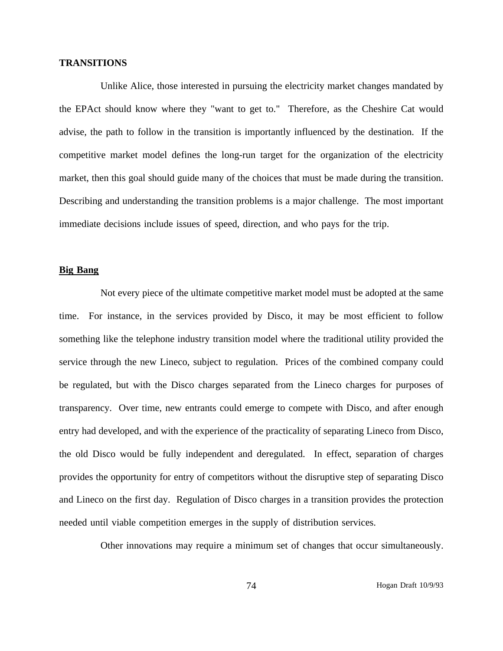### **TRANSITIONS**

Unlike Alice, those interested in pursuing the electricity market changes mandated by the EPAct should know where they "want to get to." Therefore, as the Cheshire Cat would advise, the path to follow in the transition is importantly influenced by the destination. If the competitive market model defines the long-run target for the organization of the electricity market, then this goal should guide many of the choices that must be made during the transition. Describing and understanding the transition problems is a major challenge. The most important immediate decisions include issues of speed, direction, and who pays for the trip.

# **Big Bang**

Not every piece of the ultimate competitive market model must be adopted at the same time. For instance, in the services provided by Disco, it may be most efficient to follow something like the telephone industry transition model where the traditional utility provided the service through the new Lineco, subject to regulation. Prices of the combined company could be regulated, but with the Disco charges separated from the Lineco charges for purposes of transparency. Over time, new entrants could emerge to compete with Disco, and after enough entry had developed, and with the experience of the practicality of separating Lineco from Disco, the old Disco would be fully independent and deregulated. In effect, separation of charges provides the opportunity for entry of competitors without the disruptive step of separating Disco and Lineco on the first day. Regulation of Disco charges in a transition provides the protection needed until viable competition emerges in the supply of distribution services.

Other innovations may require a minimum set of changes that occur simultaneously.

74 Hogan Draft 10/9/93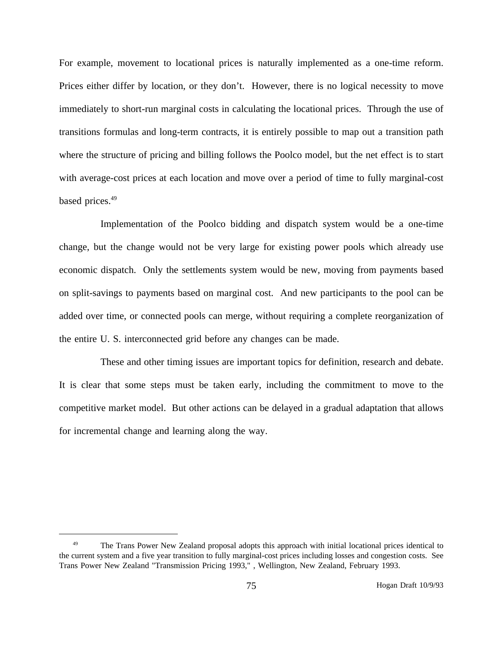For example, movement to locational prices is naturally implemented as a one-time reform. Prices either differ by location, or they don't. However, there is no logical necessity to move immediately to short-run marginal costs in calculating the locational prices. Through the use of transitions formulas and long-term contracts, it is entirely possible to map out a transition path where the structure of pricing and billing follows the Poolco model, but the net effect is to start with average-cost prices at each location and move over a period of time to fully marginal-cost based prices.<sup>49</sup>

Implementation of the Poolco bidding and dispatch system would be a one-time change, but the change would not be very large for existing power pools which already use economic dispatch. Only the settlements system would be new, moving from payments based on split-savings to payments based on marginal cost. And new participants to the pool can be added over time, or connected pools can merge, without requiring a complete reorganization of the entire U. S. interconnected grid before any changes can be made.

These and other timing issues are important topics for definition, research and debate. It is clear that some steps must be taken early, including the commitment to move to the competitive market model. But other actions can be delayed in a gradual adaptation that allows for incremental change and learning along the way.

<sup>&</sup>lt;sup>49</sup> The Trans Power New Zealand proposal adopts this approach with initial locational prices identical to the current system and a five year transition to fully marginal-cost prices including losses and congestion costs. See Trans Power New Zealand "Transmission Pricing 1993," , Wellington, New Zealand, February 1993.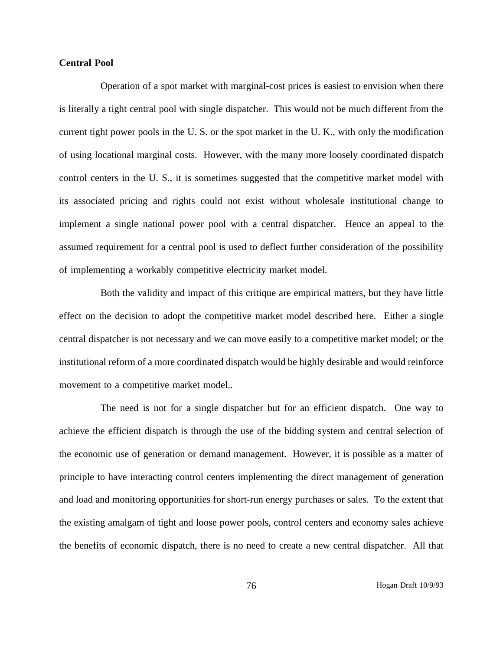## **Central Pool**

Operation of a spot market with marginal-cost prices is easiest to envision when there is literally a tight central pool with single dispatcher. This would not be much different from the current tight power pools in the U. S. or the spot market in the U. K., with only the modification of using locational marginal costs. However, with the many more loosely coordinated dispatch control centers in the U. S., it is sometimes suggested that the competitive market model with its associated pricing and rights could not exist without wholesale institutional change to implement a single national power pool with a central dispatcher. Hence an appeal to the assumed requirement for a central pool is used to deflect further consideration of the possibility of implementing a workably competitive electricity market model.

Both the validity and impact of this critique are empirical matters, but they have little effect on the decision to adopt the competitive market model described here. Either a single central dispatcher is not necessary and we can move easily to a competitive market model; or the institutional reform of a more coordinated dispatch would be highly desirable and would reinforce movement to a competitive market model..

The need is not for a single dispatcher but for an efficient dispatch. One way to achieve the efficient dispatch is through the use of the bidding system and central selection of the economic use of generation or demand management. However, it is possible as a matter of principle to have interacting control centers implementing the direct management of generation and load and monitoring opportunities for short-run energy purchases or sales. To the extent that the existing amalgam of tight and loose power pools, control centers and economy sales achieve the benefits of economic dispatch, there is no need to create a new central dispatcher. All that

76 Hogan Draft 10/9/93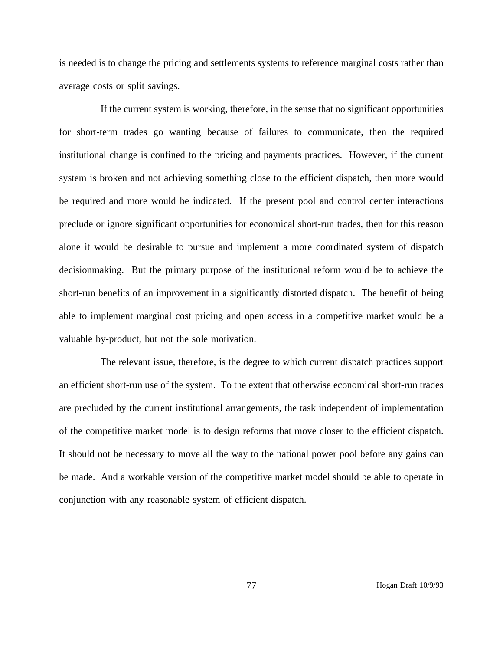is needed is to change the pricing and settlements systems to reference marginal costs rather than average costs or split savings.

If the current system is working, therefore, in the sense that no significant opportunities for short-term trades go wanting because of failures to communicate, then the required institutional change is confined to the pricing and payments practices. However, if the current system is broken and not achieving something close to the efficient dispatch, then more would be required and more would be indicated. If the present pool and control center interactions preclude or ignore significant opportunities for economical short-run trades, then for this reason alone it would be desirable to pursue and implement a more coordinated system of dispatch decisionmaking. But the primary purpose of the institutional reform would be to achieve the short-run benefits of an improvement in a significantly distorted dispatch. The benefit of being able to implement marginal cost pricing and open access in a competitive market would be a valuable by-product, but not the sole motivation.

The relevant issue, therefore, is the degree to which current dispatch practices support an efficient short-run use of the system. To the extent that otherwise economical short-run trades are precluded by the current institutional arrangements, the task independent of implementation of the competitive market model is to design reforms that move closer to the efficient dispatch. It should not be necessary to move all the way to the national power pool before any gains can be made. And a workable version of the competitive market model should be able to operate in conjunction with any reasonable system of efficient dispatch.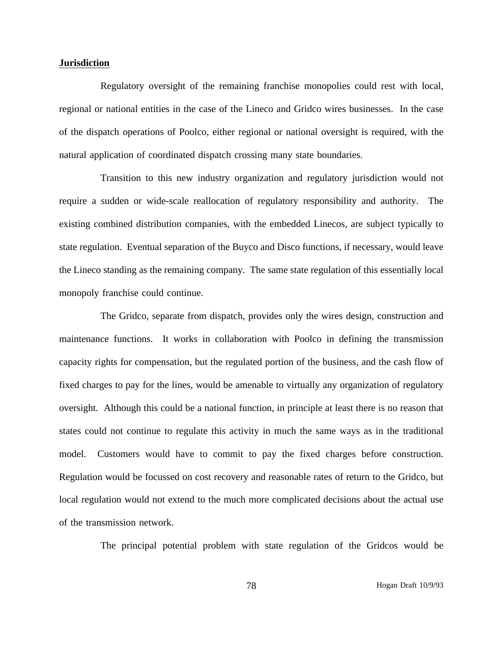## **Jurisdiction**

Regulatory oversight of the remaining franchise monopolies could rest with local, regional or national entities in the case of the Lineco and Gridco wires businesses. In the case of the dispatch operations of Poolco, either regional or national oversight is required, with the natural application of coordinated dispatch crossing many state boundaries.

Transition to this new industry organization and regulatory jurisdiction would not require a sudden or wide-scale reallocation of regulatory responsibility and authority. The existing combined distribution companies, with the embedded Linecos, are subject typically to state regulation. Eventual separation of the Buyco and Disco functions, if necessary, would leave the Lineco standing as the remaining company. The same state regulation of this essentially local monopoly franchise could continue.

The Gridco, separate from dispatch, provides only the wires design, construction and maintenance functions. It works in collaboration with Poolco in defining the transmission capacity rights for compensation, but the regulated portion of the business, and the cash flow of fixed charges to pay for the lines, would be amenable to virtually any organization of regulatory oversight. Although this could be a national function, in principle at least there is no reason that states could not continue to regulate this activity in much the same ways as in the traditional model. Customers would have to commit to pay the fixed charges before construction. Regulation would be focussed on cost recovery and reasonable rates of return to the Gridco, but local regulation would not extend to the much more complicated decisions about the actual use of the transmission network.

The principal potential problem with state regulation of the Gridcos would be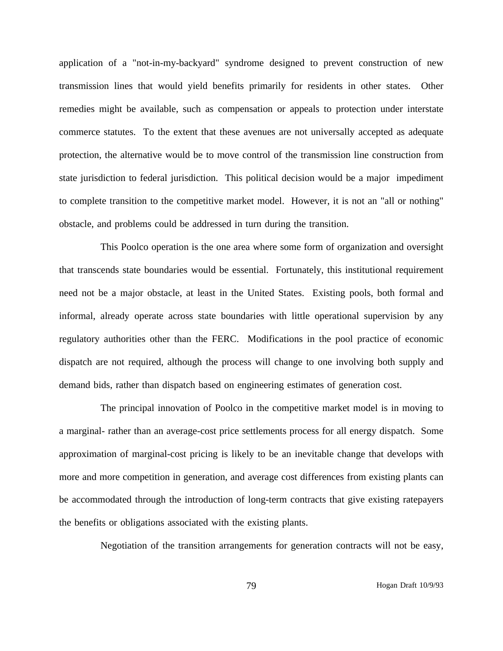application of a "not-in-my-backyard" syndrome designed to prevent construction of new transmission lines that would yield benefits primarily for residents in other states. Other remedies might be available, such as compensation or appeals to protection under interstate commerce statutes. To the extent that these avenues are not universally accepted as adequate protection, the alternative would be to move control of the transmission line construction from state jurisdiction to federal jurisdiction. This political decision would be a major impediment to complete transition to the competitive market model. However, it is not an "all or nothing" obstacle, and problems could be addressed in turn during the transition.

This Poolco operation is the one area where some form of organization and oversight that transcends state boundaries would be essential. Fortunately, this institutional requirement need not be a major obstacle, at least in the United States. Existing pools, both formal and informal, already operate across state boundaries with little operational supervision by any regulatory authorities other than the FERC. Modifications in the pool practice of economic dispatch are not required, although the process will change to one involving both supply and demand bids, rather than dispatch based on engineering estimates of generation cost.

The principal innovation of Poolco in the competitive market model is in moving to a marginal- rather than an average-cost price settlements process for all energy dispatch. Some approximation of marginal-cost pricing is likely to be an inevitable change that develops with more and more competition in generation, and average cost differences from existing plants can be accommodated through the introduction of long-term contracts that give existing ratepayers the benefits or obligations associated with the existing plants.

Negotiation of the transition arrangements for generation contracts will not be easy,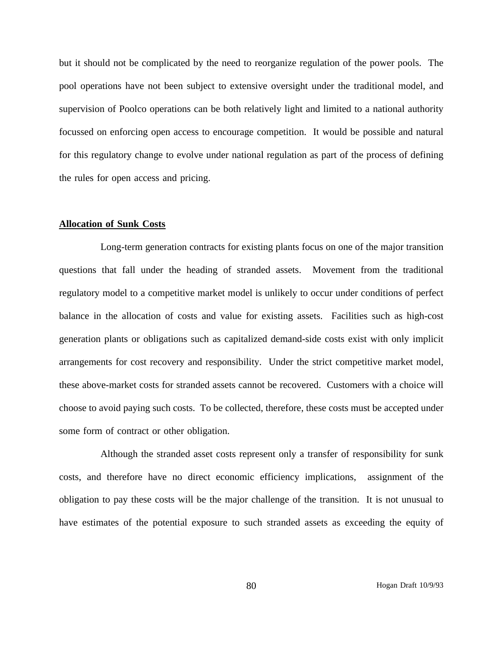but it should not be complicated by the need to reorganize regulation of the power pools. The pool operations have not been subject to extensive oversight under the traditional model, and supervision of Poolco operations can be both relatively light and limited to a national authority focussed on enforcing open access to encourage competition. It would be possible and natural for this regulatory change to evolve under national regulation as part of the process of defining the rules for open access and pricing.

#### **Allocation of Sunk Costs**

Long-term generation contracts for existing plants focus on one of the major transition questions that fall under the heading of stranded assets. Movement from the traditional regulatory model to a competitive market model is unlikely to occur under conditions of perfect balance in the allocation of costs and value for existing assets. Facilities such as high-cost generation plants or obligations such as capitalized demand-side costs exist with only implicit arrangements for cost recovery and responsibility. Under the strict competitive market model, these above-market costs for stranded assets cannot be recovered. Customers with a choice will choose to avoid paying such costs. To be collected, therefore, these costs must be accepted under some form of contract or other obligation.

Although the stranded asset costs represent only a transfer of responsibility for sunk costs, and therefore have no direct economic efficiency implications, assignment of the obligation to pay these costs will be the major challenge of the transition. It is not unusual to have estimates of the potential exposure to such stranded assets as exceeding the equity of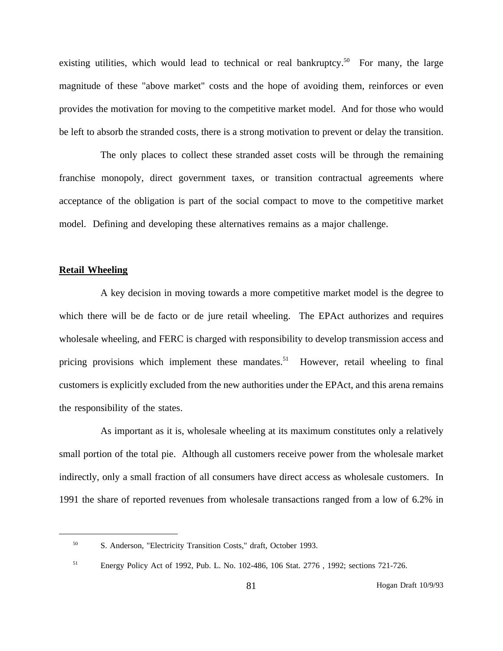existing utilities, which would lead to technical or real bankruptcy.<sup>50</sup> For many, the large magnitude of these "above market" costs and the hope of avoiding them, reinforces or even provides the motivation for moving to the competitive market model. And for those who would be left to absorb the stranded costs, there is a strong motivation to prevent or delay the transition.

The only places to collect these stranded asset costs will be through the remaining franchise monopoly, direct government taxes, or transition contractual agreements where acceptance of the obligation is part of the social compact to move to the competitive market model. Defining and developing these alternatives remains as a major challenge.

#### **Retail Wheeling**

A key decision in moving towards a more competitive market model is the degree to which there will be de facto or de jure retail wheeling. The EPAct authorizes and requires wholesale wheeling, and FERC is charged with responsibility to develop transmission access and pricing provisions which implement these mandates.<sup>51</sup> However, retail wheeling to final customers is explicitly excluded from the new authorities under the EPAct, and this arena remains the responsibility of the states.

As important as it is, wholesale wheeling at its maximum constitutes only a relatively small portion of the total pie. Although all customers receive power from the wholesale market indirectly, only a small fraction of all consumers have direct access as wholesale customers. In 1991 the share of reported revenues from wholesale transactions ranged from a low of 6.2% in

<sup>50</sup> S. Anderson, "Electricity Transition Costs," draft, October 1993.

<sup>51</sup> Energy Policy Act of 1992, Pub. L. No. 102-486, 106 Stat. 2776 , 1992; sections 721-726.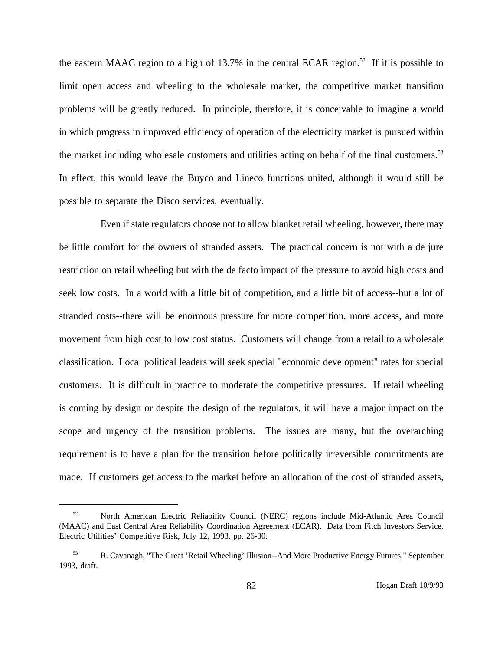the eastern MAAC region to a high of 13.7% in the central ECAR region.<sup>52</sup> If it is possible to limit open access and wheeling to the wholesale market, the competitive market transition problems will be greatly reduced. In principle, therefore, it is conceivable to imagine a world in which progress in improved efficiency of operation of the electricity market is pursued within the market including wholesale customers and utilities acting on behalf of the final customers.<sup>53</sup> In effect, this would leave the Buyco and Lineco functions united, although it would still be possible to separate the Disco services, eventually.

Even if state regulators choose not to allow blanket retail wheeling, however, there may be little comfort for the owners of stranded assets. The practical concern is not with a de jure restriction on retail wheeling but with the de facto impact of the pressure to avoid high costs and seek low costs. In a world with a little bit of competition, and a little bit of access--but a lot of stranded costs--there will be enormous pressure for more competition, more access, and more movement from high cost to low cost status. Customers will change from a retail to a wholesale classification. Local political leaders will seek special "economic development" rates for special customers. It is difficult in practice to moderate the competitive pressures. If retail wheeling is coming by design or despite the design of the regulators, it will have a major impact on the scope and urgency of the transition problems. The issues are many, but the overarching requirement is to have a plan for the transition before politically irreversible commitments are made. If customers get access to the market before an allocation of the cost of stranded assets,

<sup>52</sup> North American Electric Reliability Council (NERC) regions include Mid-Atlantic Area Council (MAAC) and East Central Area Reliability Coordination Agreement (ECAR). Data from Fitch Investors Service, Electric Utilities' Competitive Risk, July 12, 1993, pp. 26-30.

<sup>53</sup> R. Cavanagh, "The Great 'Retail Wheeling' Illusion--And More Productive Energy Futures," September 1993, draft.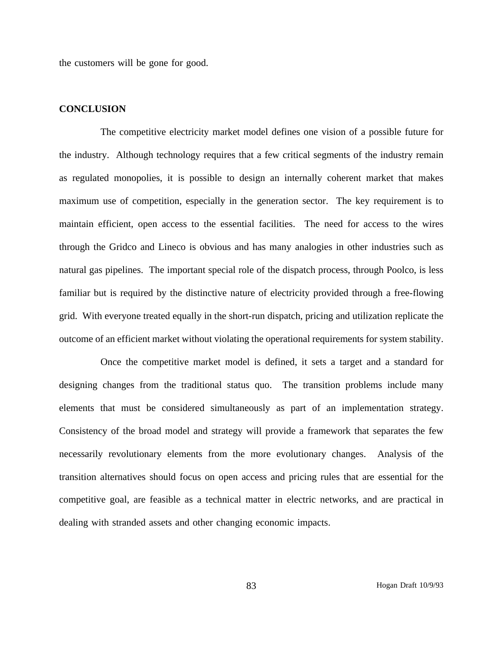the customers will be gone for good.

#### **CONCLUSION**

The competitive electricity market model defines one vision of a possible future for the industry. Although technology requires that a few critical segments of the industry remain as regulated monopolies, it is possible to design an internally coherent market that makes maximum use of competition, especially in the generation sector. The key requirement is to maintain efficient, open access to the essential facilities. The need for access to the wires through the Gridco and Lineco is obvious and has many analogies in other industries such as natural gas pipelines. The important special role of the dispatch process, through Poolco, is less familiar but is required by the distinctive nature of electricity provided through a free-flowing grid. With everyone treated equally in the short-run dispatch, pricing and utilization replicate the outcome of an efficient market without violating the operational requirements for system stability.

Once the competitive market model is defined, it sets a target and a standard for designing changes from the traditional status quo. The transition problems include many elements that must be considered simultaneously as part of an implementation strategy. Consistency of the broad model and strategy will provide a framework that separates the few necessarily revolutionary elements from the more evolutionary changes. Analysis of the transition alternatives should focus on open access and pricing rules that are essential for the competitive goal, are feasible as a technical matter in electric networks, and are practical in dealing with stranded assets and other changing economic impacts.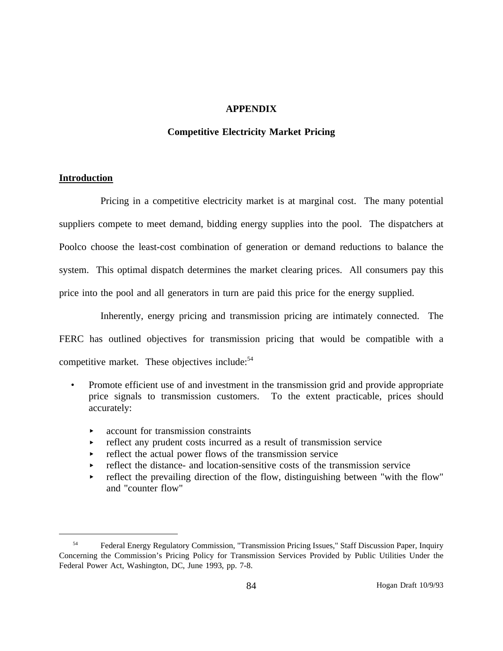### **APPENDIX**

### **Competitive Electricity Market Pricing**

### **Introduction**

Pricing in a competitive electricity market is at marginal cost. The many potential suppliers compete to meet demand, bidding energy supplies into the pool. The dispatchers at Poolco choose the least-cost combination of generation or demand reductions to balance the system. This optimal dispatch determines the market clearing prices. All consumers pay this price into the pool and all generators in turn are paid this price for the energy supplied.

Inherently, energy pricing and transmission pricing are intimately connected. The FERC has outlined objectives for transmission pricing that would be compatible with a competitive market. These objectives include:<sup>54</sup>

- Promote efficient use of and investment in the transmission grid and provide appropriate price signals to transmission customers. To the extent practicable, prices should accurately:
	- account for transmission constraints  $\blacktriangleright$  .
	- reflect any prudent costs incurred as a result of transmission service
	- reflect the actual power flows of the transmission service
	- reflect the distance- and location-sensitive costs of the transmission service k.
	- reflect the prevailing direction of the flow, distinguishing between "with the flow" and "counter flow"

<sup>54</sup> Federal Energy Regulatory Commission, "Transmission Pricing Issues," Staff Discussion Paper, Inquiry Concerning the Commission's Pricing Policy for Transmission Services Provided by Public Utilities Under the Federal Power Act, Washington, DC, June 1993, pp. 7-8.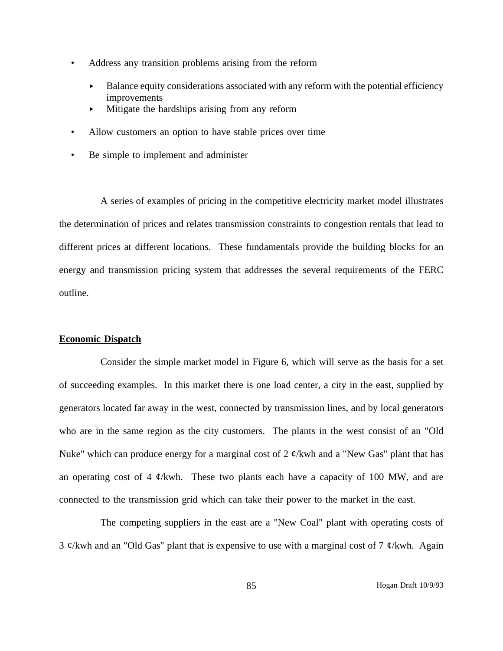- Address any transition problems arising from the reform
	- Balance equity considerations associated with any reform with the potential efficiency improvements
	- Mitigate the hardships arising from any reform
- Allow customers an option to have stable prices over time
- Be simple to implement and administer

A series of examples of pricing in the competitive electricity market model illustrates the determination of prices and relates transmission constraints to congestion rentals that lead to different prices at different locations. These fundamentals provide the building blocks for an energy and transmission pricing system that addresses the several requirements of the FERC outline.

#### **Economic Dispatch**

Consider the simple market model in Figure 6, which will serve as the basis for a set of succeeding examples. In this market there is one load center, a city in the east, supplied by generators located far away in the west, connected by transmission lines, and by local generators who are in the same region as the city customers. The plants in the west consist of an "Old Nuke" which can produce energy for a marginal cost of 2  $\phi$ /kwh and a "New Gas" plant that has an operating cost of 4  $\phi$ /kwh. These two plants each have a capacity of 100 MW, and are connected to the transmission grid which can take their power to the market in the east.

The competing suppliers in the east are a "New Coal" plant with operating costs of 3  $\mathcal{C}/k$ wh and an "Old Gas" plant that is expensive to use with a marginal cost of 7  $\mathcal{C}/k$ wh. Again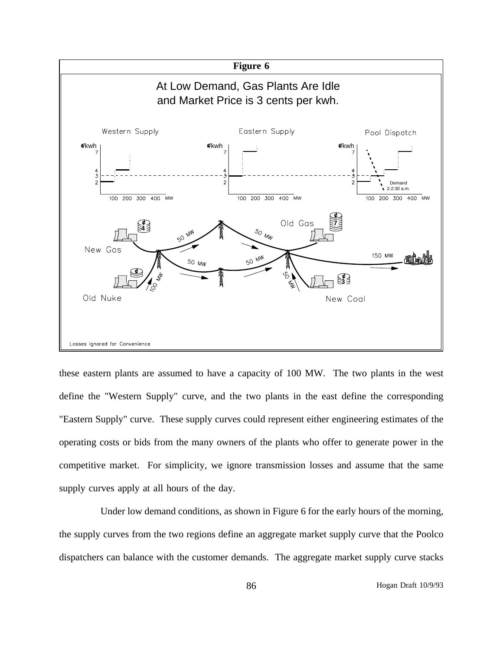

these eastern plants are assumed to have a capacity of 100 MW. The two plants in the west define the "Western Supply" curve, and the two plants in the east define the corresponding "Eastern Supply" curve. These supply curves could represent either engineering estimates of the operating costs or bids from the many owners of the plants who offer to generate power in the competitive market. For simplicity, we ignore transmission losses and assume that the same supply curves apply at all hours of the day.

Under low demand conditions, as shown in Figure 6 for the early hours of the morning, the supply curves from the two regions define an aggregate market supply curve that the Poolco dispatchers can balance with the customer demands. The aggregate market supply curve stacks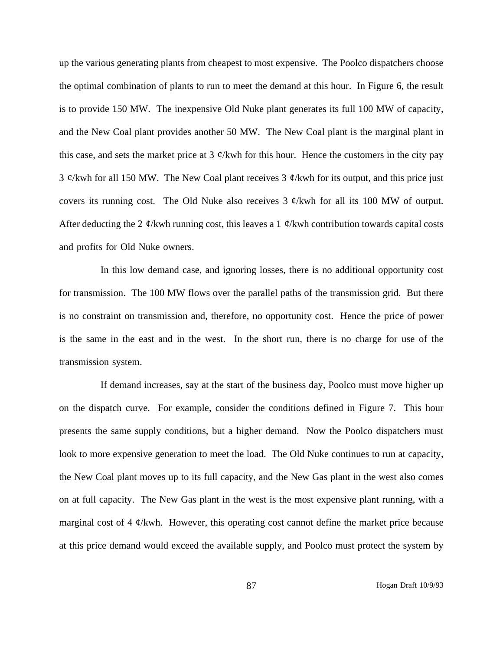up the various generating plants from cheapest to most expensive. The Poolco dispatchers choose the optimal combination of plants to run to meet the demand at this hour. In Figure 6, the result is to provide 150 MW. The inexpensive Old Nuke plant generates its full 100 MW of capacity, and the New Coal plant provides another 50 MW. The New Coal plant is the marginal plant in this case, and sets the market price at 3  $\psi$ /kwh for this hour. Hence the customers in the city pay 3  $\mathcal{C}/k$ wh for all 150 MW. The New Coal plant receives 3  $\mathcal{C}/k$ wh for its output, and this price just covers its running cost. The Old Nuke also receives  $3 \phi$ /kwh for all its 100 MW of output. After deducting the 2  $\psi$ /kwh running cost, this leaves a 1  $\psi$ /kwh contribution towards capital costs and profits for Old Nuke owners.

In this low demand case, and ignoring losses, there is no additional opportunity cost for transmission. The 100 MW flows over the parallel paths of the transmission grid. But there is no constraint on transmission and, therefore, no opportunity cost. Hence the price of power is the same in the east and in the west. In the short run, there is no charge for use of the transmission system.

If demand increases, say at the start of the business day, Poolco must move higher up on the dispatch curve. For example, consider the conditions defined in Figure 7. This hour presents the same supply conditions, but a higher demand. Now the Poolco dispatchers must look to more expensive generation to meet the load. The Old Nuke continues to run at capacity, the New Coal plant moves up to its full capacity, and the New Gas plant in the west also comes on at full capacity. The New Gas plant in the west is the most expensive plant running, with a marginal cost of 4  $\ell$ /kwh. However, this operating cost cannot define the market price because at this price demand would exceed the available supply, and Poolco must protect the system by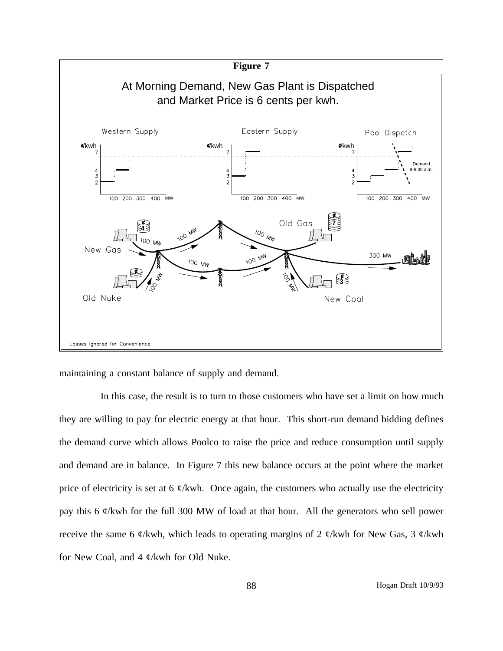

maintaining a constant balance of supply and demand.

In this case, the result is to turn to those customers who have set a limit on how much they are willing to pay for electric energy at that hour. This short-run demand bidding defines the demand curve which allows Poolco to raise the price and reduce consumption until supply and demand are in balance. In Figure 7 this new balance occurs at the point where the market price of electricity is set at 6  $\phi$ /kwh. Once again, the customers who actually use the electricity pay this 6 ¢/kwh for the full 300 MW of load at that hour. All the generators who sell power receive the same 6  $\phi$ /kwh, which leads to operating margins of 2  $\phi$ /kwh for New Gas, 3  $\phi$ /kwh for New Coal, and 4  $\phi$ /kwh for Old Nuke.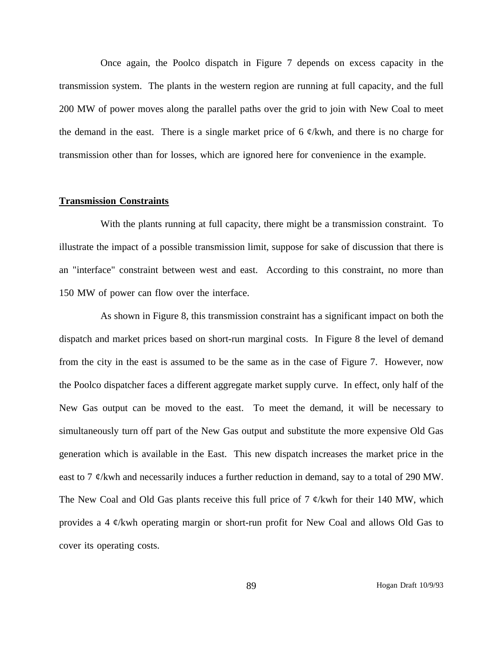Once again, the Poolco dispatch in Figure 7 depends on excess capacity in the transmission system. The plants in the western region are running at full capacity, and the full 200 MW of power moves along the parallel paths over the grid to join with New Coal to meet the demand in the east. There is a single market price of 6  $\phi$ /kwh, and there is no charge for transmission other than for losses, which are ignored here for convenience in the example.

#### **Transmission Constraints**

With the plants running at full capacity, there might be a transmission constraint. To illustrate the impact of a possible transmission limit, suppose for sake of discussion that there is an "interface" constraint between west and east. According to this constraint, no more than 150 MW of power can flow over the interface.

As shown in Figure 8, this transmission constraint has a significant impact on both the dispatch and market prices based on short-run marginal costs. In Figure 8 the level of demand from the city in the east is assumed to be the same as in the case of Figure 7. However, now the Poolco dispatcher faces a different aggregate market supply curve. In effect, only half of the New Gas output can be moved to the east. To meet the demand, it will be necessary to simultaneously turn off part of the New Gas output and substitute the more expensive Old Gas generation which is available in the East. This new dispatch increases the market price in the east to 7  $\varphi$ /kwh and necessarily induces a further reduction in demand, say to a total of 290 MW. The New Coal and Old Gas plants receive this full price of 7  $\phi$ /kwh for their 140 MW, which provides a 4 ¢/kwh operating margin or short-run profit for New Coal and allows Old Gas to cover its operating costs.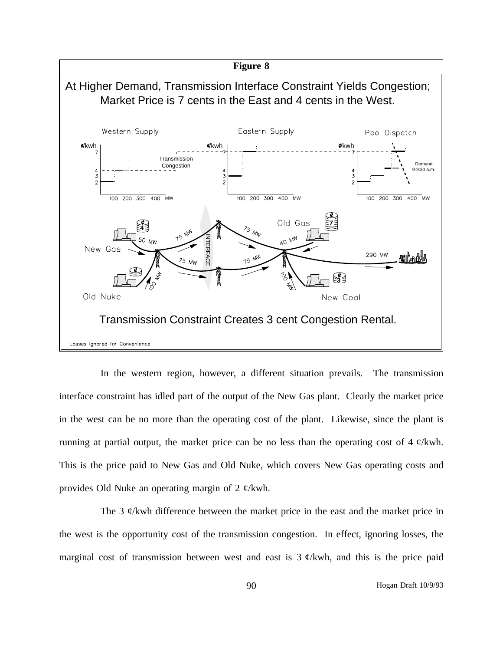

interface constraint has idled part of the output of the New Gas plant. Clearly the market price in the west can be no more than the operating cost of the plant. Likewise, since the plant is running at partial output, the market price can be no less than the operating cost of 4  $\phi$ /kwh. This is the price paid to New Gas and Old Nuke, which covers New Gas operating costs and provides Old Nuke an operating margin of 2 ¢/kwh.

The 3  $\psi$ /kwh difference between the market price in the east and the market price in the west is the opportunity cost of the transmission congestion. In effect, ignoring losses, the marginal cost of transmission between west and east is  $3 \phi$ /kwh, and this is the price paid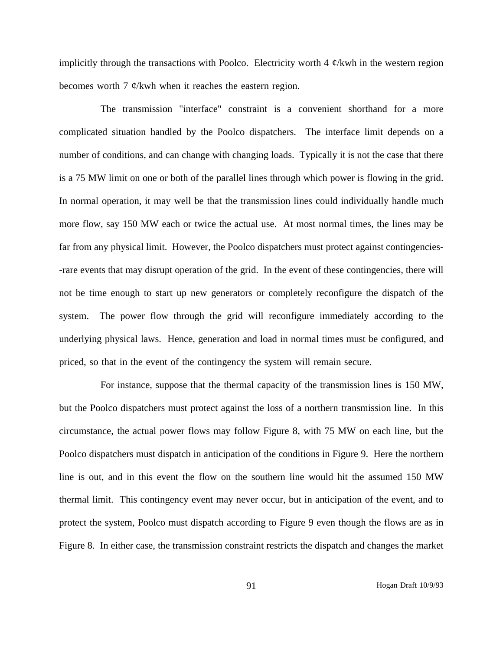implicitly through the transactions with Poolco. Electricity worth 4  $\phi$ /kwh in the western region becomes worth 7  $\phi$ /kwh when it reaches the eastern region.

The transmission "interface" constraint is a convenient shorthand for a more complicated situation handled by the Poolco dispatchers. The interface limit depends on a number of conditions, and can change with changing loads. Typically it is not the case that there is a 75 MW limit on one or both of the parallel lines through which power is flowing in the grid. In normal operation, it may well be that the transmission lines could individually handle much more flow, say 150 MW each or twice the actual use. At most normal times, the lines may be far from any physical limit. However, the Poolco dispatchers must protect against contingencies- -rare events that may disrupt operation of the grid. In the event of these contingencies, there will not be time enough to start up new generators or completely reconfigure the dispatch of the system. The power flow through the grid will reconfigure immediately according to the underlying physical laws. Hence, generation and load in normal times must be configured, and priced, so that in the event of the contingency the system will remain secure.

For instance, suppose that the thermal capacity of the transmission lines is 150 MW, but the Poolco dispatchers must protect against the loss of a northern transmission line. In this circumstance, the actual power flows may follow Figure 8, with 75 MW on each line, but the Poolco dispatchers must dispatch in anticipation of the conditions in Figure 9. Here the northern line is out, and in this event the flow on the southern line would hit the assumed 150 MW thermal limit. This contingency event may never occur, but in anticipation of the event, and to protect the system, Poolco must dispatch according to Figure 9 even though the flows are as in Figure 8. In either case, the transmission constraint restricts the dispatch and changes the market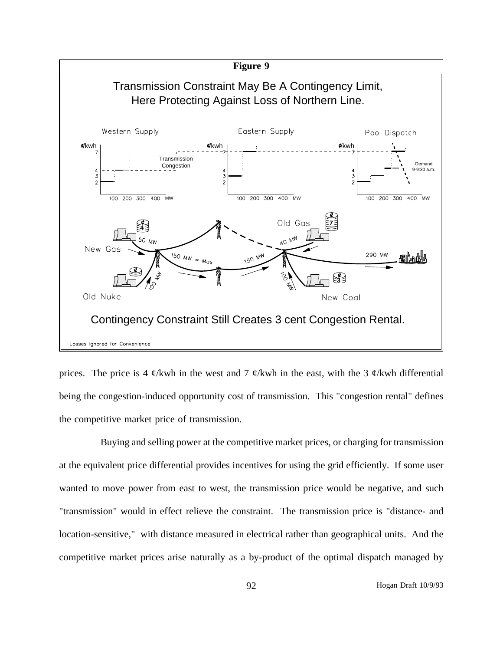

prices. The price is 4  $\phi$ /kwh in the west and 7  $\phi$ /kwh in the east, with the 3  $\phi$ /kwh differential being the congestion-induced opportunity cost of transmission. This "congestion rental" defines the competitive market price of transmission.

Buying and selling power at the competitive market prices, or charging for transmission at the equivalent price differential provides incentives for using the grid efficiently. If some user wanted to move power from east to west, the transmission price would be negative, and such "transmission" would in effect relieve the constraint. The transmission price is "distance- and location-sensitive," with distance measured in electrical rather than geographical units. And the competitive market prices arise naturally as a by-product of the optimal dispatch managed by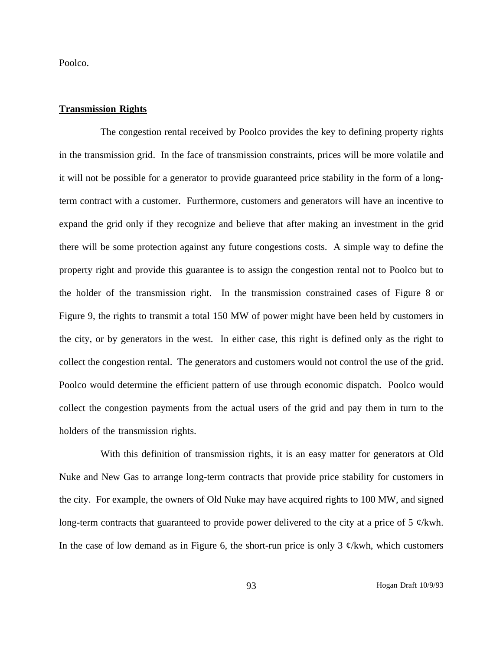Poolco.

### **Transmission Rights**

The congestion rental received by Poolco provides the key to defining property rights in the transmission grid. In the face of transmission constraints, prices will be more volatile and it will not be possible for a generator to provide guaranteed price stability in the form of a longterm contract with a customer. Furthermore, customers and generators will have an incentive to expand the grid only if they recognize and believe that after making an investment in the grid there will be some protection against any future congestions costs. A simple way to define the property right and provide this guarantee is to assign the congestion rental not to Poolco but to the holder of the transmission right. In the transmission constrained cases of Figure 8 or Figure 9, the rights to transmit a total 150 MW of power might have been held by customers in the city, or by generators in the west. In either case, this right is defined only as the right to collect the congestion rental. The generators and customers would not control the use of the grid. Poolco would determine the efficient pattern of use through economic dispatch. Poolco would collect the congestion payments from the actual users of the grid and pay them in turn to the holders of the transmission rights.

With this definition of transmission rights, it is an easy matter for generators at Old Nuke and New Gas to arrange long-term contracts that provide price stability for customers in the city. For example, the owners of Old Nuke may have acquired rights to 100 MW, and signed long-term contracts that guaranteed to provide power delivered to the city at a price of 5  $\mathcal{C}/kwh$ . In the case of low demand as in Figure 6, the short-run price is only 3  $\phi$ /kwh, which customers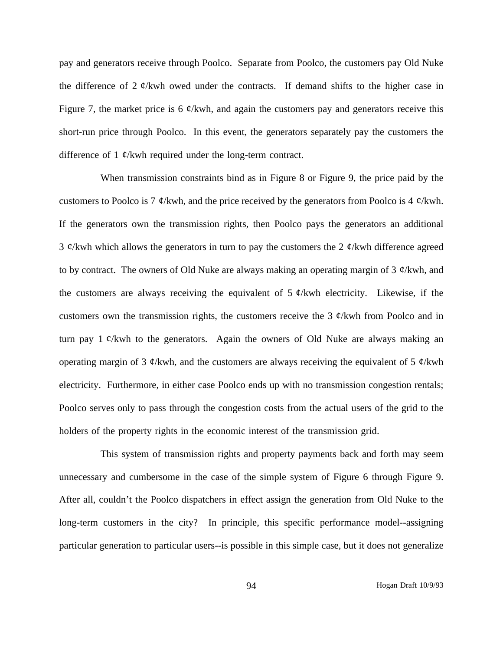pay and generators receive through Poolco. Separate from Poolco, the customers pay Old Nuke the difference of 2  $\phi$ /kwh owed under the contracts. If demand shifts to the higher case in Figure 7, the market price is 6  $\phi$ /kwh, and again the customers pay and generators receive this short-run price through Poolco. In this event, the generators separately pay the customers the difference of 1  $\phi$ /kwh required under the long-term contract.

When transmission constraints bind as in Figure 8 or Figure 9, the price paid by the customers to Poolco is 7  $\phi$ /kwh, and the price received by the generators from Poolco is 4  $\phi$ /kwh. If the generators own the transmission rights, then Poolco pays the generators an additional 3  $\mathcal{C}/k$ wh which allows the generators in turn to pay the customers the 2  $\mathcal{C}/k$ wh difference agreed to by contract. The owners of Old Nuke are always making an operating margin of 3  $\phi$ /kwh, and the customers are always receiving the equivalent of  $5 \phi$ /kwh electricity. Likewise, if the customers own the transmission rights, the customers receive the 3  $\phi$ /kwh from Poolco and in turn pay  $1 \phi$ /kwh to the generators. Again the owners of Old Nuke are always making an operating margin of 3  $\phi$ /kwh, and the customers are always receiving the equivalent of 5  $\phi$ /kwh electricity. Furthermore, in either case Poolco ends up with no transmission congestion rentals; Poolco serves only to pass through the congestion costs from the actual users of the grid to the holders of the property rights in the economic interest of the transmission grid.

This system of transmission rights and property payments back and forth may seem unnecessary and cumbersome in the case of the simple system of Figure 6 through Figure 9. After all, couldn't the Poolco dispatchers in effect assign the generation from Old Nuke to the long-term customers in the city? In principle, this specific performance model--assigning particular generation to particular users--is possible in this simple case, but it does not generalize

94 Hogan Draft 10/9/93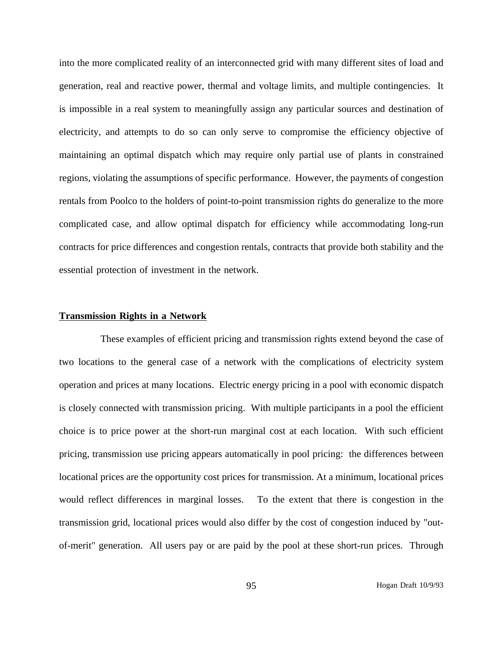into the more complicated reality of an interconnected grid with many different sites of load and generation, real and reactive power, thermal and voltage limits, and multiple contingencies. It is impossible in a real system to meaningfully assign any particular sources and destination of electricity, and attempts to do so can only serve to compromise the efficiency objective of maintaining an optimal dispatch which may require only partial use of plants in constrained regions, violating the assumptions of specific performance. However, the payments of congestion rentals from Poolco to the holders of point-to-point transmission rights do generalize to the more complicated case, and allow optimal dispatch for efficiency while accommodating long-run contracts for price differences and congestion rentals, contracts that provide both stability and the essential protection of investment in the network.

### **Transmission Rights in a Network**

These examples of efficient pricing and transmission rights extend beyond the case of two locations to the general case of a network with the complications of electricity system operation and prices at many locations. Electric energy pricing in a pool with economic dispatch is closely connected with transmission pricing. With multiple participants in a pool the efficient choice is to price power at the short-run marginal cost at each location. With such efficient pricing, transmission use pricing appears automatically in pool pricing: the differences between locational prices are the opportunity cost prices for transmission. At a minimum, locational prices would reflect differences in marginal losses. To the extent that there is congestion in the transmission grid, locational prices would also differ by the cost of congestion induced by "outof-merit" generation. All users pay or are paid by the pool at these short-run prices. Through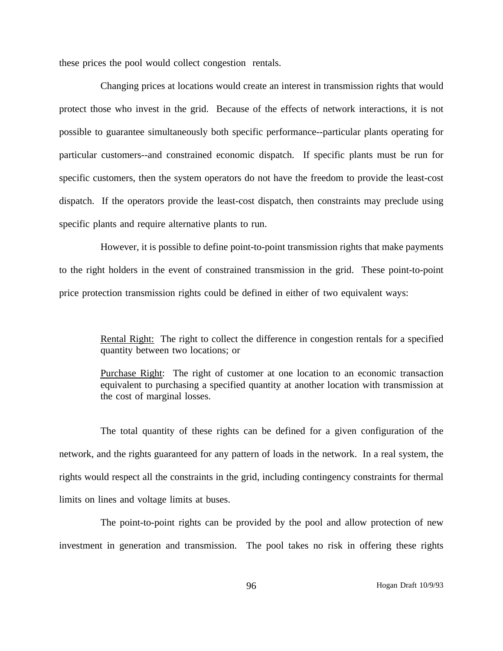these prices the pool would collect congestion rentals.

Changing prices at locations would create an interest in transmission rights that would protect those who invest in the grid. Because of the effects of network interactions, it is not possible to guarantee simultaneously both specific performance--particular plants operating for particular customers--and constrained economic dispatch. If specific plants must be run for specific customers, then the system operators do not have the freedom to provide the least-cost dispatch. If the operators provide the least-cost dispatch, then constraints may preclude using specific plants and require alternative plants to run.

However, it is possible to define point-to-point transmission rights that make payments to the right holders in the event of constrained transmission in the grid. These point-to-point price protection transmission rights could be defined in either of two equivalent ways:

> Rental Right: The right to collect the difference in congestion rentals for a specified quantity between two locations; or

> Purchase Right: The right of customer at one location to an economic transaction equivalent to purchasing a specified quantity at another location with transmission at the cost of marginal losses.

The total quantity of these rights can be defined for a given configuration of the network, and the rights guaranteed for any pattern of loads in the network. In a real system, the rights would respect all the constraints in the grid, including contingency constraints for thermal limits on lines and voltage limits at buses.

The point-to-point rights can be provided by the pool and allow protection of new investment in generation and transmission. The pool takes no risk in offering these rights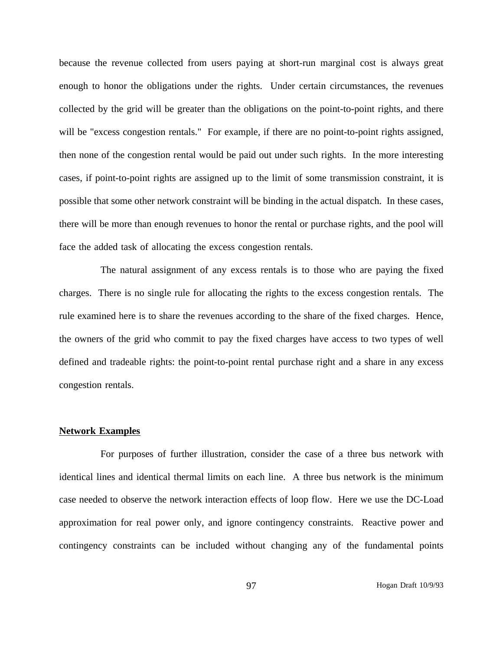because the revenue collected from users paying at short-run marginal cost is always great enough to honor the obligations under the rights. Under certain circumstances, the revenues collected by the grid will be greater than the obligations on the point-to-point rights, and there will be "excess congestion rentals." For example, if there are no point-to-point rights assigned, then none of the congestion rental would be paid out under such rights. In the more interesting cases, if point-to-point rights are assigned up to the limit of some transmission constraint, it is possible that some other network constraint will be binding in the actual dispatch. In these cases, there will be more than enough revenues to honor the rental or purchase rights, and the pool will face the added task of allocating the excess congestion rentals.

The natural assignment of any excess rentals is to those who are paying the fixed charges. There is no single rule for allocating the rights to the excess congestion rentals. The rule examined here is to share the revenues according to the share of the fixed charges. Hence, the owners of the grid who commit to pay the fixed charges have access to two types of well defined and tradeable rights: the point-to-point rental purchase right and a share in any excess congestion rentals.

#### **Network Examples**

For purposes of further illustration, consider the case of a three bus network with identical lines and identical thermal limits on each line. A three bus network is the minimum case needed to observe the network interaction effects of loop flow. Here we use the DC-Load approximation for real power only, and ignore contingency constraints. Reactive power and contingency constraints can be included without changing any of the fundamental points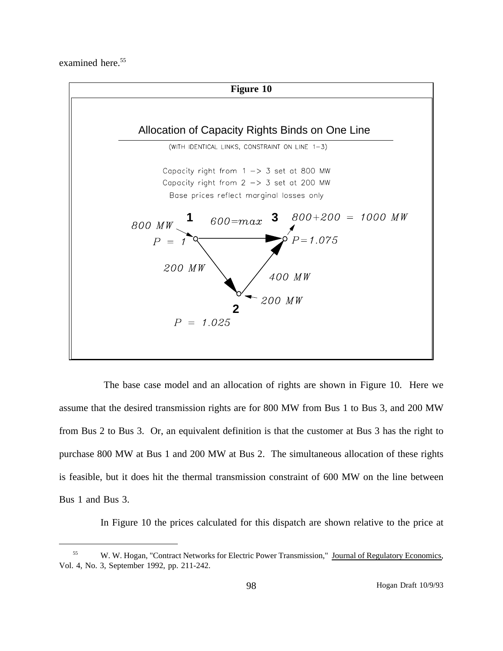examined here.<sup>55</sup>



The base case model and an allocation of rights are shown in Figure 10. Here we assume that the desired transmission rights are for 800 MW from Bus 1 to Bus 3, and 200 MW from Bus 2 to Bus 3. Or, an equivalent definition is that the customer at Bus 3 has the right to purchase 800 MW at Bus 1 and 200 MW at Bus 2. The simultaneous allocation of these rights is feasible, but it does hit the thermal transmission constraint of 600 MW on the line between Bus 1 and Bus 3.

In Figure 10 the prices calculated for this dispatch are shown relative to the price at

<sup>55</sup> W. W. Hogan, "Contract Networks for Electric Power Transmission," Journal of Regulatory Economics, Vol. 4, No. 3, September 1992, pp. 211-242.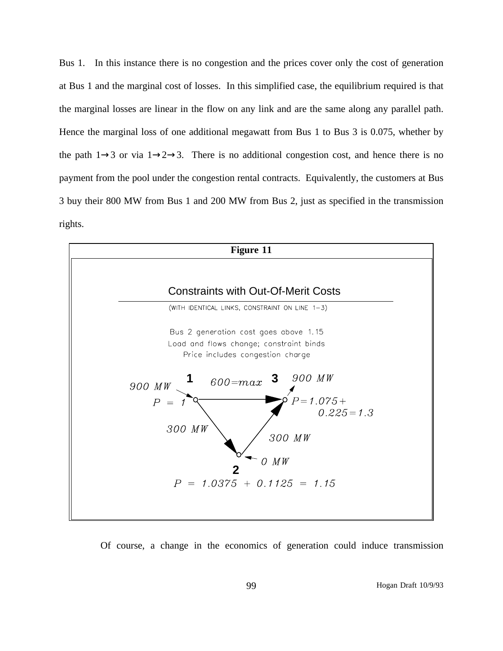Bus 1. In this instance there is no congestion and the prices cover only the cost of generation at Bus 1 and the marginal cost of losses. In this simplified case, the equilibrium required is that the marginal losses are linear in the flow on any link and are the same along any parallel path. Hence the marginal loss of one additional megawatt from Bus 1 to Bus 3 is 0.075, whether by the path  $1\rightarrow 3$  or via  $1\rightarrow 2\rightarrow 3$ . There is no additional congestion cost, and hence there is no payment from the pool under the congestion rental contracts. Equivalently, the customers at Bus 3 buy their 800 MW from Bus 1 and 200 MW from Bus 2, just as specified in the transmission rights.



Of course, a change in the economics of generation could induce transmission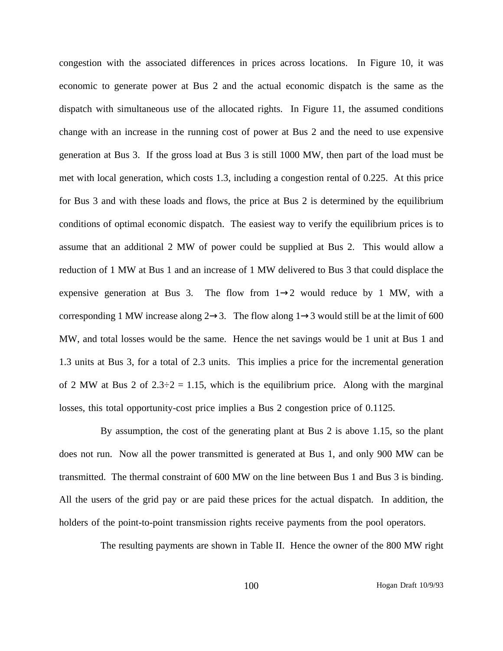congestion with the associated differences in prices across locations. In Figure 10, it was economic to generate power at Bus 2 and the actual economic dispatch is the same as the dispatch with simultaneous use of the allocated rights. In Figure 11, the assumed conditions change with an increase in the running cost of power at Bus 2 and the need to use expensive generation at Bus 3. If the gross load at Bus 3 is still 1000 MW, then part of the load must be met with local generation, which costs 1.3, including a congestion rental of 0.225. At this price for Bus 3 and with these loads and flows, the price at Bus 2 is determined by the equilibrium conditions of optimal economic dispatch. The easiest way to verify the equilibrium prices is to assume that an additional 2 MW of power could be supplied at Bus 2. This would allow a reduction of 1 MW at Bus 1 and an increase of 1 MW delivered to Bus 3 that could displace the expensive generation at Bus 3. The flow from  $1\rightarrow 2$  would reduce by 1 MW, with a corresponding 1 MW increase along  $2 \rightarrow 3$ . The flow along  $1 \rightarrow 3$  would still be at the limit of 600 MW, and total losses would be the same. Hence the net savings would be 1 unit at Bus 1 and 1.3 units at Bus 3, for a total of 2.3 units. This implies a price for the incremental generation of 2 MW at Bus 2 of  $2.3\div 2 = 1.15$ , which is the equilibrium price. Along with the marginal losses, this total opportunity-cost price implies a Bus 2 congestion price of 0.1125.

By assumption, the cost of the generating plant at Bus 2 is above 1.15, so the plant does not run. Now all the power transmitted is generated at Bus 1, and only 900 MW can be transmitted. The thermal constraint of 600 MW on the line between Bus 1 and Bus 3 is binding. All the users of the grid pay or are paid these prices for the actual dispatch. In addition, the holders of the point-to-point transmission rights receive payments from the pool operators.

The resulting payments are shown in Table II. Hence the owner of the 800 MW right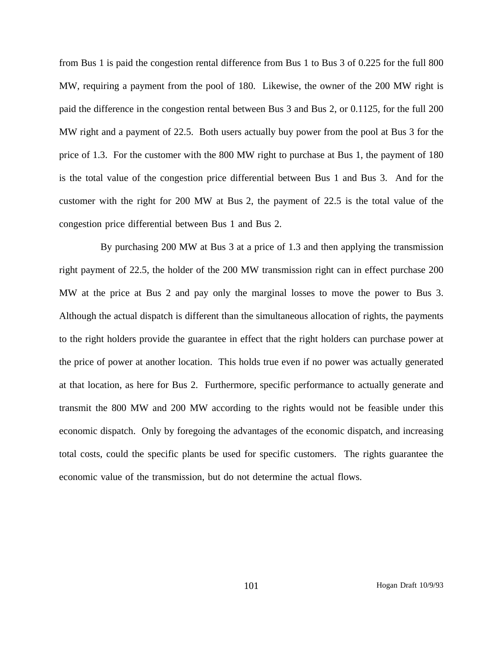from Bus 1 is paid the congestion rental difference from Bus 1 to Bus 3 of 0.225 for the full 800 MW, requiring a payment from the pool of 180. Likewise, the owner of the 200 MW right is paid the difference in the congestion rental between Bus 3 and Bus 2, or 0.1125, for the full 200 MW right and a payment of 22.5. Both users actually buy power from the pool at Bus 3 for the price of 1.3. For the customer with the 800 MW right to purchase at Bus 1, the payment of 180 is the total value of the congestion price differential between Bus 1 and Bus 3. And for the customer with the right for 200 MW at Bus 2, the payment of 22.5 is the total value of the congestion price differential between Bus 1 and Bus 2.

By purchasing 200 MW at Bus 3 at a price of 1.3 and then applying the transmission right payment of 22.5, the holder of the 200 MW transmission right can in effect purchase 200 MW at the price at Bus 2 and pay only the marginal losses to move the power to Bus 3. Although the actual dispatch is different than the simultaneous allocation of rights, the payments to the right holders provide the guarantee in effect that the right holders can purchase power at the price of power at another location. This holds true even if no power was actually generated at that location, as here for Bus 2. Furthermore, specific performance to actually generate and transmit the 800 MW and 200 MW according to the rights would not be feasible under this economic dispatch. Only by foregoing the advantages of the economic dispatch, and increasing total costs, could the specific plants be used for specific customers. The rights guarantee the economic value of the transmission, but do not determine the actual flows.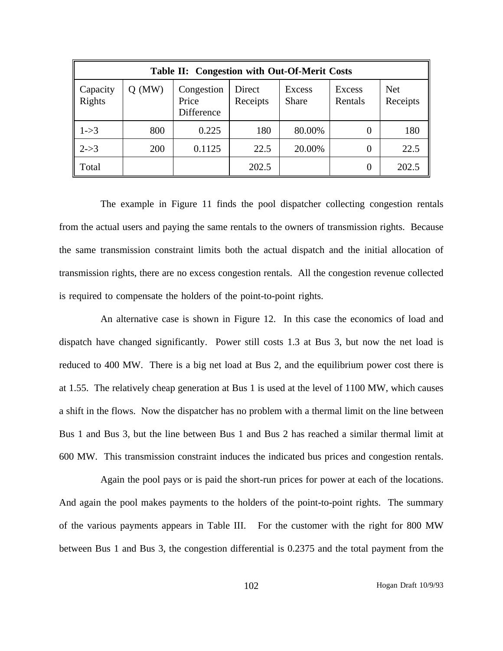| Table II: Congestion with Out-Of-Merit Costs |          |                                   |                    |                 |                   |                        |
|----------------------------------------------|----------|-----------------------------------|--------------------|-----------------|-------------------|------------------------|
| Capacity<br>Rights                           | $Q$ (MW) | Congestion<br>Price<br>Difference | Direct<br>Receipts | Excess<br>Share | Excess<br>Rentals | <b>Net</b><br>Receipts |
| $1 - > 3$                                    | 800      | 0.225                             | 180                | 80.00%          | 0                 | 180                    |
| $2 - > 3$                                    | 200      | 0.1125                            | 22.5               | 20.00%          | 0                 | 22.5                   |
| Total                                        |          |                                   | 202.5              |                 | $\Omega$          | 202.5                  |

The example in Figure 11 finds the pool dispatcher collecting congestion rentals from the actual users and paying the same rentals to the owners of transmission rights. Because the same transmission constraint limits both the actual dispatch and the initial allocation of transmission rights, there are no excess congestion rentals. All the congestion revenue collected is required to compensate the holders of the point-to-point rights.

An alternative case is shown in Figure 12. In this case the economics of load and dispatch have changed significantly. Power still costs 1.3 at Bus 3, but now the net load is reduced to 400 MW. There is a big net load at Bus 2, and the equilibrium power cost there is at 1.55. The relatively cheap generation at Bus 1 is used at the level of 1100 MW, which causes a shift in the flows. Now the dispatcher has no problem with a thermal limit on the line between Bus 1 and Bus 3, but the line between Bus 1 and Bus 2 has reached a similar thermal limit at 600 MW. This transmission constraint induces the indicated bus prices and congestion rentals.

Again the pool pays or is paid the short-run prices for power at each of the locations. And again the pool makes payments to the holders of the point-to-point rights. The summary of the various payments appears in Table III. For the customer with the right for 800 MW between Bus 1 and Bus 3, the congestion differential is 0.2375 and the total payment from the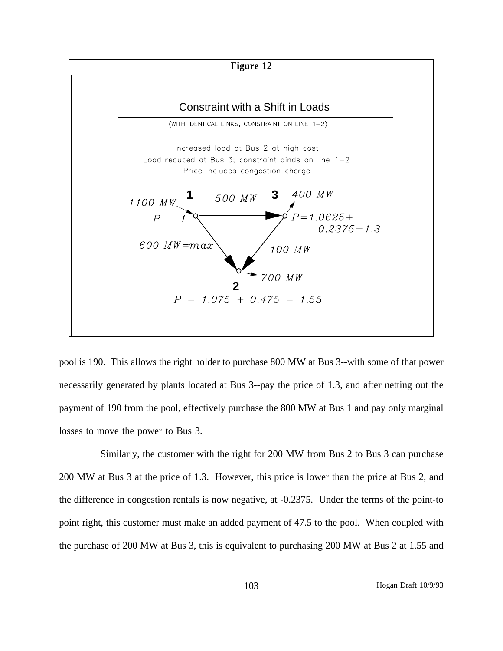

pool is 190. This allows the right holder to purchase 800 MW at Bus 3--with some of that power necessarily generated by plants located at Bus 3--pay the price of 1.3, and after netting out the payment of 190 from the pool, effectively purchase the 800 MW at Bus 1 and pay only marginal losses to move the power to Bus 3.

Similarly, the customer with the right for 200 MW from Bus 2 to Bus 3 can purchase 200 MW at Bus 3 at the price of 1.3. However, this price is lower than the price at Bus 2, and the difference in congestion rentals is now negative, at -0.2375. Under the terms of the point-to point right, this customer must make an added payment of 47.5 to the pool. When coupled with the purchase of 200 MW at Bus 3, this is equivalent to purchasing 200 MW at Bus 2 at 1.55 and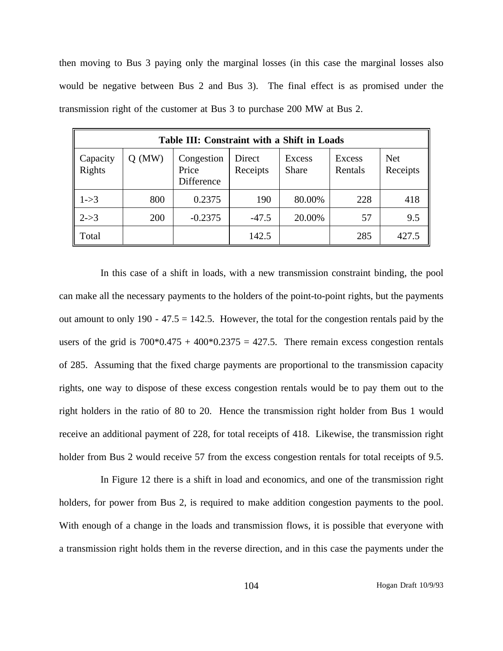then moving to Bus 3 paying only the marginal losses (in this case the marginal losses also would be negative between Bus 2 and Bus 3). The final effect is as promised under the transmission right of the customer at Bus 3 to purchase 200 MW at Bus 2.

| Table III: Constraint with a Shift in Loads |            |                                   |                    |                 |                   |                        |  |  |  |  |
|---------------------------------------------|------------|-----------------------------------|--------------------|-----------------|-------------------|------------------------|--|--|--|--|
| Capacity<br>Rights                          | (MW)<br>O. | Congestion<br>Price<br>Difference | Direct<br>Receipts | Excess<br>Share | Excess<br>Rentals | <b>Net</b><br>Receipts |  |  |  |  |
| $1 - > 3$                                   | 800        | 0.2375                            | 190                | 80.00%          | 228               | 418                    |  |  |  |  |
| $2 - > 3$                                   | 200        | $-0.2375$                         | $-47.5$            | 20.00%          | 57                | 9.5                    |  |  |  |  |
| Total                                       |            |                                   | 142.5              |                 | 285               | 427.5                  |  |  |  |  |

In this case of a shift in loads, with a new transmission constraint binding, the pool can make all the necessary payments to the holders of the point-to-point rights, but the payments out amount to only  $190 - 47.5 = 142.5$ . However, the total for the congestion rentals paid by the users of the grid is  $700*0.475 + 400*0.2375 = 427.5$ . There remain excess congestion rentals of 285. Assuming that the fixed charge payments are proportional to the transmission capacity rights, one way to dispose of these excess congestion rentals would be to pay them out to the right holders in the ratio of 80 to 20. Hence the transmission right holder from Bus 1 would receive an additional payment of 228, for total receipts of 418. Likewise, the transmission right holder from Bus 2 would receive 57 from the excess congestion rentals for total receipts of 9.5.

In Figure 12 there is a shift in load and economics, and one of the transmission right holders, for power from Bus 2, is required to make addition congestion payments to the pool. With enough of a change in the loads and transmission flows, it is possible that everyone with a transmission right holds them in the reverse direction, and in this case the payments under the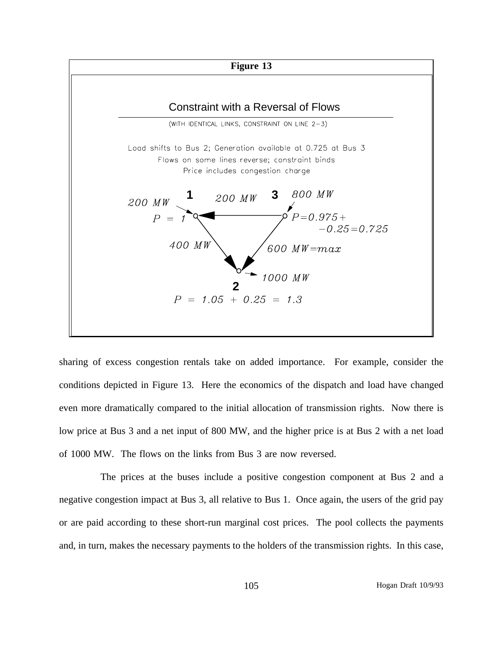

sharing of excess congestion rentals take on added importance. For example, consider the conditions depicted in Figure 13. Here the economics of the dispatch and load have changed even more dramatically compared to the initial allocation of transmission rights. Now there is low price at Bus 3 and a net input of 800 MW, and the higher price is at Bus 2 with a net load of 1000 MW. The flows on the links from Bus 3 are now reversed.

The prices at the buses include a positive congestion component at Bus 2 and a negative congestion impact at Bus 3, all relative to Bus 1. Once again, the users of the grid pay or are paid according to these short-run marginal cost prices. The pool collects the payments and, in turn, makes the necessary payments to the holders of the transmission rights. In this case,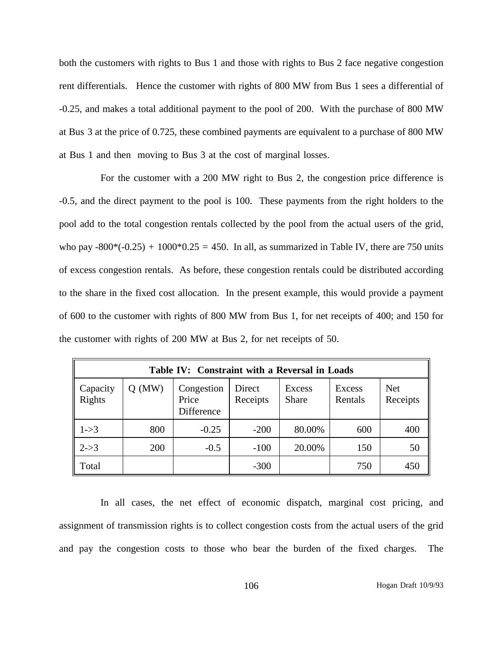both the customers with rights to Bus 1 and those with rights to Bus 2 face negative congestion rent differentials. Hence the customer with rights of 800 MW from Bus 1 sees a differential of -0.25, and makes a total additional payment to the pool of 200. With the purchase of 800 MW at Bus 3 at the price of 0.725, these combined payments are equivalent to a purchase of 800 MW at Bus 1 and then moving to Bus 3 at the cost of marginal losses.

For the customer with a 200 MW right to Bus 2, the congestion price difference is -0.5, and the direct payment to the pool is 100. These payments from the right holders to the pool add to the total congestion rentals collected by the pool from the actual users of the grid, who pay  $-800*(-0.25) + 1000*0.25 = 450$ . In all, as summarized in Table IV, there are 750 units of excess congestion rentals. As before, these congestion rentals could be distributed according to the share in the fixed cost allocation. In the present example, this would provide a payment of 600 to the customer with rights of 800 MW from Bus 1, for net receipts of 400; and 150 for the customer with rights of 200 MW at Bus 2, for net receipts of 50.

| Table IV: Constraint with a Reversal in Loads |            |                                   |                    |                        |                   |                        |  |  |  |  |
|-----------------------------------------------|------------|-----------------------------------|--------------------|------------------------|-------------------|------------------------|--|--|--|--|
| Capacity<br>Rights                            | (MW)       | Congestion<br>Price<br>Difference | Direct<br>Receipts | Excess<br><b>Share</b> | Excess<br>Rentals | <b>Net</b><br>Receipts |  |  |  |  |
| $1 - > 3$                                     | 800        | $-0.25$                           | $-200$             | 80.00%                 | 600               | 400                    |  |  |  |  |
| $2 - > 3$                                     | <b>200</b> | $-0.5$                            | $-100$             | 20.00%                 | 150               | 50                     |  |  |  |  |
| Total                                         |            |                                   | $-300$             |                        | 750               | 450                    |  |  |  |  |

In all cases, the net effect of economic dispatch, marginal cost pricing, and assignment of transmission rights is to collect congestion costs from the actual users of the grid and pay the congestion costs to those who bear the burden of the fixed charges. The